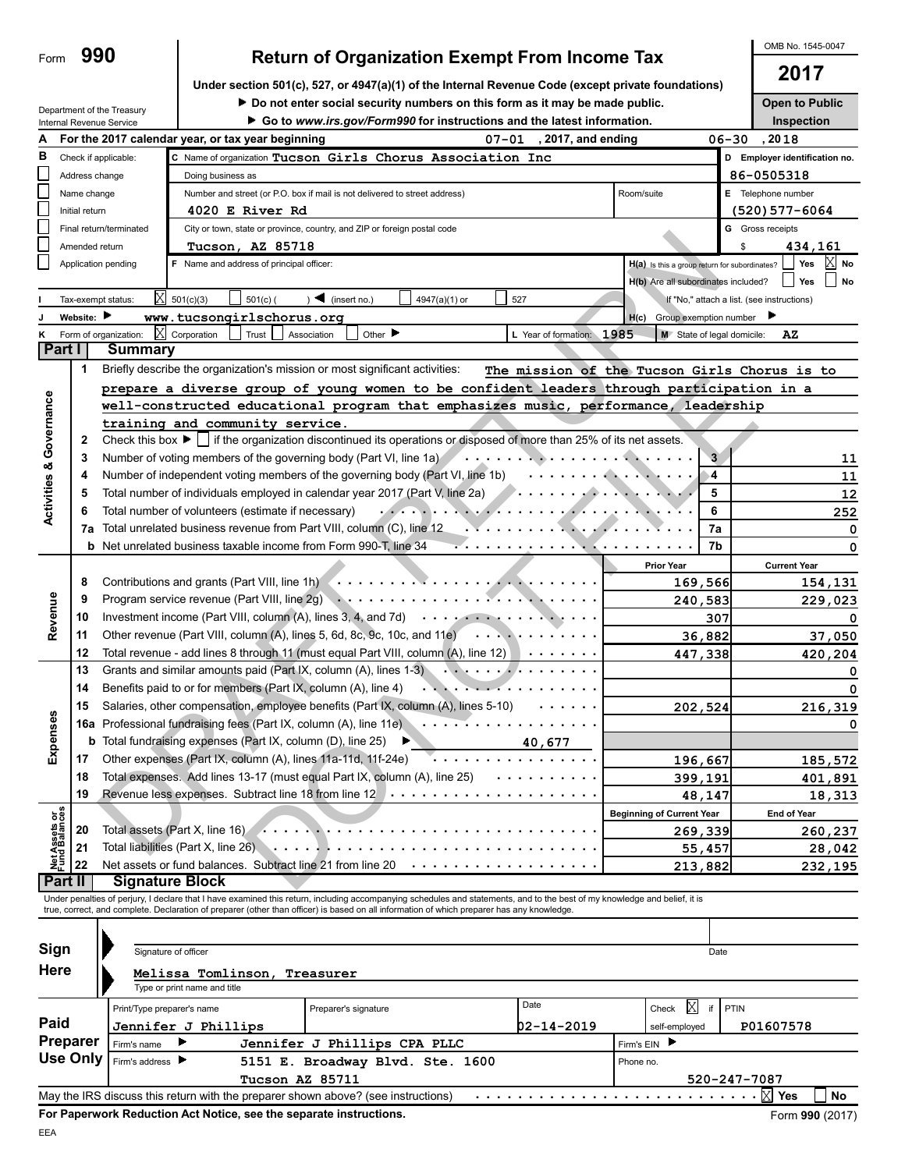#### The meaning of the state of the state of the state of the state of the state of the state of the state of the state of the state of the state of the state of the state of the state of the state of the state of the state o group of young women to be confident leaders through participation<br>
unity service.<br>
unity service.<br>
unity service.<br>
d'unity service.<br>
d'unity services and propries of disposed of more than 25% of its net assets.<br>
of the g **Activities & Governance Activities & Governance 3**<br>**4** Number of voting members of the governing body (Part VI, line 1a)<br>**4** Number of independent voting members of the governing body (Part VI, line 1b) **4 4** Number of independent voting members of the governing body (Part VI, line 1b) . . . . . . . . . . . . . . . . . . . . . . . . . . . . . . . . . . . . . . . . . . . . . . . . . . . . . . . . . . . . . . . . . . . . . **5 5** Total number of individuals employed in calendar year 2017 (Part V, line 2a) **6 6** Total number of volunteers (estimate if necessary) **7a 7a** Total unrelated business revenue from Part VIII, column (C), line 12 . . . . . . . . . . . . . . . . . . . . . . . **b** Net unrelated business taxable income from Form 990-T, line 34 **And Truck** Letter and Andreas and Andreas Truck **Prior Year** Current Year **8** Contributions and grants (Part VIII, line 1h) . . . . . . . . . . . . . . . . . . . . . . . . . **169,566 154,131** 3, 4, and 7d)<br>
id, 8c, 9c, 10c, and 11e<br>
qual Part VIII, column (A), line 12<br>
mm (A), lines 1-3<br>
mm (A), line 4<br>
tits (Part IX, column (A), lines 5-10<br>
(A), line 11e<br>  $\cdots$ Revenue Program service revenue (Part VIII, line 2g) **Revenue 9 240,583 229,023** Investment income (Part VIII, column (A), lines 3, 4, and 7d)  $\cdots$ **10 307 0** Other revenue (Part VIII, column (A), lines 5, 6d, 8c, 9c, 10c, and 11e) **11 36,882 37,050** Total revenue - add lines 8 through 11 (must equal Part VIII, column (A), line 12) **12 447,338 420,204** Grants and similar amounts paid (Part IX, column (A), lines 1-3) **13 14** Benefits paid to or for members (Part IX, column (A), line 4) Salaries, other compensation, employee benefits (Part IX, column (A), lines 5-10) **15 202,524 216,319 Expenses** Professional fundraising fees (Part IX, column (A), line 11e)  $\cdots$ **16a b** Total fundraising expenses (Part IX, column (D), line 25) **40,677**  Other expenses. (Part IX, column (A), lines 11a-11d, 11f-24e)<br>Total expenses. Add lines 13-17 (must equal Part IX, column (A), line 25)<br>Revenue less expenses. Subtract line 18 from line 12 . . . . . . . . . . . . . . . . . Other expenses (Part IX, column (A), lines 11a-11d, 11f-24e) **17 196,667 185,572 18** Total expenses. Add lines 13-17 (must equal Part IX, column (A), line 25) **399,191 401,891 19 48,147 18,313** Beginning of Current Year | End of Year Net Assets or<br>Fund Balances **Fund Balances Net Assets or** Total assets (Part X, line 16) . . . . . . . . . . . . . . . . . . . . . . . . . . . . . . . . **20 269,339 260,237** Total liabilities (Part X, line 26) . . . . . . . . . . . . . . . . . . . . . . . . . . . . . . . . . . . . . . . . . . . . . . . . . **21 55,457 28,042** Net assets or fund balances. Subtract line 21 from line 20 **22 213,882 232,195 Part II | Signature Block** Under penalties of perjury, I declare that I have examined this return, including accompanying schedules and statements, and to the best of my knowledge and belief, it is true, correct, and complete. Declaration of preparer (other than officer) is based on all information of which preparer has any knowledge. **Sign** Signature of officer Date Date of the Signature of officer Date Date of the Date of the Date of the Date of the Date of the Date of the Date of the Date of the Date of the Date of the Date of the Date of the Date of the Da **Here Melissa Tomlinson, Treasurer** Type or print name and title Print/Type preparer's name  $\begin{bmatrix} P(\text{r}|\mathbf{r}) & P(\text{r}|\mathbf{r}) \end{bmatrix}$  Preparer's signature  $\begin{bmatrix} P(\text{r}|\mathbf{r}) & P(\text{r}|\mathbf{r}) & P(\text{r}|\mathbf{r}) \end{bmatrix}$  $\boxtimes$ **Paid Jennifer J Phillips 02-14-2019 P01607578** self-employed **Preparer Firm's name Firm's EIN Jennifer J Phillips CPA PLLC** Firm's EIN

Firm's address **Phone no.** 5151 E. Broadway Blvd. Ste. 1600 **Phone no.** 

**Tucson AZ 85711 520-247-7087**

Check this box  $\blacktriangleright \Box$  if the organization discontinued its operations or disposed of more than 25% of its net assets.

**K** Form of organization:  $\boxed{\text{X}}$  Corporation Trust Association Other **M** Computer 1985 **M** State of legal domicile: AZ

Tax-exempt status:  $\boxtimes$  501(c)(3)  $\Box$  501(c)( ) (insert no.)  $\Box$  4947(a)(1) or  $\Box$  527 If "No," attach a list. (see instructions)

**well-constructed educational program that emphasizes music, performance, leadership**

**prepare a diverse group of young women to be confident leaders through participation in a**

|                                                      | 0.11011 |  |  |  |
|------------------------------------------------------|---------|--|--|--|
| <b>Return of Organization Exempt From Income Tax</b> |         |  |  |  |
|                                                      | 2017    |  |  |  |
|                                                      |         |  |  |  |

Under section 501(c), 527, or 4947(a)(1) of the Inte

**Do not enter social security numbers on this form as it may be made public. Open to Public Go to** *www.irs.gov/Form990* **for instructions and the latest information.**

OMB No. 1545-0047

**Inspection**

> **0 0**

> > **0**

H(b) Are all subordinates included? **No** 

Group exemption number

**The mission of the Tucson Girls Chorus is to**

| ernal Revenue Code (except private foundations) |  |
|-------------------------------------------------|--|
|                                                 |  |

| A |                         | For the 2017 calendar year, or tax year beginning<br>$07 - 01$             | 2017, and ending                              | . 20 18<br>06–30            |
|---|-------------------------|----------------------------------------------------------------------------|-----------------------------------------------|-----------------------------|
| в | Check if applicable:    | C Name of organization Tucson Girls Chorus Association Inc                 |                                               | Employer identification no. |
|   | Address change          | Doing business as                                                          |                                               | 86-0505318                  |
|   | Name change             | Number and street (or P.O. box if mail is not delivered to street address) | Room/suite                                    | Е<br>Telephone number       |
|   | Initial return          | 4020 E River Rd                                                            |                                               | (520) 577-6064              |
|   | Final return/terminated | City or town, state or province, country, and ZIP or foreign postal code   |                                               | Gross receipts<br>G         |
|   | Amended return          | AZ 85718<br>Tucson,                                                        |                                               | 434,161                     |
|   | Application pending     | Name and address of principal officer:                                     | H(a) Is this a group return for subordinates? | $X$ No<br>Yes               |

**Part I** Summary

X

Briefly describe the organization's mission or most significant activities:

**training and community service.**

**J** Website: **A** www.tucsongirlschorus.org<br> **H(c)** 

May the IRS discuss this return with the preparer shown above? (see instructions)

**1**

**I**

**2**

**990**

Department of the Treasury Internal Revenue Service

Form

**For Paperwork Reduction Act Notice, see the separate instructions.** EEA

**Use Only**

**Yes No** . . . . . . . . . . . . . . . . . . . . . . . . . . . X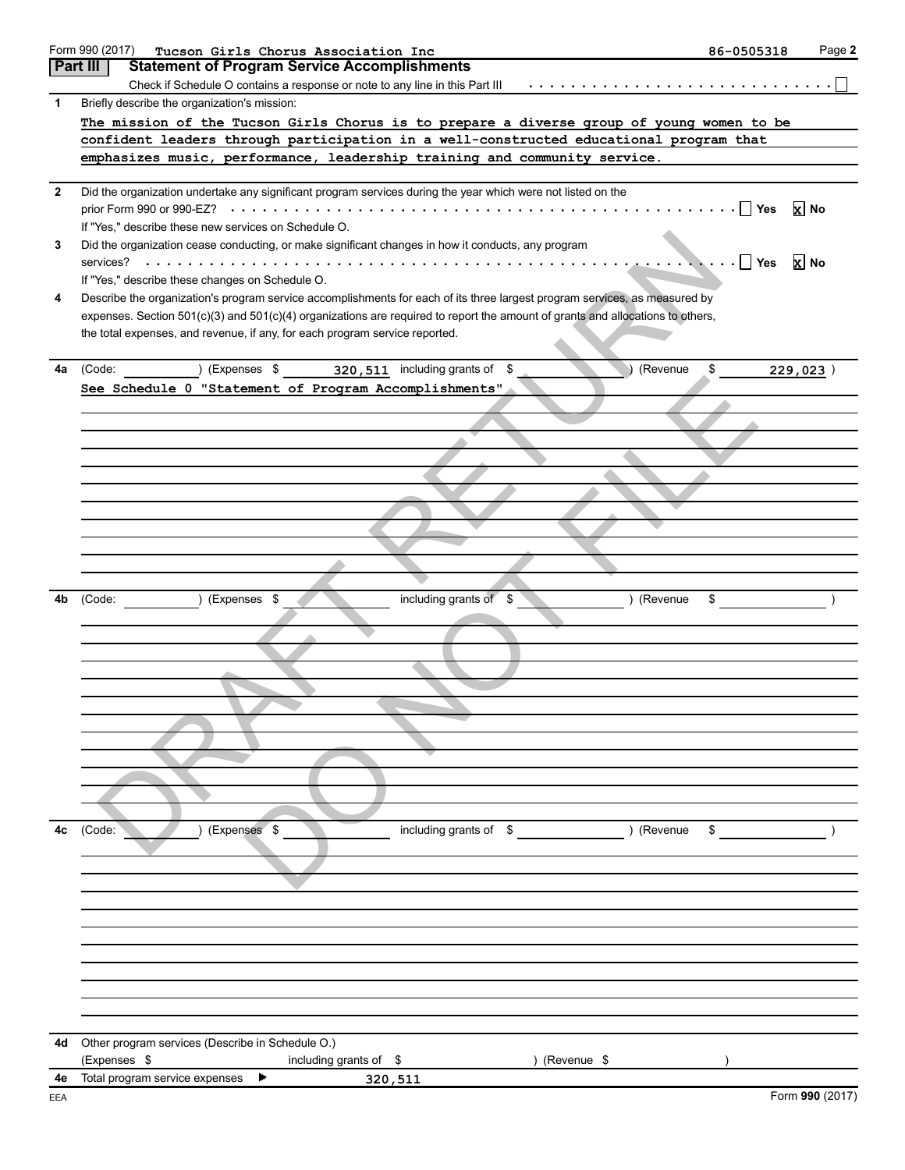|              | Form 990 (2017)<br>Tucson Girls Chorus Association Inc                                                                         | 86-0505318 | Page 2          |
|--------------|--------------------------------------------------------------------------------------------------------------------------------|------------|-----------------|
|              | <b>Part III</b><br><b>Statement of Program Service Accomplishments</b>                                                         |            |                 |
|              | Check if Schedule O contains a response or note to any line in this Part III                                                   |            |                 |
| 1            | Briefly describe the organization's mission:                                                                                   |            |                 |
|              | The mission of the Tucson Girls Chorus is to prepare a diverse group of young women to be                                      |            |                 |
|              | confident leaders through participation in a well-constructed educational program that                                         |            |                 |
|              | emphasizes music, performance, leadership training and community service.                                                      |            |                 |
|              |                                                                                                                                |            |                 |
| $\mathbf{2}$ | Did the organization undertake any significant program services during the year which were not listed on the                   |            |                 |
|              |                                                                                                                                |            | <b>x</b> No     |
|              | If "Yes," describe these new services on Schedule O.                                                                           |            |                 |
| 3            | Did the organization cease conducting, or make significant changes in how it conducts, any program                             |            |                 |
|              |                                                                                                                                |            | $\mathbf{X}$ No |
|              | If "Yes," describe these changes on Schedule O.                                                                                |            |                 |
| 4            | Describe the organization's program service accomplishments for each of its three largest program services, as measured by     |            |                 |
|              | expenses. Section 501(c)(3) and 501(c)(4) organizations are required to report the amount of grants and allocations to others, |            |                 |
|              | the total expenses, and revenue, if any, for each program service reported.                                                    |            |                 |
|              |                                                                                                                                |            |                 |
| 4a           | (Code: ) (Expenses \$320,511 including grants of \$<br>(Revenue                                                                | \$         | 229,023)        |
|              | See Schedule 0 "Statement of Program Accomplishments"                                                                          |            |                 |
|              |                                                                                                                                |            |                 |
|              |                                                                                                                                |            |                 |
|              |                                                                                                                                |            |                 |
|              |                                                                                                                                |            |                 |
|              |                                                                                                                                |            |                 |
|              |                                                                                                                                |            |                 |
|              |                                                                                                                                |            |                 |
|              |                                                                                                                                |            |                 |
|              |                                                                                                                                |            |                 |
|              |                                                                                                                                |            |                 |
|              |                                                                                                                                |            |                 |
| 4b           | including grants of \$<br>) (Revenue<br>) (Expenses \$<br>(Code:                                                               | \$         |                 |
|              |                                                                                                                                |            |                 |
|              |                                                                                                                                |            |                 |
|              |                                                                                                                                |            |                 |
|              |                                                                                                                                |            |                 |
|              |                                                                                                                                |            |                 |
|              |                                                                                                                                |            |                 |
|              |                                                                                                                                |            |                 |
|              |                                                                                                                                |            |                 |
|              |                                                                                                                                |            |                 |
|              |                                                                                                                                |            |                 |
|              |                                                                                                                                |            |                 |
| 4c           | ) (Revenue<br>(Expenses \$<br>including grants of \$<br>(Code:                                                                 | \$         |                 |
|              |                                                                                                                                |            |                 |
|              |                                                                                                                                |            |                 |
|              |                                                                                                                                |            |                 |
|              |                                                                                                                                |            |                 |
|              |                                                                                                                                |            |                 |
|              |                                                                                                                                |            |                 |
|              |                                                                                                                                |            |                 |
|              |                                                                                                                                |            |                 |
|              |                                                                                                                                |            |                 |
|              |                                                                                                                                |            |                 |
|              |                                                                                                                                |            |                 |
| 4d           | Other program services (Describe in Schedule O.)                                                                               |            |                 |
|              | (Expenses \$<br>) (Revenue \$<br>including grants of \$<br>Total program service expenses                                      |            |                 |
| 4e<br>EEA    | 320,511                                                                                                                        |            | Form 990 (2017) |
|              |                                                                                                                                |            |                 |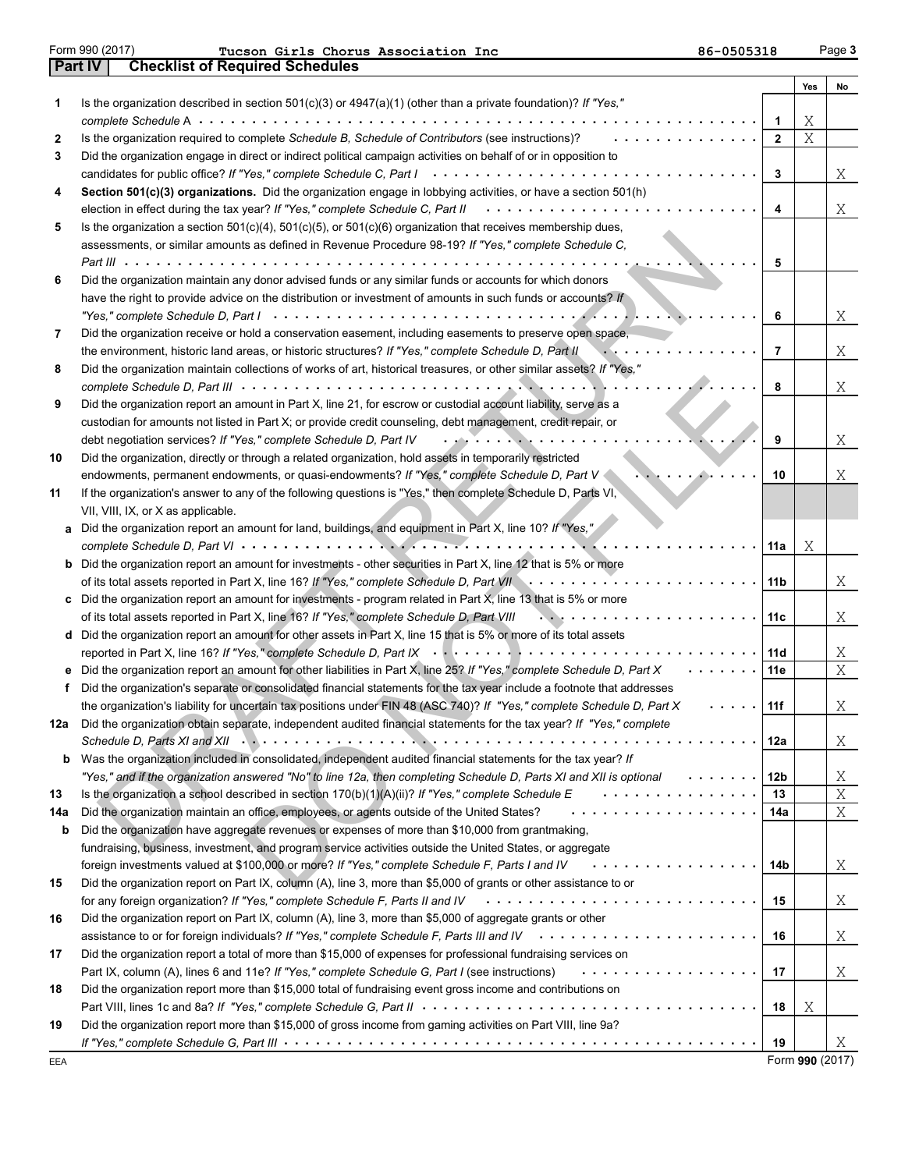| Form 990 (2017 |
|----------------|
|----------------|

EEA

**Part IV Checklist of Required Schedules** Form 990 (2017) Page **3 Tucson Girls Chorus Association Inc 86-0505318**

|     |                                                                                                                                                                                                                             |              | Yes | No |
|-----|-----------------------------------------------------------------------------------------------------------------------------------------------------------------------------------------------------------------------------|--------------|-----|----|
| 1   | Is the organization described in section 501(c)(3) or 4947(a)(1) (other than a private foundation)? If "Yes,"                                                                                                               |              |     |    |
|     |                                                                                                                                                                                                                             | 1            | Χ   |    |
| 2   | Is the organization required to complete Schedule B, Schedule of Contributors (see instructions)?                                                                                                                           | $\mathbf{2}$ | Χ   |    |
| 3   | Did the organization engage in direct or indirect political campaign activities on behalf of or in opposition to                                                                                                            |              |     |    |
|     | candidates for public office? If "Yes," complete Schedule C, Part I                                                                                                                                                         | 3            |     | Χ  |
| 4   | Section 501(c)(3) organizations. Did the organization engage in lobbying activities, or have a section 501(h)                                                                                                               |              |     |    |
|     | .<br>election in effect during the tax year? If "Yes," complete Schedule C, Part II                                                                                                                                         | 4            |     | Χ  |
| 5   | Is the organization a section $501(c)(4)$ , $501(c)(5)$ , or $501(c)(6)$ organization that receives membership dues,                                                                                                        |              |     |    |
|     | assessments, or similar amounts as defined in Revenue Procedure 98-19? If "Yes," complete Schedule C,                                                                                                                       |              |     |    |
|     | Part III $\cdots$ , $\cdots$                                                                                                                                                                                                | 5            |     |    |
| 6   | Did the organization maintain any donor advised funds or any similar funds or accounts for which donors                                                                                                                     |              |     |    |
|     | have the right to provide advice on the distribution or investment of amounts in such funds or accounts? If                                                                                                                 |              |     |    |
|     |                                                                                                                                                                                                                             | 6            |     | Χ  |
| 7   | Did the organization receive or hold a conservation easement, including easements to preserve open space,                                                                                                                   | 7            |     |    |
|     | the environment, historic land areas, or historic structures? If "Yes," complete Schedule D, Part II<br>Did the organization maintain collections of works of art, historical treasures, or other similar assets? If "Yes," |              |     | Χ  |
| 8   |                                                                                                                                                                                                                             | 8            |     | Χ  |
| 9   | Did the organization report an amount in Part X, line 21, for escrow or custodial account liability, serve as a                                                                                                             |              |     |    |
|     | custodian for amounts not listed in Part X; or provide credit counseling, debt management, credit repair, or                                                                                                                |              |     |    |
|     | .<br>debt negotiation services? If "Yes," complete Schedule D, Part IV                                                                                                                                                      | 9            |     | Χ  |
| 10  | Did the organization, directly or through a related organization, hold assets in temporarily restricted                                                                                                                     |              |     |    |
|     | endowments, permanent endowments, or quasi-endowments? If "Yes," complete Schedule D, Part V                                                                                                                                | 10           |     | Χ  |
| 11  | If the organization's answer to any of the following questions is "Yes," then complete Schedule D, Parts VI,                                                                                                                |              |     |    |
|     | VII, VIII, IX, or X as applicable.                                                                                                                                                                                          |              |     |    |
| а   | Did the organization report an amount for land, buildings, and equipment in Part X, line 10? If "Yes,"                                                                                                                      |              |     |    |
|     |                                                                                                                                                                                                                             | 11a          | Χ   |    |
| b   | Did the organization report an amount for investments - other securities in Part X, line 12 that is 5% or more                                                                                                              |              |     |    |
|     | of its total assets reported in Part X, line 16? If "Yes," complete Schedule D, Part VII                                                                                                                                    | 11 b         |     | Χ  |
| с   | Did the organization report an amount for investments - program related in Part X, line 13 that is 5% or more                                                                                                               |              |     |    |
|     | of its total assets reported in Part X, line 16? If "Yes," complete Schedule D, Part VIII                                                                                                                                   | 11c          |     | Χ  |
| d   | Did the organization report an amount for other assets in Part X, line 15 that is 5% or more of its total assets                                                                                                            |              |     |    |
|     |                                                                                                                                                                                                                             | 11d          |     | Χ  |
| е   | Did the organization report an amount for other liabilities in Part X, line 25? If "Yes," complete Schedule D, Part X                                                                                                       | 11e          |     | Χ  |
| f   | Did the organization's separate or consolidated financial statements for the tax year include a footnote that addresses                                                                                                     |              |     |    |
|     | the organization's liability for uncertain tax positions under FIN 48 (ASC 740)? If "Yes," complete Schedule D, Part X                                                                                                      | 11f          |     | Χ  |
| 12a | Did the organization obtain separate, independent audited financial statements for the tax year? If "Yes," complete                                                                                                         |              |     |    |
|     |                                                                                                                                                                                                                             | 12a          |     | Χ  |
| b   | Was the organization included in consolidated, independent audited financial statements for the tax year? If                                                                                                                |              |     |    |
|     | "Yes," and if the organization answered "No" to line 12a, then completing Schedule D, Parts XI and XII is optional<br>.                                                                                                     | 12b          |     | Χ  |
| 13  | .<br>Is the organization a school described in section $170(b)(1)(A)(ii)?$ If "Yes," complete Schedule E                                                                                                                    | 13           |     | Χ  |
| 14a | .<br>Did the organization maintain an office, employees, or agents outside of the United States?                                                                                                                            | 14a          |     | Χ  |
| b   | Did the organization have aggregate revenues or expenses of more than \$10,000 from grantmaking,                                                                                                                            |              |     |    |
|     | fundraising, business, investment, and program service activities outside the United States, or aggregate                                                                                                                   |              |     |    |
|     | foreign investments valued at \$100,000 or more? If "Yes," complete Schedule F, Parts I and IV<br>.                                                                                                                         | 14b          |     | Χ  |
| 15  | Did the organization report on Part IX, column (A), line 3, more than \$5,000 of grants or other assistance to or                                                                                                           |              |     |    |
|     | for any foreign organization? If "Yes," complete Schedule F, Parts II and IV                                                                                                                                                | 15           |     | Χ  |
| 16  | Did the organization report on Part IX, column (A), line 3, more than \$5,000 of aggregate grants or other                                                                                                                  |              |     |    |
|     |                                                                                                                                                                                                                             | 16           |     | Χ  |
| 17  | Did the organization report a total of more than \$15,000 of expenses for professional fundraising services on                                                                                                              |              |     |    |
|     | Part IX, column (A), lines 6 and 11e? If "Yes," complete Schedule G, Part I (see instructions)<br>.                                                                                                                         | 17           |     | Χ  |
| 18  | Did the organization report more than \$15,000 total of fundraising event gross income and contributions on                                                                                                                 |              |     |    |
|     |                                                                                                                                                                                                                             | 18           | Χ   |    |
| 19  | Did the organization report more than \$15,000 of gross income from gaming activities on Part VIII, line 9a?                                                                                                                |              |     |    |
|     |                                                                                                                                                                                                                             | 19           |     | Χ  |

Form **990** (2017)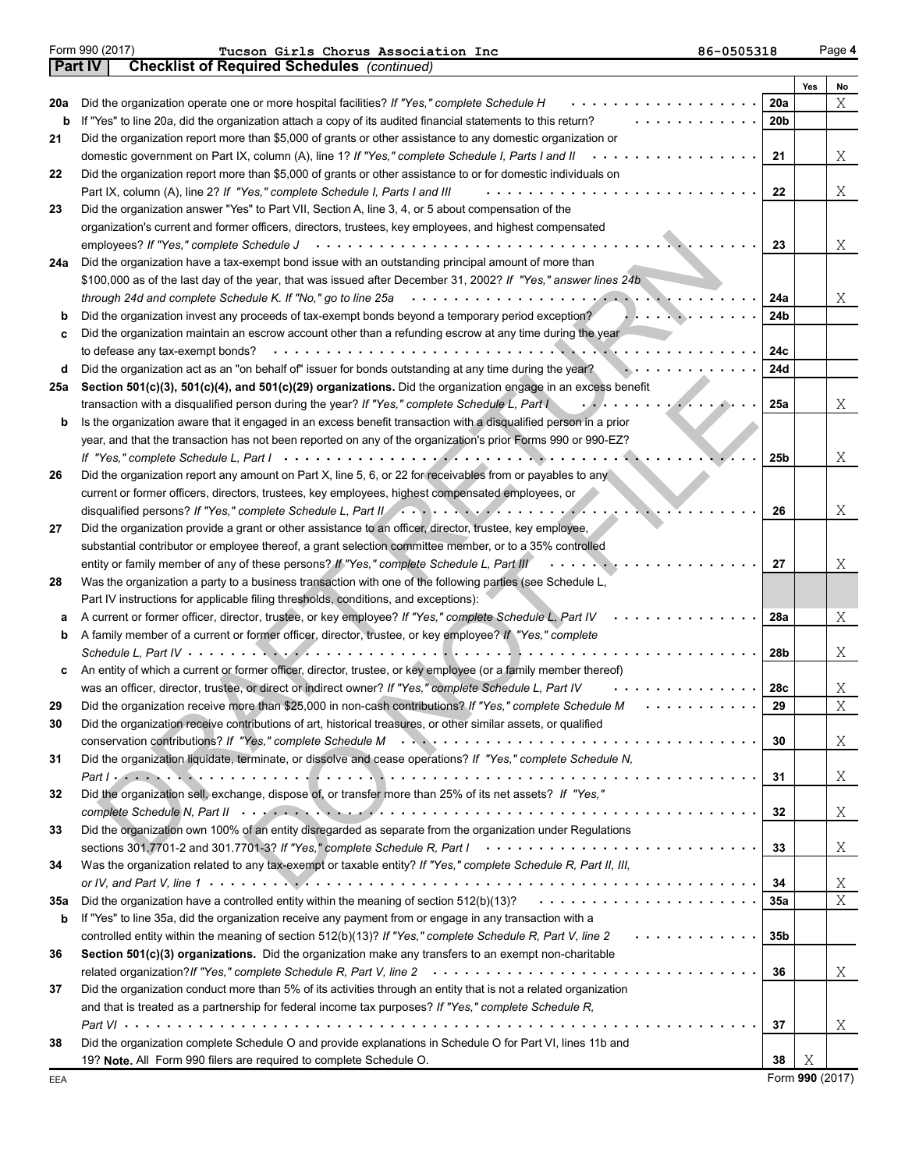|     |                                                                                                                                                   |                 | Yes | No     |
|-----|---------------------------------------------------------------------------------------------------------------------------------------------------|-----------------|-----|--------|
| 20a | Did the organization operate one or more hospital facilities? If "Yes," complete Schedule H                                                       | 20a             |     | Χ      |
| b   | If "Yes" to line 20a, did the organization attach a copy of its audited financial statements to this return?                                      | 20 <sub>b</sub> |     |        |
| 21  | Did the organization report more than \$5,000 of grants or other assistance to any domestic organization or                                       |                 |     |        |
|     | domestic government on Part IX, column (A), line 1? If "Yes," complete Schedule I, Parts I and II                                                 | 21              |     | Χ      |
| 22  | Did the organization report more than \$5,000 of grants or other assistance to or for domestic individuals on                                     |                 |     |        |
|     | Part IX, column (A), line 2? If "Yes," complete Schedule I, Parts I and III                                                                       | 22              |     | Χ      |
| 23  | Did the organization answer "Yes" to Part VII, Section A, line 3, 4, or 5 about compensation of the                                               |                 |     |        |
|     | organization's current and former officers, directors, trustees, key employees, and highest compensated                                           |                 |     |        |
|     | employees? If "Yes," complete Schedule J                                                                                                          | 23              |     | Χ      |
| 24a | Did the organization have a tax-exempt bond issue with an outstanding principal amount of more than                                               |                 |     |        |
|     | \$100,000 as of the last day of the year, that was issued after December 31, 2002? If "Yes," answer lines 24b                                     |                 |     |        |
|     | through 24d and complete Schedule K. If "No," go to line 25a                                                                                      | 24a             |     | Χ      |
| b   | Did the organization invest any proceeds of tax-exempt bonds beyond a temporary period exception?                                                 | 24b             |     |        |
| c   | Did the organization maintain an escrow account other than a refunding escrow at any time during the year                                         |                 |     |        |
|     | to defease any tax-exempt bonds?                                                                                                                  | 24c             |     |        |
| d   | Did the organization act as an "on behalf of" issuer for bonds outstanding at any time during the year?                                           | 24d             |     |        |
| 25a | Section 501(c)(3), 501(c)(4), and 501(c)(29) organizations. Did the organization engage in an excess benefit                                      |                 |     |        |
|     | transaction with a disqualified person during the year? If "Yes," complete Schedule L, Part I                                                     | 25a             |     | Χ      |
| b   | Is the organization aware that it engaged in an excess benefit transaction with a disqualified person in a prior                                  |                 |     |        |
|     | year, and that the transaction has not been reported on any of the organization's prior Forms 990 or 990-EZ?                                      |                 |     |        |
|     |                                                                                                                                                   | 25 <sub>b</sub> |     | Χ      |
| 26  | Did the organization report any amount on Part X, line 5, 6, or 22 for receivables from or payables to any                                        |                 |     |        |
|     | current or former officers, directors, trustees, key employees, highest compensated employees, or                                                 |                 |     |        |
|     | disqualified persons? If "Yes," complete Schedule L, Part II (Allen Letter Letter Letter Letter Letter Letter                                     | 26              |     | Χ      |
| 27  | Did the organization provide a grant or other assistance to an officer, director, trustee, key employee,                                          |                 |     |        |
|     | substantial contributor or employee thereof, a grant selection committee member, or to a 35% controlled                                           |                 |     |        |
|     | entity or family member of any of these persons? If "Yes," complete Schedule L, Part III                                                          | 27              |     | Χ      |
| 28  | Was the organization a party to a business transaction with one of the following parties (see Schedule L,                                         |                 |     |        |
|     | Part IV instructions for applicable filing thresholds, conditions, and exceptions):                                                               |                 |     |        |
| а   | A current or former officer, director, trustee, or key employee? If "Yes," complete Schedule L, Part IV                                           | 28a             |     | Χ      |
| b   | A family member of a current or former officer, director, trustee, or key employee? If "Yes," complete                                            |                 |     |        |
|     |                                                                                                                                                   | 28b             |     | Χ      |
| c   | An entity of which a current or former officer, director, trustee, or key employee (or a family member thereof)                                   |                 |     |        |
|     | was an officer, director, trustee, or direct or indirect owner? If "Yes," complete Schedule L, Part IV                                            | 28c             |     | Χ      |
| 29  | Did the organization receive more than \$25,000 in non-cash contributions? If "Yes," complete Schedule M                                          | 29              |     | X      |
| 30  | Did the organization receive contributions of art, historical treasures, or other similar assets, or qualified                                    |                 |     |        |
|     |                                                                                                                                                   | 30              |     | X      |
| 31  | Did the organization liquidate, terminate, or dissolve and cease operations? If "Yes," complete Schedule N,                                       |                 |     |        |
|     |                                                                                                                                                   | 31              |     | X      |
| 32  | Did the organization sell, exchange, dispose of, or transfer more than 25% of its net assets? If "Yes,"                                           |                 |     |        |
|     |                                                                                                                                                   | 32              |     | X      |
| 33  | Did the organization own 100% of an entity disregarded as separate from the organization under Regulations                                        |                 |     |        |
|     |                                                                                                                                                   | 33              |     |        |
| 34  | Was the organization related to any tax-exempt or taxable entity? If "Yes," complete Schedule R, Part II, III,                                    |                 |     | Χ      |
|     |                                                                                                                                                   | 34              |     |        |
|     | Did the organization have a controlled entity within the meaning of section $512(b)(13)? \qquad \ldots \ldots \ldots \ldots \ldots \ldots \ldots$ |                 |     | Χ<br>X |
| 35a |                                                                                                                                                   | 35a             |     |        |
| b   | If "Yes" to line 35a, did the organization receive any payment from or engage in any transaction with a                                           |                 |     |        |
|     | controlled entity within the meaning of section 512(b)(13)? If "Yes," complete Schedule R, Part V, line 2                                         | 35 <sub>b</sub> |     |        |
| 36  | Section 501(c)(3) organizations. Did the organization make any transfers to an exempt non-charitable                                              |                 |     |        |
|     |                                                                                                                                                   | 36              |     | Χ      |
| 37  | Did the organization conduct more than 5% of its activities through an entity that is not a related organization                                  |                 |     |        |
|     | and that is treated as a partnership for federal income tax purposes? If "Yes," complete Schedule R,                                              |                 |     |        |
|     |                                                                                                                                                   | 37              |     | X      |
| 38  | Did the organization complete Schedule O and provide explanations in Schedule O for Part VI, lines 11b and                                        |                 |     |        |
|     | 19? Note. All Form 990 filers are required to complete Schedule O.                                                                                | 38              | Χ   |        |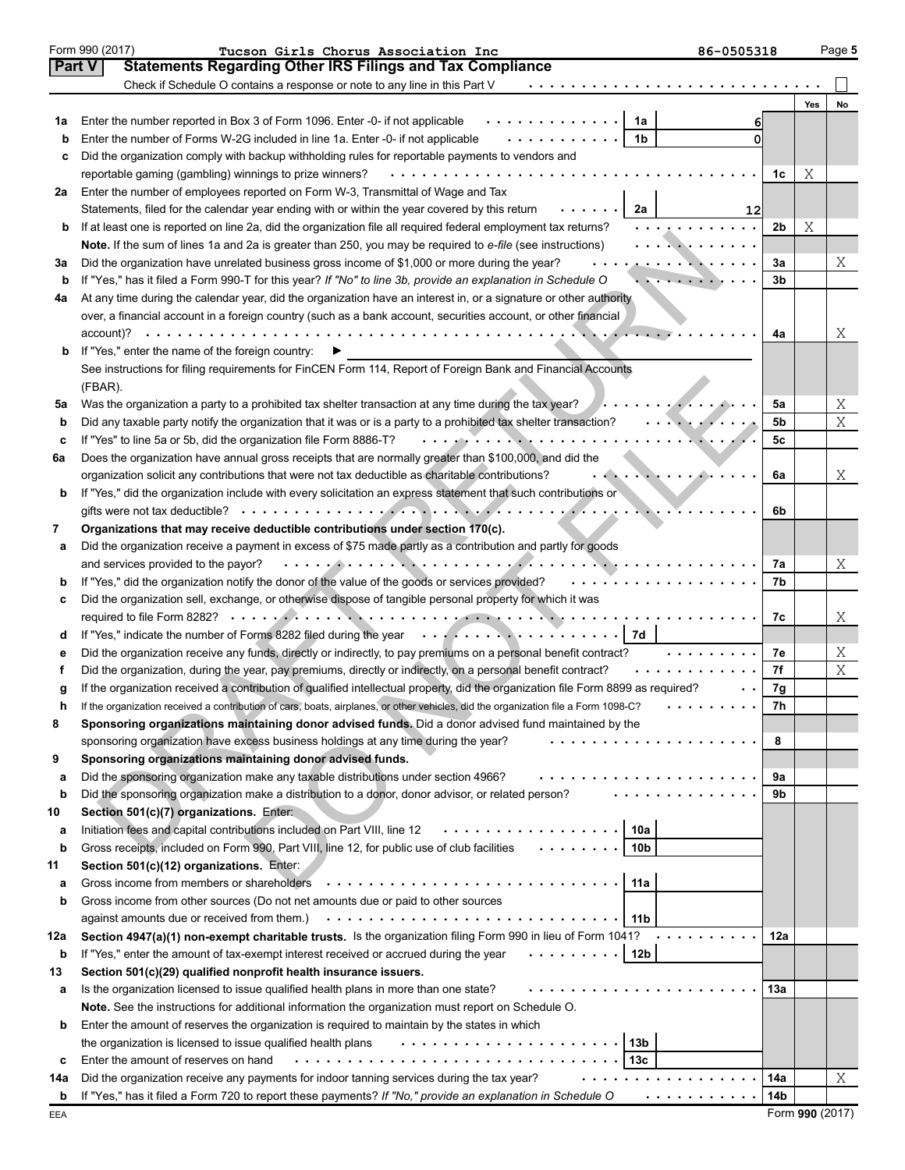|     | Form 990 (2017)<br>86-0505318<br>Tucson Girls Chorus Association Inc                                                                                                                                                                  |                |     | Page 5 |
|-----|---------------------------------------------------------------------------------------------------------------------------------------------------------------------------------------------------------------------------------------|----------------|-----|--------|
|     | <b>Part V</b><br><b>Statements Regarding Other IRS Filings and Tax Compliance</b>                                                                                                                                                     |                |     |        |
|     | Check if Schedule O contains a response or note to any line in this Part V                                                                                                                                                            |                |     |        |
|     |                                                                                                                                                                                                                                       |                | Yes | No     |
| 1а  | Enter the number reported in Box 3 of Form 1096. Enter -0- if not applicable<br>.<br>1a<br>6                                                                                                                                          |                |     |        |
| b   | .<br>1 <sub>b</sub><br>Enter the number of Forms W-2G included in line 1a. Enter -0- if not applicable<br>$\Omega$                                                                                                                    |                |     |        |
| с   | Did the organization comply with backup withholding rules for reportable payments to vendors and                                                                                                                                      |                |     |        |
|     | .<br>reportable gaming (gambling) winnings to prize winners?                                                                                                                                                                          | 1c             | Χ   |        |
| 2a  | Enter the number of employees reported on Form W-3, Transmittal of Wage and Tax                                                                                                                                                       |                |     |        |
|     | Statements, filed for the calendar year ending with or within the year covered by this return<br>2a<br>12                                                                                                                             |                |     |        |
| b   | If at least one is reported on line 2a, did the organization file all required federal employment tax returns?<br>.                                                                                                                   | 2 <sub>b</sub> | Χ   |        |
|     | . <del>. .</del><br>Note. If the sum of lines 1a and 2a is greater than 250, you may be required to e-file (see instructions)                                                                                                         |                |     |        |
| За  | . <u>. .</u> <b>. .</b><br>Did the organization have unrelated business gross income of \$1,000 or more during the year?                                                                                                              | 3a             |     | Χ      |
| b   | If "Yes," has it filed a Form 990-T for this year? If "No" to line 3b, provide an explanation in Schedule O<br>a Santa Palaura                                                                                                        | 3b             |     |        |
| 4a  | At any time during the calendar year, did the organization have an interest in, or a signature or other authority                                                                                                                     |                |     |        |
|     | over, a financial account in a foreign country (such as a bank account, securities account, or other financial                                                                                                                        |                |     |        |
|     |                                                                                                                                                                                                                                       | 4a             |     | Χ      |
| b   | If "Yes," enter the name of the foreign country:                                                                                                                                                                                      |                |     |        |
|     | See instructions for filing requirements for FinCEN Form 114, Report of Foreign Bank and Financial Accounts                                                                                                                           |                |     |        |
|     | (FBAR).                                                                                                                                                                                                                               |                |     |        |
| 5a  | $\cdots$ . $\cdots$<br>Was the organization a party to a prohibited tax shelter transaction at any time during the tax year?                                                                                                          | 5a             |     | Χ      |
| b   | Did any taxable party notify the organization that it was or is a party to a prohibited tax shelter transaction?<br>and a straight and a straight and                                                                                 | 5 <sub>b</sub> |     | X      |
| c   | . <b>.</b><br>If "Yes" to line 5a or 5b, did the organization file Form 8886-T?                                                                                                                                                       | 5c             |     |        |
| 6а  | Does the organization have annual gross receipts that are normally greater than \$100,000, and did the                                                                                                                                |                |     |        |
|     | . <i>. .</i><br>organization solicit any contributions that were not tax deductible as charitable contributions?                                                                                                                      | 6a             |     | Χ      |
| b   | If "Yes," did the organization include with every solicitation an express statement that such contributions or                                                                                                                        |                |     |        |
|     |                                                                                                                                                                                                                                       | 6b             |     |        |
| 7   | Organizations that may receive deductible contributions under section 170(c).                                                                                                                                                         |                |     |        |
| а   | Did the organization receive a payment in excess of \$75 made partly as a contribution and partly for goods                                                                                                                           |                |     |        |
|     | and services provided to the payor?                                                                                                                                                                                                   | 7a             |     | Χ      |
| b   | .<br>If "Yes," did the organization notify the donor of the value of the goods or services provided?                                                                                                                                  | 7b             |     |        |
| c   | Did the organization sell, exchange, or otherwise dispose of tangible personal property for which it was                                                                                                                              |                |     |        |
|     |                                                                                                                                                                                                                                       | 7c             |     | Χ      |
| d   | If "Yes," indicate the number of Forms 8282 filed during the year entertainment of the state of the number of Forms 8282 filed during the year                                                                                        |                |     |        |
| е   | Did the organization receive any funds, directly or indirectly, to pay premiums on a personal benefit contract?<br>.                                                                                                                  | 7e             |     | Χ      |
|     | Did the organization, during the year, pay premiums, directly or indirectly, on a personal benefit contract?                                                                                                                          | 7f             |     | X      |
| g   | If the organization received a contribution of qualified intellectual property, did the organization file Form 8899 as required?                                                                                                      | 7g             |     |        |
|     | If the organization received a contribution of cars, boats, airplanes, or other vehicles, did the organization file a Form 1098-C?                                                                                                    | 7 <sub>h</sub> |     |        |
| 8   | Sponsoring organizations maintaining donor advised funds. Did a donor advised fund maintained by the                                                                                                                                  |                |     |        |
|     | sponsoring organization have excess business holdings at any time during the year?<br>.                                                                                                                                               | 8              |     |        |
| 9   | Sponsoring organizations maintaining donor advised funds.                                                                                                                                                                             |                |     |        |
| а   | Did the sponsoring organization make any taxable distributions under section 4966?<br>.                                                                                                                                               | 9a             |     |        |
| b   | .<br>Did the sponsoring organization make a distribution to a donor, donor advisor, or related person?                                                                                                                                | 9b             |     |        |
| 10  | Section 501(c)(7) organizations. Enter:                                                                                                                                                                                               |                |     |        |
| а   | 10a<br>.<br>Initiation fees and capital contributions included on Part VIII, line 12                                                                                                                                                  |                |     |        |
| b   | Gross receipts, included on Form 990, Part VIII, line 12, for public use of club facilities<br>10 <sub>b</sub>                                                                                                                        |                |     |        |
| 11  | Section 501(c)(12) organizations. Enter:                                                                                                                                                                                              |                |     |        |
| а   | Gross income from members or shareholders (a) and the statement of the statement of the statement of the statement of the statement of the statement of the statement of the statement of the statement of the statement of th<br>11a |                |     |        |
| b   | Gross income from other sources (Do not net amounts due or paid to other sources                                                                                                                                                      |                |     |        |
|     | against amounts due or received from them.) (all contained a set of a set of a set of the set of a set of the<br>11 <sub>b</sub>                                                                                                      |                |     |        |
| 12a | Section 4947(a)(1) non-exempt charitable trusts. Is the organization filing Form 990 in lieu of Form 1041?                                                                                                                            | 12a            |     |        |
| b   | .<br>12b<br>If "Yes," enter the amount of tax-exempt interest received or accrued during the year                                                                                                                                     |                |     |        |
| 13  | Section 501(c)(29) qualified nonprofit health insurance issuers.                                                                                                                                                                      |                |     |        |
| а   | Is the organization licensed to issue qualified health plans in more than one state?                                                                                                                                                  | 13а            |     |        |
|     | Note. See the instructions for additional information the organization must report on Schedule O.                                                                                                                                     |                |     |        |
| b   | Enter the amount of reserves the organization is required to maintain by the states in which                                                                                                                                          |                |     |        |
|     | 13b<br>the organization is licensed to issue qualified health plans                                                                                                                                                                   |                |     |        |
| c   | 13 <sub>c</sub><br>Enter the amount of reserves on hand                                                                                                                                                                               |                |     |        |
| 14a | Did the organization receive any payments for indoor tanning services during the tax year?                                                                                                                                            | 14a            |     | Χ      |
| b   | If "Yes," has it filed a Form 720 to report these payments? If "No," provide an explanation in Schedule O<br>.                                                                                                                        | 14b            |     |        |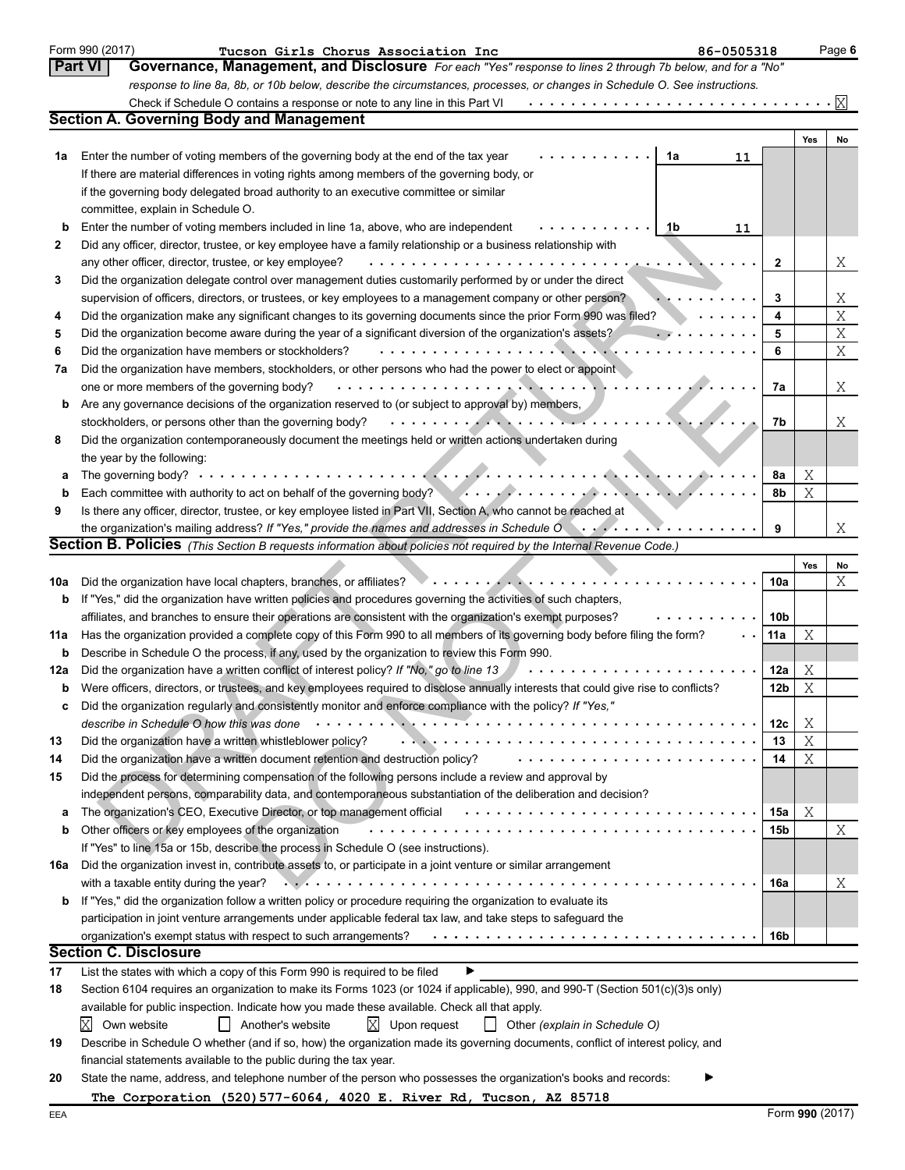|          | Form 990 (2017)<br>86-0505318<br>Tucson Girls Chorus Association Inc                                                                                                                                                           |                 |     | Page 6         |
|----------|--------------------------------------------------------------------------------------------------------------------------------------------------------------------------------------------------------------------------------|-----------------|-----|----------------|
|          | <b>Part VI</b><br>Governance, Management, and Disclosure For each "Yes" response to lines 2 through 7b below, and for a "No"                                                                                                   |                 |     |                |
|          | response to line 8a, 8b, or 10b below, describe the circumstances, processes, or changes in Schedule O. See instructions.                                                                                                      |                 |     |                |
|          | Check if Schedule O contains a response or note to any line in this Part VI                                                                                                                                                    |                 |     | X              |
|          | <b>Section A. Governing Body and Management</b>                                                                                                                                                                                |                 |     |                |
|          |                                                                                                                                                                                                                                |                 | Yes | No             |
| 1a       | Enter the number of voting members of the governing body at the end of the tax year<br>1a<br>11                                                                                                                                |                 |     |                |
|          | If there are material differences in voting rights among members of the governing body, or                                                                                                                                     |                 |     |                |
|          | if the governing body delegated broad authority to an executive committee or similar                                                                                                                                           |                 |     |                |
|          | committee, explain in Schedule O.                                                                                                                                                                                              |                 |     |                |
| b        | Enter the number of voting members included in line 1a, above, who are independent<br>1b<br>11                                                                                                                                 |                 |     |                |
| 2        | Did any officer, director, trustee, or key employee have a family relationship or a business relationship with                                                                                                                 |                 |     |                |
|          | any other officer, director, trustee, or key employee?<br>.<br>$\sim$ 100 $\sim$ 100 $\sim$                                                                                                                                    | $\mathbf{2}$    |     | X              |
| 3        | Did the organization delegate control over management duties customarily performed by or under the direct                                                                                                                      |                 |     |                |
|          | supervision of officers, directors, or trustees, or key employees to a management company or other person?                                                                                                                     | 3               |     | Χ              |
| 4        | Did the organization make any significant changes to its governing documents since the prior Form 990 was filed?                                                                                                               | 4               |     | $\overline{X}$ |
| 5        | Did the organization become aware during the year of a significant diversion of the organization's assets?                                                                                                                     | 5               |     | X              |
| 6        | Did the organization have members or stockholders?<br>$\sim 100$                                                                                                                                                               | 6               |     | $\mathbf X$    |
| 7а       | Did the organization have members, stockholders, or other persons who had the power to elect or appoint                                                                                                                        |                 |     |                |
|          | one or more members of the governing body?<br>.                                                                                                                                                                                | 7a              |     | Χ              |
| b        | Are any governance decisions of the organization reserved to (or subject to approval by) members,                                                                                                                              |                 |     |                |
|          | . <i>. .</i><br>stockholders, or persons other than the governing body?                                                                                                                                                        | 7b              |     | X              |
| 8        | Did the organization contemporaneously document the meetings held or written actions undertaken during                                                                                                                         |                 |     |                |
|          | the year by the following:                                                                                                                                                                                                     |                 |     |                |
| а        | The governing body? $\cdots$ ,                                                                                                                                                                                                 | 8a              | Χ   |                |
|          | Each committee with authority to act on behalf of the governing body?                                                                                                                                                          | 8b              | Χ   |                |
| 9        | Is there any officer, director, trustee, or key employee listed in Part VII, Section A, who cannot be reached at                                                                                                               |                 |     |                |
|          | the organization's mailing address? If "Yes," provide the names and addresses in Schedule O with the content of the content of the content of the content of the content of the content of the content of the content of the c | 9               |     | X              |
|          | Section B. Policies (This Section B requests information about policies not required by the Internal Revenue Code.)                                                                                                            |                 |     |                |
|          |                                                                                                                                                                                                                                |                 | Yes | No             |
| 10a      | Did the organization have local chapters, branches, or affiliates?                                                                                                                                                             | 10a             |     | Χ              |
| b        | If "Yes," did the organization have written policies and procedures governing the activities of such chapters,                                                                                                                 |                 |     |                |
|          | affiliates, and branches to ensure their operations are consistent with the organization's exempt purposes?                                                                                                                    | 10b             |     |                |
| 11a      | Has the organization provided a complete copy of this Form 990 to all members of its governing body before filing the form?<br>Describe in Schedule O the process, if any, used by the organization to review this Form 990.   | 11a             | Χ   |                |
| b<br>12a | Did the organization have a written conflict of interest policy? If "No," go to line 13                                                                                                                                        | 12a             | Χ   |                |
| b        | Were officers, directors, or trustees, and key employees required to disclose annually interests that could give rise to conflicts?                                                                                            | 12 <sub>b</sub> | X   |                |
|          | Did the organization regularly and consistently monitor and enforce compliance with the policy? If "Yes,"                                                                                                                      |                 |     |                |
| c        | describe in Schedule O how this was done                                                                                                                                                                                       | 12c             | Χ   |                |
| 13       | Did the organization have a written whistleblower policy?                                                                                                                                                                      | 13              | Χ   |                |
| 14       | Did the organization have a written document retention and destruction policy?                                                                                                                                                 | 14              | Χ   |                |
| 15       | Did the process for determining compensation of the following persons include a review and approval by                                                                                                                         |                 |     |                |
|          | independent persons, comparability data, and contemporaneous substantiation of the deliberation and decision?                                                                                                                  |                 |     |                |
| а        | The organization's CEO, Executive Director, or top management official                                                                                                                                                         | 15a             | Χ   |                |
| b        | Other officers or key employees of the organization                                                                                                                                                                            | 15 <sub>b</sub> |     | Χ              |
|          | If "Yes" to line 15a or 15b, describe the process in Schedule O (see instructions).                                                                                                                                            |                 |     |                |
| 16a      | Did the organization invest in, contribute assets to, or participate in a joint venture or similar arrangement                                                                                                                 |                 |     |                |
|          | with a taxable entity during the year?                                                                                                                                                                                         | 16a             |     | Χ              |
| b        | If "Yes," did the organization follow a written policy or procedure requiring the organization to evaluate its                                                                                                                 |                 |     |                |
|          | participation in joint venture arrangements under applicable federal tax law, and take steps to safeguard the                                                                                                                  |                 |     |                |
|          | organization's exempt status with respect to such arrangements?                                                                                                                                                                | 16b             |     |                |
|          | <b>Section C. Disclosure</b>                                                                                                                                                                                                   |                 |     |                |
| 17       | List the states with which a copy of this Form 990 is required to be filed                                                                                                                                                     |                 |     |                |
| 18       | Section 6104 requires an organization to make its Forms 1023 (or 1024 if applicable), 990, and 990-T (Section 501(c)(3)s only)                                                                                                 |                 |     |                |
|          | available for public inspection. Indicate how you made these available. Check all that apply.                                                                                                                                  |                 |     |                |
|          | Χ<br>$X$ Upon request<br>Own website<br>Another's website<br>Other (explain in Schedule O)                                                                                                                                     |                 |     |                |
| 19       | Describe in Schedule O whether (and if so, how) the organization made its governing documents, conflict of interest policy, and                                                                                                |                 |     |                |
|          | financial statements available to the public during the tax year.                                                                                                                                                              |                 |     |                |
| 20       | State the name, address, and telephone number of the person who possesses the organization's books and records:                                                                                                                |                 |     |                |
|          | The Corporation (520) 577-6064, 4020 E. River Rd, Tucson, AZ 85718                                                                                                                                                             |                 |     |                |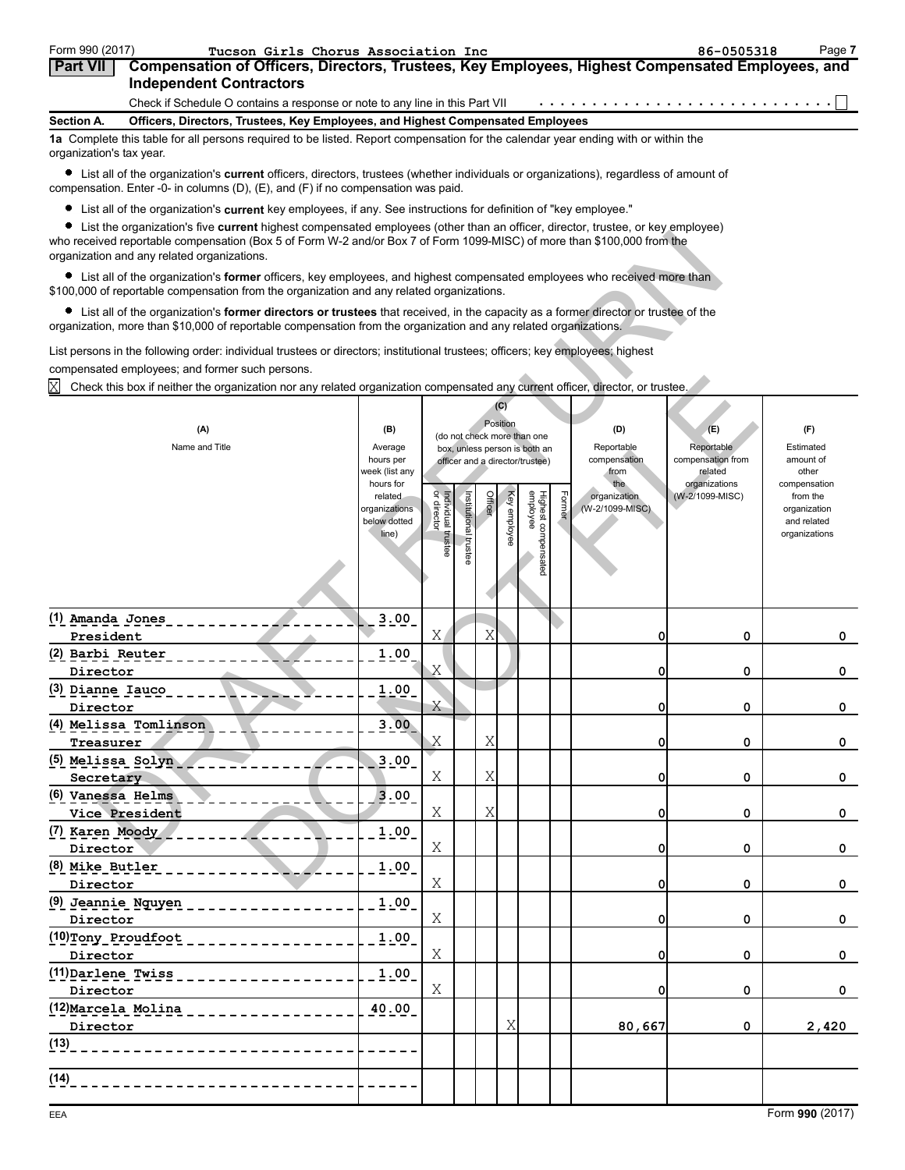| Form 990 (2017)          | Tucson Girls Chorus Association Inc                                                                                                | 86-0505318 | Page 7 |
|--------------------------|------------------------------------------------------------------------------------------------------------------------------------|------------|--------|
| <b>Part VII</b>          | Compensation of Officers, Directors, Trustees, Key Employees, Highest Compensated Employees, and<br><b>Independent Contractors</b> |            |        |
|                          | Check if Schedule O contains a response or note to any line in this Part VII                                                       |            |        |
| Section A.               | Officers, Directors, Trustees, Key Employees, and Highest Compensated Employees                                                    |            |        |
| organization's tax year. | 1a Complete this table for all persons required to be listed. Report compensation for the calendar year ending with or within the  |            |        |

List all of the organization's **current** officers, directors, trustees (whether individuals or organizations), regardless of amount of compensation. Enter -0- in columns (D), (E), and (F) if no compensation was paid.

List all of the organization's **current** key employees, if any. See instructions for definition of "key employee."

List the organization's five **current** highest compensated employees (other than an officer, director, trustee, or key employee)

| anization o involvemente ingribot componedica ompioyoco (caror andri ani omoor, anoctor, a dottor, or noy om<br>who received reportable compensation (Box 5 of Form W-2 and/or Box 7 of Form 1099-MISC) of more than \$100,000 from the<br>organization and any related organizations.                               |                             |                                   |               |        |              |                                 |        |                                 |                              |                          |  |
|----------------------------------------------------------------------------------------------------------------------------------------------------------------------------------------------------------------------------------------------------------------------------------------------------------------------|-----------------------------|-----------------------------------|---------------|--------|--------------|---------------------------------|--------|---------------------------------|------------------------------|--------------------------|--|
| • List all of the organization's former officers, key employees, and highest compensated employees who received more than<br>\$100,000 of reportable compensation from the organization and any related organizations.                                                                                               |                             |                                   |               |        |              |                                 |        |                                 |                              |                          |  |
| • List all of the organization's former directors or trustees that received, in the capacity as a former director or trustee of the<br>organization, more than \$10,000 of reportable compensation from the organization and any related organizations.                                                              |                             |                                   |               |        |              |                                 |        |                                 |                              |                          |  |
| List persons in the following order: individual trustees or directors; institutional trustees; officers; key employees; highest<br>compensated employees; and former such persons.<br>Check this box if neither the organization nor any related organization compensated any current officer, director, or trustee. |                             |                                   |               |        |              |                                 |        |                                 |                              |                          |  |
| (C)                                                                                                                                                                                                                                                                                                                  |                             |                                   |               |        |              |                                 |        |                                 |                              |                          |  |
|                                                                                                                                                                                                                                                                                                                      |                             |                                   |               |        |              |                                 |        |                                 |                              |                          |  |
| (A)                                                                                                                                                                                                                                                                                                                  | (B)                         |                                   |               |        | Position     | (do not check more than one     |        | (D)                             | (E)                          | (F)                      |  |
| Name and Title                                                                                                                                                                                                                                                                                                       | Average                     |                                   |               |        |              | box, unless person is both an   |        | Reportable                      | Reportable                   | Estimated                |  |
|                                                                                                                                                                                                                                                                                                                      | hours per<br>week (list any |                                   |               |        |              | officer and a director/trustee) |        | compensation<br>from            | compensation from<br>related | amount of<br>other       |  |
|                                                                                                                                                                                                                                                                                                                      | hours for                   |                                   |               |        |              |                                 |        | the                             | organizations                | compensation             |  |
|                                                                                                                                                                                                                                                                                                                      | related<br>organizations    | Individual trustee<br>or director | Institutional | Office | Key employee | Highest compensated<br>employee | Former | organization<br>(W-2/1099-MISC) | (W-2/1099-MISC)              | from the<br>organization |  |
|                                                                                                                                                                                                                                                                                                                      | below dotted                |                                   |               |        |              |                                 |        |                                 |                              | and related              |  |
|                                                                                                                                                                                                                                                                                                                      | line)                       |                                   |               |        |              |                                 |        |                                 |                              | organizations            |  |
|                                                                                                                                                                                                                                                                                                                      |                             |                                   | trustee       |        |              |                                 |        |                                 |                              |                          |  |
|                                                                                                                                                                                                                                                                                                                      |                             |                                   |               |        |              |                                 |        |                                 |                              |                          |  |
|                                                                                                                                                                                                                                                                                                                      |                             |                                   |               |        |              |                                 |        |                                 |                              |                          |  |
|                                                                                                                                                                                                                                                                                                                      |                             |                                   |               |        |              |                                 |        |                                 |                              |                          |  |
| (1) Amanda Jones                                                                                                                                                                                                                                                                                                     | 3.00                        |                                   |               |        |              |                                 |        |                                 |                              |                          |  |
| President                                                                                                                                                                                                                                                                                                            |                             | Χ                                 |               | Χ      |              |                                 |        | 0                               | 0                            | 0                        |  |
| (2) Barbi Reuter                                                                                                                                                                                                                                                                                                     | 1.00                        |                                   |               |        |              |                                 |        |                                 |                              |                          |  |
| Director                                                                                                                                                                                                                                                                                                             |                             | Χ                                 |               |        |              |                                 |        | 0                               | 0                            | 0                        |  |
| (3) Dianne Iauco                                                                                                                                                                                                                                                                                                     | 1.00                        |                                   |               |        |              |                                 |        |                                 |                              |                          |  |
| Director                                                                                                                                                                                                                                                                                                             |                             | Χ                                 |               |        |              |                                 |        | 0                               | 0                            | 0                        |  |
| (4) Melissa Tomlinson                                                                                                                                                                                                                                                                                                | 3.00                        |                                   |               |        |              |                                 |        |                                 |                              |                          |  |
| Treasurer                                                                                                                                                                                                                                                                                                            |                             | Χ                                 |               | Χ      |              |                                 |        | 0                               | 0                            | 0                        |  |
| (5) Melissa Solyn                                                                                                                                                                                                                                                                                                    | 3.00                        |                                   |               |        |              |                                 |        |                                 |                              |                          |  |
| Secretary                                                                                                                                                                                                                                                                                                            |                             | Χ                                 |               | Χ      |              |                                 |        | 0                               | 0                            | 0                        |  |
| (6) Vanessa Helms                                                                                                                                                                                                                                                                                                    | 3.00                        |                                   |               |        |              |                                 |        |                                 |                              |                          |  |
| Vice President                                                                                                                                                                                                                                                                                                       |                             | Χ                                 |               | Χ      |              |                                 |        | 0                               | 0                            | 0                        |  |
| (7) Karen Moody                                                                                                                                                                                                                                                                                                      | 1.00                        |                                   |               |        |              |                                 |        |                                 |                              |                          |  |
| Director                                                                                                                                                                                                                                                                                                             |                             | Χ                                 |               |        |              |                                 |        | 0                               | 0                            | 0                        |  |
| (8) Mike Butler                                                                                                                                                                                                                                                                                                      | 1.00                        |                                   |               |        |              |                                 |        |                                 |                              |                          |  |
| Director                                                                                                                                                                                                                                                                                                             |                             | Χ                                 |               |        |              |                                 |        | 0                               | 0                            | 0                        |  |
| $(9)$ Jeannie Nguyen _ _ _ _ _ _ _ _ _ _ _ _                                                                                                                                                                                                                                                                         | 1.00                        |                                   |               |        |              |                                 |        |                                 |                              |                          |  |
| Director                                                                                                                                                                                                                                                                                                             |                             | Χ                                 |               |        |              |                                 |        | 0                               | 0                            | 0                        |  |
| (10)Tony Proudfoot<br><u>a da da da da da</u>                                                                                                                                                                                                                                                                        | 1.00                        |                                   |               |        |              |                                 |        |                                 |                              |                          |  |
| Director                                                                                                                                                                                                                                                                                                             |                             | Χ                                 |               |        |              |                                 |        | 0                               | 0                            | $\mathbf 0$              |  |
| (11) Darlene Twiss<br>------------                                                                                                                                                                                                                                                                                   | 1.00                        |                                   |               |        |              |                                 |        |                                 |                              |                          |  |
| Director                                                                                                                                                                                                                                                                                                             |                             | Χ                                 |               |        |              |                                 |        | 0                               | 0                            | $\mathbf 0$              |  |
| (12) Marcela Molina<br>$\frac{1}{2}$ = $\frac{1}{2}$ = $\frac{1}{2}$ = $\frac{1}{2}$ = $\frac{1}{2}$ = $\frac{1}{2}$ = $\frac{1}{2}$                                                                                                                                                                                 | 40.00                       |                                   |               |        |              |                                 |        |                                 |                              |                          |  |
| Director                                                                                                                                                                                                                                                                                                             |                             |                                   |               |        | Χ            |                                 |        | 80,667                          | 0                            | 2,420                    |  |
| (13)                                                                                                                                                                                                                                                                                                                 |                             |                                   |               |        |              |                                 |        |                                 |                              |                          |  |
|                                                                                                                                                                                                                                                                                                                      |                             |                                   |               |        |              |                                 |        |                                 |                              |                          |  |
| (14)                                                                                                                                                                                                                                                                                                                 |                             |                                   |               |        |              |                                 |        |                                 |                              |                          |  |
|                                                                                                                                                                                                                                                                                                                      |                             |                                   |               |        |              |                                 |        |                                 |                              |                          |  |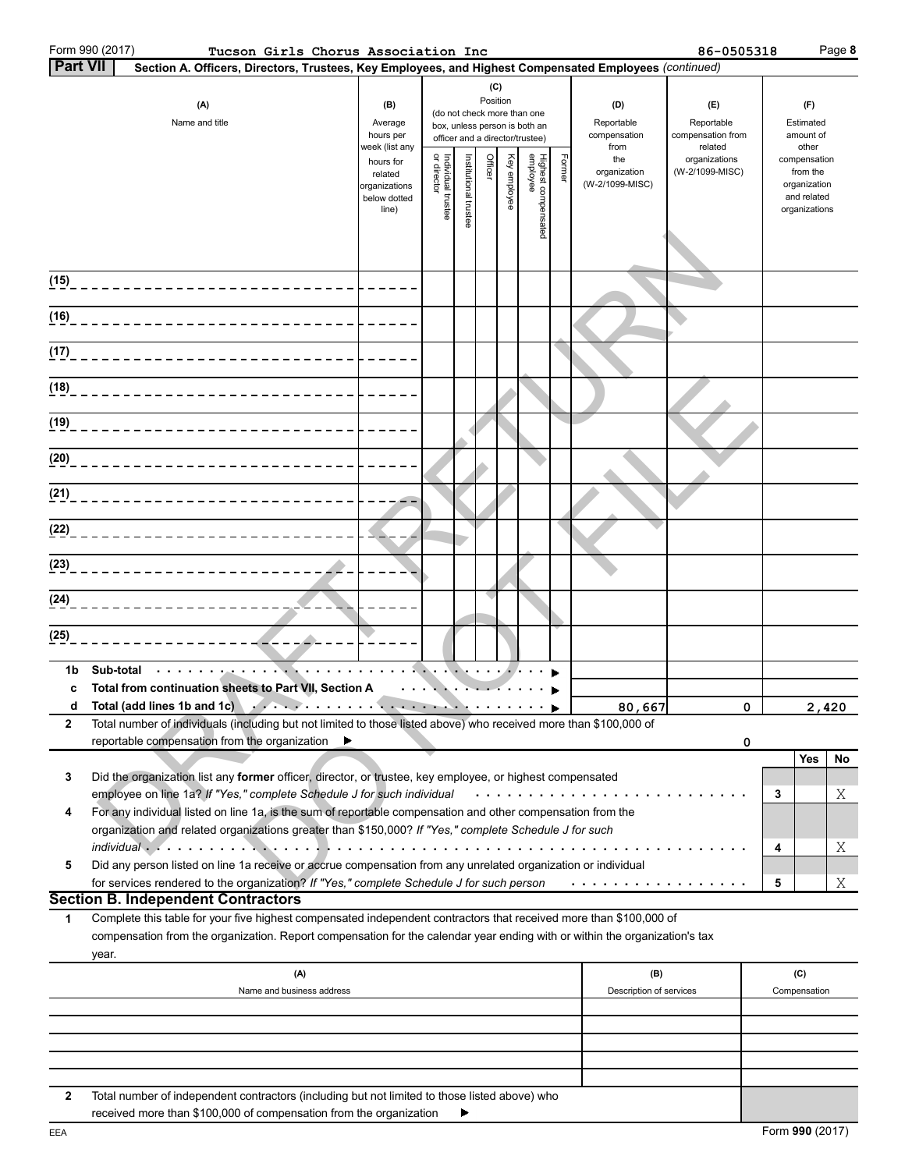|                 | Form 990 (2017) | Tucson Girls Chorus Association Inc                                                                                                                                                                                                              |                                                                                                                                                                                                                                                                          |                                   |                      |                                                                                                             |              |                                                                                                 |        |                                                | 86-0505318                                  |   |                                                                                   | Page 8 |
|-----------------|-----------------|--------------------------------------------------------------------------------------------------------------------------------------------------------------------------------------------------------------------------------------------------|--------------------------------------------------------------------------------------------------------------------------------------------------------------------------------------------------------------------------------------------------------------------------|-----------------------------------|----------------------|-------------------------------------------------------------------------------------------------------------|--------------|-------------------------------------------------------------------------------------------------|--------|------------------------------------------------|---------------------------------------------|---|-----------------------------------------------------------------------------------|--------|
| <b>Part VII</b> |                 | Section A. Officers, Directors, Trustees, Key Employees, and Highest Compensated Employees (continued)                                                                                                                                           |                                                                                                                                                                                                                                                                          |                                   |                      |                                                                                                             |              |                                                                                                 |        |                                                |                                             |   |                                                                                   |        |
|                 |                 | (A)<br>Name and title                                                                                                                                                                                                                            | (B)<br>Average<br>hours per                                                                                                                                                                                                                                              |                                   |                      | (C)<br>Position                                                                                             |              | (do not check more than one<br>box, unless person is both an<br>officer and a director/trustee) |        | (D)<br>Reportable<br>compensation              | (E)<br>Reportable<br>compensation from      |   | (F)<br>Estimated<br>amount of                                                     |        |
|                 |                 |                                                                                                                                                                                                                                                  | week (list any<br>hours for<br>related<br>organizations<br>below dotted<br>line)                                                                                                                                                                                         | Individual trustee<br>or director | nstitutional trustee | Officer                                                                                                     | Key employee | Highest compensated<br>employee                                                                 | Former | from<br>the<br>organization<br>(W-2/1099-MISC) | related<br>organizations<br>(W-2/1099-MISC) |   | other<br>compensation<br>from the<br>organization<br>and related<br>organizations |        |
|                 |                 | (15) _______________________________                                                                                                                                                                                                             |                                                                                                                                                                                                                                                                          |                                   |                      |                                                                                                             |              |                                                                                                 |        |                                                |                                             |   |                                                                                   |        |
|                 |                 |                                                                                                                                                                                                                                                  |                                                                                                                                                                                                                                                                          |                                   |                      |                                                                                                             |              |                                                                                                 |        |                                                |                                             |   |                                                                                   |        |
|                 |                 |                                                                                                                                                                                                                                                  |                                                                                                                                                                                                                                                                          |                                   |                      |                                                                                                             |              |                                                                                                 |        |                                                |                                             |   |                                                                                   |        |
|                 |                 | (1 <u>8</u> ) <sub>---------------------------</sub>                                                                                                                                                                                             |                                                                                                                                                                                                                                                                          |                                   |                      |                                                                                                             |              |                                                                                                 |        |                                                |                                             |   |                                                                                   |        |
|                 |                 |                                                                                                                                                                                                                                                  |                                                                                                                                                                                                                                                                          |                                   |                      |                                                                                                             |              |                                                                                                 |        |                                                |                                             |   |                                                                                   |        |
|                 |                 | (20)_______________________________                                                                                                                                                                                                              |                                                                                                                                                                                                                                                                          |                                   |                      |                                                                                                             |              |                                                                                                 |        |                                                |                                             |   |                                                                                   |        |
|                 |                 |                                                                                                                                                                                                                                                  |                                                                                                                                                                                                                                                                          |                                   |                      |                                                                                                             |              |                                                                                                 |        |                                                |                                             |   |                                                                                   |        |
|                 |                 |                                                                                                                                                                                                                                                  |                                                                                                                                                                                                                                                                          |                                   |                      |                                                                                                             |              |                                                                                                 |        |                                                |                                             |   |                                                                                   |        |
|                 |                 |                                                                                                                                                                                                                                                  |                                                                                                                                                                                                                                                                          |                                   |                      |                                                                                                             |              |                                                                                                 |        |                                                |                                             |   |                                                                                   |        |
|                 |                 |                                                                                                                                                                                                                                                  |                                                                                                                                                                                                                                                                          |                                   |                      |                                                                                                             |              |                                                                                                 |        |                                                |                                             |   |                                                                                   |        |
| (25)            |                 | --------------                                                                                                                                                                                                                                   |                                                                                                                                                                                                                                                                          |                                   |                      |                                                                                                             |              |                                                                                                 |        |                                                |                                             |   |                                                                                   |        |
| 1b              | Sub-total       | أوالمتعاقب ويرودون والمتعاونة                                                                                                                                                                                                                    | $\mathcal{L}^{\mathcal{A}}\left( \mathcal{A}^{\mathcal{A}}\right) =\mathcal{L}^{\mathcal{A}}\left( \mathcal{A}^{\mathcal{A}}\right) =\mathcal{L}^{\mathcal{A}}\left( \mathcal{A}^{\mathcal{A}}\right) =\mathcal{L}^{\mathcal{A}}\left( \mathcal{A}^{\mathcal{A}}\right)$ |                                   |                      |                                                                                                             |              |                                                                                                 |        |                                                |                                             |   |                                                                                   |        |
| c<br>d          |                 | Total from continuation sheets to Part VII, Section A<br>Total (add lines 1b and 1c)                                                                                                                                                             |                                                                                                                                                                                                                                                                          |                                   |                      | $\mathcal{L}(\mathcal{L}) = \mathcal{L}(\mathcal{L}) = \mathcal{L}(\mathcal{L}) = \mathcal{L}(\mathcal{L})$ |              |                                                                                                 |        | 80,667                                         | $\Omega$                                    |   |                                                                                   | 2.420  |
| 2               |                 | Total number of individuals (including but not limited to those listed above) who received more than \$100,000 of                                                                                                                                |                                                                                                                                                                                                                                                                          |                                   |                      |                                                                                                             |              |                                                                                                 |        |                                                |                                             |   |                                                                                   |        |
|                 |                 | reportable compensation from the organization<br>▶                                                                                                                                                                                               |                                                                                                                                                                                                                                                                          |                                   |                      |                                                                                                             |              |                                                                                                 |        |                                                | 0                                           |   | <b>Yes</b>                                                                        | No     |
| 3               |                 | Did the organization list any former officer, director, or trustee, key employee, or highest compensated<br>employee on line 1a? If "Yes," complete Schedule J for such individual                                                               |                                                                                                                                                                                                                                                                          |                                   |                      |                                                                                                             |              |                                                                                                 |        |                                                |                                             | 3 |                                                                                   | Χ      |
| 4               |                 | For any individual listed on line 1a, is the sum of reportable compensation and other compensation from the<br>organization and related organizations greater than \$150,000? If "Yes," complete Schedule J for such                             |                                                                                                                                                                                                                                                                          |                                   |                      |                                                                                                             |              |                                                                                                 |        |                                                |                                             |   |                                                                                   |        |
| 5               |                 | Did any person listed on line 1a receive or accrue compensation from any unrelated organization or individual                                                                                                                                    |                                                                                                                                                                                                                                                                          |                                   |                      |                                                                                                             |              |                                                                                                 |        |                                                |                                             | 4 |                                                                                   | Χ      |
|                 |                 | for services rendered to the organization? If "Yes," complete Schedule J for such person<br><b>Section B. Independent Contractors</b>                                                                                                            |                                                                                                                                                                                                                                                                          |                                   |                      |                                                                                                             |              |                                                                                                 |        | .                                              |                                             | 5 |                                                                                   | Χ      |
| 1               |                 | Complete this table for your five highest compensated independent contractors that received more than \$100,000 of<br>compensation from the organization. Report compensation for the calendar year ending with or within the organization's tax |                                                                                                                                                                                                                                                                          |                                   |                      |                                                                                                             |              |                                                                                                 |        |                                                |                                             |   |                                                                                   |        |
|                 | year.           | (A)                                                                                                                                                                                                                                              |                                                                                                                                                                                                                                                                          |                                   |                      |                                                                                                             |              |                                                                                                 |        | (B)                                            |                                             |   | (C)                                                                               |        |
|                 |                 | Name and business address                                                                                                                                                                                                                        |                                                                                                                                                                                                                                                                          |                                   |                      |                                                                                                             |              |                                                                                                 |        | Description of services                        |                                             |   | Compensation                                                                      |        |
|                 |                 |                                                                                                                                                                                                                                                  |                                                                                                                                                                                                                                                                          |                                   |                      |                                                                                                             |              |                                                                                                 |        |                                                |                                             |   |                                                                                   |        |
|                 |                 |                                                                                                                                                                                                                                                  |                                                                                                                                                                                                                                                                          |                                   |                      |                                                                                                             |              |                                                                                                 |        |                                                |                                             |   |                                                                                   |        |
|                 |                 |                                                                                                                                                                                                                                                  |                                                                                                                                                                                                                                                                          |                                   |                      |                                                                                                             |              |                                                                                                 |        |                                                |                                             |   |                                                                                   |        |

| Total number of independent contractors (including but not limited to those listed above) who |
|-----------------------------------------------------------------------------------------------|
| received more than \$100,000 of compensation from the organization                            |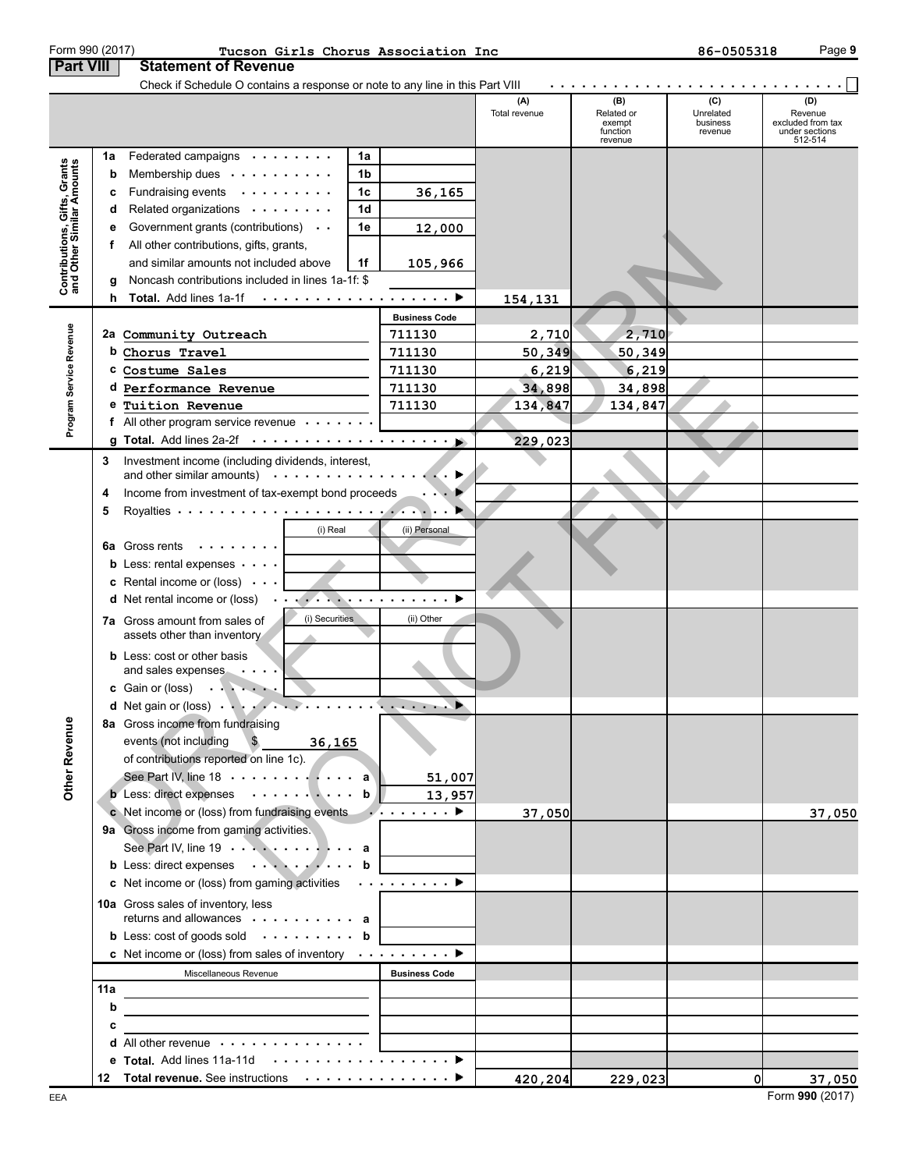|                                                           |    | Check if Schedule O contains a response or note to any line in this Part VIII                                        |                                                                                                                                                                                                                                                                                                                                                                                                                              |                      |                                                    |                                         |                                                                  |
|-----------------------------------------------------------|----|----------------------------------------------------------------------------------------------------------------------|------------------------------------------------------------------------------------------------------------------------------------------------------------------------------------------------------------------------------------------------------------------------------------------------------------------------------------------------------------------------------------------------------------------------------|----------------------|----------------------------------------------------|-----------------------------------------|------------------------------------------------------------------|
|                                                           |    |                                                                                                                      |                                                                                                                                                                                                                                                                                                                                                                                                                              | (A)<br>Total revenue | (B)<br>Related or<br>exempt<br>function<br>revenue | (C)<br>Unrelated<br>business<br>revenue | (D)<br>Revenue<br>excluded from tax<br>under sections<br>512-514 |
|                                                           | 1a | Federated campaigns                                                                                                  | 1a                                                                                                                                                                                                                                                                                                                                                                                                                           |                      |                                                    |                                         |                                                                  |
| Contributions, Gifts, Grants<br>and Other Similar Amounts | b  | Membership dues                                                                                                      | 1b                                                                                                                                                                                                                                                                                                                                                                                                                           |                      |                                                    |                                         |                                                                  |
|                                                           | c  | Fundraising events                                                                                                   | 1c<br>36,165                                                                                                                                                                                                                                                                                                                                                                                                                 |                      |                                                    |                                         |                                                                  |
|                                                           | d  | Related organizations                                                                                                | 1 <sub>d</sub>                                                                                                                                                                                                                                                                                                                                                                                                               |                      |                                                    |                                         |                                                                  |
|                                                           | е  | Government grants (contributions)                                                                                    | 1e<br>12,000                                                                                                                                                                                                                                                                                                                                                                                                                 |                      |                                                    |                                         |                                                                  |
|                                                           | f. | All other contributions, gifts, grants,                                                                              |                                                                                                                                                                                                                                                                                                                                                                                                                              |                      |                                                    |                                         |                                                                  |
|                                                           |    | and similar amounts not included above                                                                               | 1f<br>105,966                                                                                                                                                                                                                                                                                                                                                                                                                |                      |                                                    |                                         |                                                                  |
|                                                           | g  | Noncash contributions included in lines 1a-1f: \$                                                                    |                                                                                                                                                                                                                                                                                                                                                                                                                              |                      |                                                    |                                         |                                                                  |
|                                                           | h. | Total. Add lines 1a-1f ▶                                                                                             |                                                                                                                                                                                                                                                                                                                                                                                                                              | 154,131              |                                                    |                                         |                                                                  |
|                                                           |    |                                                                                                                      | <b>Business Code</b>                                                                                                                                                                                                                                                                                                                                                                                                         |                      |                                                    |                                         |                                                                  |
|                                                           |    | 2a Community Outreach                                                                                                | 711130                                                                                                                                                                                                                                                                                                                                                                                                                       | 2,710                | 2,710                                              |                                         |                                                                  |
|                                                           |    | b Chorus Travel                                                                                                      | 711130                                                                                                                                                                                                                                                                                                                                                                                                                       | 50, 349              | 50,349                                             |                                         |                                                                  |
|                                                           |    | C Costume Sales                                                                                                      | 711130                                                                                                                                                                                                                                                                                                                                                                                                                       | 6,219                | 6,219                                              |                                         |                                                                  |
|                                                           |    | d Performance Revenue                                                                                                | 711130                                                                                                                                                                                                                                                                                                                                                                                                                       | 34,898               | 34,898                                             |                                         |                                                                  |
|                                                           |    | e Tuition Revenue                                                                                                    | 711130                                                                                                                                                                                                                                                                                                                                                                                                                       | 134,847              | 134,847                                            |                                         |                                                                  |
| Program Service Revenue                                   |    | f All other program service revenue $\cdots$                                                                         |                                                                                                                                                                                                                                                                                                                                                                                                                              |                      |                                                    |                                         |                                                                  |
|                                                           |    | g Total. Add lines 2a-2f $\cdots$                                                                                    |                                                                                                                                                                                                                                                                                                                                                                                                                              | 229,023              |                                                    |                                         |                                                                  |
|                                                           | 3  | Investment income (including dividends, interest,                                                                    |                                                                                                                                                                                                                                                                                                                                                                                                                              |                      |                                                    |                                         |                                                                  |
|                                                           |    | and other similar amounts) $\cdots$                                                                                  |                                                                                                                                                                                                                                                                                                                                                                                                                              |                      |                                                    |                                         |                                                                  |
|                                                           | 4  | Income from investment of tax-exempt bond proceeds                                                                   |                                                                                                                                                                                                                                                                                                                                                                                                                              |                      |                                                    |                                         |                                                                  |
|                                                           | 5  |                                                                                                                      |                                                                                                                                                                                                                                                                                                                                                                                                                              |                      |                                                    |                                         |                                                                  |
|                                                           |    | (i) Real                                                                                                             | (ii) Personal                                                                                                                                                                                                                                                                                                                                                                                                                |                      |                                                    |                                         |                                                                  |
|                                                           |    | <b>6a</b> Gross rents<br>.                                                                                           |                                                                                                                                                                                                                                                                                                                                                                                                                              |                      |                                                    |                                         |                                                                  |
|                                                           |    | <b>b</b> Less: rental expenses $\cdots$                                                                              |                                                                                                                                                                                                                                                                                                                                                                                                                              |                      |                                                    |                                         |                                                                  |
|                                                           |    | <b>c</b> Rental income or (loss) $\cdot \cdot \cdot$                                                                 |                                                                                                                                                                                                                                                                                                                                                                                                                              |                      |                                                    |                                         |                                                                  |
|                                                           |    | <b>d</b> Net rental income or (loss)                                                                                 | .                                                                                                                                                                                                                                                                                                                                                                                                                            |                      |                                                    |                                         |                                                                  |
|                                                           |    | (i) Securities<br><b>7a</b> Gross amount from sales of                                                               | (ii) Other                                                                                                                                                                                                                                                                                                                                                                                                                   |                      |                                                    |                                         |                                                                  |
|                                                           |    | assets other than inventory                                                                                          |                                                                                                                                                                                                                                                                                                                                                                                                                              |                      |                                                    |                                         |                                                                  |
|                                                           |    | <b>b</b> Less: cost or other basis                                                                                   |                                                                                                                                                                                                                                                                                                                                                                                                                              |                      |                                                    |                                         |                                                                  |
|                                                           |    | and sales expenses                                                                                                   |                                                                                                                                                                                                                                                                                                                                                                                                                              |                      |                                                    |                                         |                                                                  |
|                                                           |    | c Gain or (loss)                                                                                                     |                                                                                                                                                                                                                                                                                                                                                                                                                              |                      |                                                    |                                         |                                                                  |
|                                                           |    | d Net gain or (loss)                                                                                                 | $\mathbf{r} = \mathbf{r} + \mathbf{r} + \mathbf{r} + \mathbf{r} + \mathbf{r} + \mathbf{r} + \mathbf{r} + \mathbf{r} + \mathbf{r} + \mathbf{r} + \mathbf{r} + \mathbf{r} + \mathbf{r} + \mathbf{r} + \mathbf{r} + \mathbf{r} + \mathbf{r} + \mathbf{r} + \mathbf{r} + \mathbf{r} + \mathbf{r} + \mathbf{r} + \mathbf{r} + \mathbf{r} + \mathbf{r} + \mathbf{r} + \mathbf{r} + \mathbf{r} + \mathbf{r} + \mathbf{r} + \mathbf$ |                      |                                                    |                                         |                                                                  |
| nue                                                       |    | 8a Gross income from fundraising                                                                                     |                                                                                                                                                                                                                                                                                                                                                                                                                              |                      |                                                    |                                         |                                                                  |
|                                                           |    | events (not including<br>$\mathcal{F}$<br>36,165                                                                     |                                                                                                                                                                                                                                                                                                                                                                                                                              |                      |                                                    |                                         |                                                                  |
|                                                           |    | of contributions reported on line 1c).                                                                               |                                                                                                                                                                                                                                                                                                                                                                                                                              |                      |                                                    |                                         |                                                                  |
| Other Reve                                                |    | See Part IV, line 18 $\cdots$ $\cdots$ $\cdots$ $\cdots$ a                                                           | 51,007                                                                                                                                                                                                                                                                                                                                                                                                                       |                      |                                                    |                                         |                                                                  |
|                                                           |    | <b>b</b> Less: direct expenses $\cdots \cdots \cdots$ <b>b</b>                                                       | 13,957                                                                                                                                                                                                                                                                                                                                                                                                                       |                      |                                                    |                                         |                                                                  |
|                                                           |    | c Net income or (loss) from fundraising events $\cdots$                                                              |                                                                                                                                                                                                                                                                                                                                                                                                                              | 37,050               |                                                    |                                         | 37,050                                                           |
|                                                           |    | 9a Gross income from gaming activities.                                                                              |                                                                                                                                                                                                                                                                                                                                                                                                                              |                      |                                                    |                                         |                                                                  |
|                                                           |    | See Part IV, line 19 $\cdots$ $\cdots$ $\cdots$                                                                      |                                                                                                                                                                                                                                                                                                                                                                                                                              |                      |                                                    |                                         |                                                                  |
|                                                           |    | b Less: direct expenses b                                                                                            |                                                                                                                                                                                                                                                                                                                                                                                                                              |                      |                                                    |                                         |                                                                  |
|                                                           |    | c Net income or (loss) from gaming activities $\cdots \cdots \cdots$                                                 |                                                                                                                                                                                                                                                                                                                                                                                                                              |                      |                                                    |                                         |                                                                  |
|                                                           |    | 10a Gross sales of inventory, less                                                                                   |                                                                                                                                                                                                                                                                                                                                                                                                                              |                      |                                                    |                                         |                                                                  |
|                                                           |    | returns and allowances $\cdots$ , $\cdots$ , $\cdots$                                                                |                                                                                                                                                                                                                                                                                                                                                                                                                              |                      |                                                    |                                         |                                                                  |
|                                                           |    | <b>b</b> Less: cost of goods sold $\cdot \cdot \cdot \cdot \cdot \cdot \cdot$ b                                      |                                                                                                                                                                                                                                                                                                                                                                                                                              |                      |                                                    |                                         |                                                                  |
|                                                           |    | c Net income or (loss) from sales of inventory $\cdots \cdots \cdots$                                                |                                                                                                                                                                                                                                                                                                                                                                                                                              |                      |                                                    |                                         |                                                                  |
|                                                           |    | Miscellaneous Revenue                                                                                                | <b>Business Code</b>                                                                                                                                                                                                                                                                                                                                                                                                         |                      |                                                    |                                         |                                                                  |
|                                                           |    |                                                                                                                      |                                                                                                                                                                                                                                                                                                                                                                                                                              |                      |                                                    |                                         |                                                                  |
|                                                           | b  | the control of the control of the control of the control of the control of                                           |                                                                                                                                                                                                                                                                                                                                                                                                                              |                      |                                                    |                                         |                                                                  |
|                                                           | c  | <u> 1980 - Jan Stein Stein Stein Stein Stein Stein Stein Stein Stein Stein Stein Stein Stein Stein Stein Stein S</u> |                                                                                                                                                                                                                                                                                                                                                                                                                              |                      |                                                    |                                         |                                                                  |
|                                                           |    | d All other revenue                                                                                                  |                                                                                                                                                                                                                                                                                                                                                                                                                              |                      |                                                    |                                         |                                                                  |
|                                                           |    |                                                                                                                      |                                                                                                                                                                                                                                                                                                                                                                                                                              |                      |                                                    |                                         |                                                                  |
|                                                           |    | 12 Total revenue. See instructions ▶                                                                                 |                                                                                                                                                                                                                                                                                                                                                                                                                              | 420,204              | 229,023                                            | 0                                       | 37,050                                                           |

#### **Part VIII | Statement of Revenue** Form 990 (2017) Page **9 Tucson Girls Chorus Association Inc 86-0505318**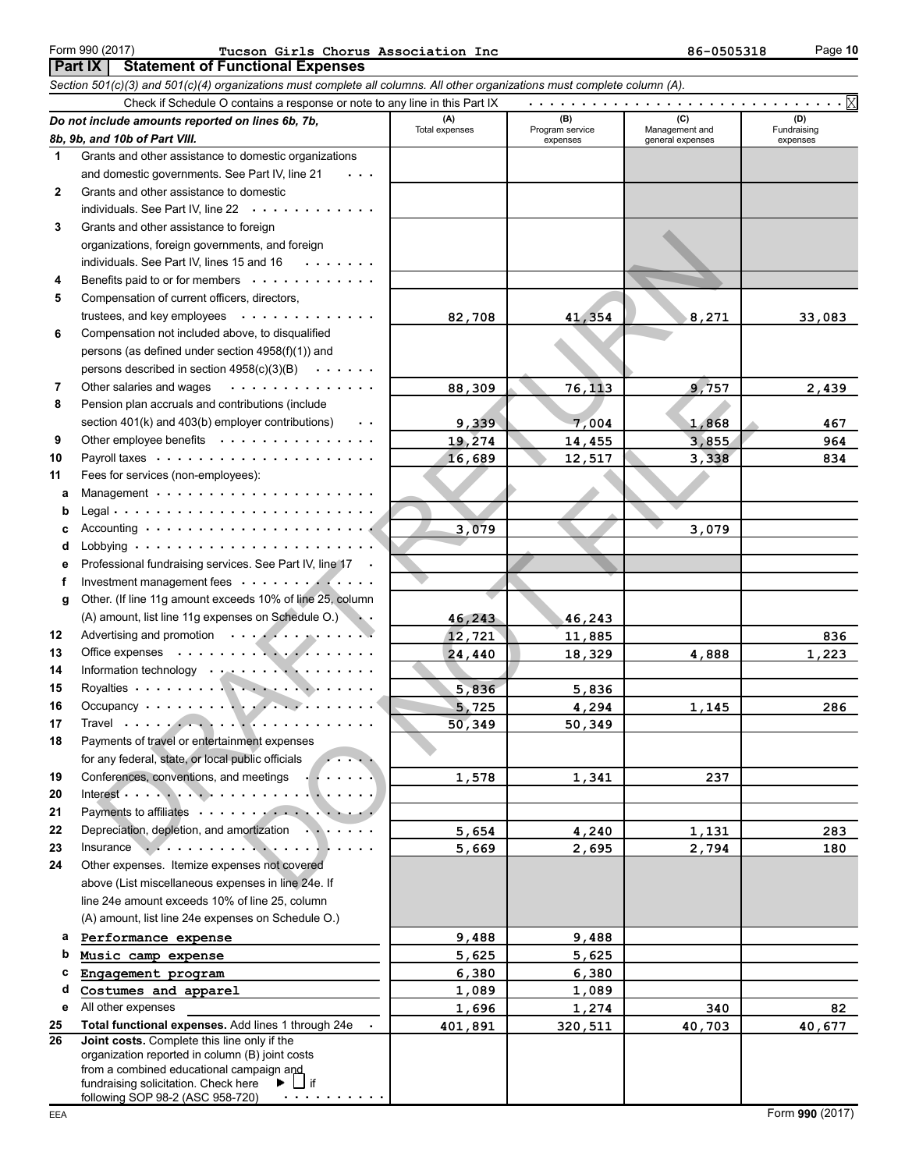#### **Part IX | Statement of Functional Expenses** Form 990 (2017) Page **10 Tucson Girls Chorus Association Inc 86-0505318**

|              | Section 501(c)(3) and 501(c)(4) organizations must complete all columns. All other organizations must complete column (A).                                                                 |                |                             |                                    |                         |  |  |  |  |  |
|--------------|--------------------------------------------------------------------------------------------------------------------------------------------------------------------------------------------|----------------|-----------------------------|------------------------------------|-------------------------|--|--|--|--|--|
|              | . X<br>Check if Schedule O contains a response or note to any line in this Part IX                                                                                                         |                |                             |                                    |                         |  |  |  |  |  |
|              | Do not include amounts reported on lines 6b, 7b,                                                                                                                                           | (A)            | (B)                         | (C)                                | (D)                     |  |  |  |  |  |
|              | 8b, 9b, and 10b of Part VIII.                                                                                                                                                              | Total expenses | Program service<br>expenses | Management and<br>general expenses | Fundraising<br>expenses |  |  |  |  |  |
| 1.           | Grants and other assistance to domestic organizations                                                                                                                                      |                |                             |                                    |                         |  |  |  |  |  |
|              | and domestic governments. See Part IV, line 21                                                                                                                                             |                |                             |                                    |                         |  |  |  |  |  |
| $\mathbf{2}$ | Grants and other assistance to domestic                                                                                                                                                    |                |                             |                                    |                         |  |  |  |  |  |
|              | individuals. See Part IV, line 22<br>$\sim$ $\sim$                                                                                                                                         |                |                             |                                    |                         |  |  |  |  |  |
| 3            | Grants and other assistance to foreign                                                                                                                                                     |                |                             |                                    |                         |  |  |  |  |  |
|              | organizations, foreign governments, and foreign                                                                                                                                            |                |                             |                                    |                         |  |  |  |  |  |
|              | individuals. See Part IV, lines 15 and 16<br>$\begin{array}{cccccccccccccc} \bullet & \bullet & \bullet & \bullet & \bullet & \bullet & \bullet & \bullet & \bullet & \bullet \end{array}$ |                |                             |                                    |                         |  |  |  |  |  |
| 4            | Benefits paid to or for members                                                                                                                                                            |                |                             |                                    |                         |  |  |  |  |  |
| 5            | Compensation of current officers, directors,                                                                                                                                               |                |                             |                                    |                         |  |  |  |  |  |
|              | trustees, and key employees<br>$\alpha$ , $\alpha$ , $\alpha$ , $\alpha$ , $\alpha$                                                                                                        | 82,708         | 41,354                      | 8,271                              | 33,083                  |  |  |  |  |  |
| 6            | Compensation not included above, to disqualified                                                                                                                                           |                |                             |                                    |                         |  |  |  |  |  |
|              | persons (as defined under section 4958(f)(1)) and                                                                                                                                          |                |                             |                                    |                         |  |  |  |  |  |
|              | persons described in section $4958(c)(3)(B) \cdot \cdot \cdot \cdot \cdot$                                                                                                                 |                |                             |                                    |                         |  |  |  |  |  |
| 7            | Other salaries and wages<br>.                                                                                                                                                              | 88,309         | 76,113                      | 9,757                              | 2,439                   |  |  |  |  |  |
| 8            | Pension plan accruals and contributions (include                                                                                                                                           |                |                             |                                    |                         |  |  |  |  |  |
|              | section 401(k) and 403(b) employer contributions)<br>$\ddot{\phantom{0}}$                                                                                                                  | 9,339          | 7,004                       | 1,868                              | 467                     |  |  |  |  |  |
| 9            | Other employee benefits                                                                                                                                                                    | 19,274         | 14,455                      | 3,855                              | 964                     |  |  |  |  |  |
| 10           |                                                                                                                                                                                            | 16,689         | 12,517                      | 3,338                              | 834                     |  |  |  |  |  |
| 11           | Fees for services (non-employees):                                                                                                                                                         |                |                             |                                    |                         |  |  |  |  |  |
| a            |                                                                                                                                                                                            |                |                             |                                    |                         |  |  |  |  |  |
| b            |                                                                                                                                                                                            |                |                             |                                    |                         |  |  |  |  |  |
| c            | Accounting $\cdots$ $\cdots$ $\cdots$ $\cdots$ $\cdots$ $\cdots$ $\cdots$ $\cdots$ $\cdots$                                                                                                | 3,079          |                             | 3,079                              |                         |  |  |  |  |  |
| d            |                                                                                                                                                                                            |                |                             |                                    |                         |  |  |  |  |  |
| е            | Professional fundraising services. See Part IV, line 17 .                                                                                                                                  |                |                             |                                    |                         |  |  |  |  |  |
| f            | Investment management fees                                                                                                                                                                 |                |                             |                                    |                         |  |  |  |  |  |
| g            | Other. (If line 11g amount exceeds 10% of line 25, column                                                                                                                                  |                |                             |                                    |                         |  |  |  |  |  |
|              | (A) amount, list line 11g expenses on Schedule O.)                                                                                                                                         | 46,243         | 46,243                      |                                    |                         |  |  |  |  |  |
| 12           | Advertising and promotion                                                                                                                                                                  | 12,721         | 11,885                      |                                    | 836                     |  |  |  |  |  |
| 13           |                                                                                                                                                                                            | 24,440         | 18,329                      | 4,888                              | 1,223                   |  |  |  |  |  |
| 14           | Information technology                                                                                                                                                                     |                |                             |                                    |                         |  |  |  |  |  |
| 15           |                                                                                                                                                                                            | 5,836          | 5,836                       |                                    |                         |  |  |  |  |  |
| 16           |                                                                                                                                                                                            | 5,725          | 4,294                       | 1,145                              | 286                     |  |  |  |  |  |
| 17           |                                                                                                                                                                                            | 50,349         | 50,349                      |                                    |                         |  |  |  |  |  |
| 18           | Payments of travel or entertainment expenses                                                                                                                                               |                |                             |                                    |                         |  |  |  |  |  |
|              | for any federal, state, or local public officials                                                                                                                                          |                |                             |                                    |                         |  |  |  |  |  |
| 19           | Conferences, conventions, and meetings<br>.                                                                                                                                                | 1,578          | 1,341                       | 237                                |                         |  |  |  |  |  |
| 20           |                                                                                                                                                                                            |                |                             |                                    |                         |  |  |  |  |  |
| 21           |                                                                                                                                                                                            |                |                             |                                    |                         |  |  |  |  |  |
| 22           | Depreciation, depletion, and amortization                                                                                                                                                  | 5,654          | 4,240                       | 1,131                              | 283                     |  |  |  |  |  |
| 23           |                                                                                                                                                                                            | 5,669          | 2,695                       | 2,794                              | 180                     |  |  |  |  |  |
| 24           | Other expenses. Itemize expenses not covered                                                                                                                                               |                |                             |                                    |                         |  |  |  |  |  |
|              | above (List miscellaneous expenses in line 24e. If                                                                                                                                         |                |                             |                                    |                         |  |  |  |  |  |
|              | line 24e amount exceeds 10% of line 25, column                                                                                                                                             |                |                             |                                    |                         |  |  |  |  |  |
|              | (A) amount, list line 24e expenses on Schedule O.)                                                                                                                                         |                |                             |                                    |                         |  |  |  |  |  |
| а            | Performance expense                                                                                                                                                                        | 9,488          | 9,488                       |                                    |                         |  |  |  |  |  |
| b            | Music camp expense                                                                                                                                                                         | 5,625          | 5,625                       |                                    |                         |  |  |  |  |  |
| с            | Engagement program                                                                                                                                                                         | 6,380          | 6,380                       |                                    |                         |  |  |  |  |  |
| d            | Costumes and apparel                                                                                                                                                                       | 1,089          | 1,089                       |                                    |                         |  |  |  |  |  |
| е            | All other expenses                                                                                                                                                                         | 1,696          | 1,274                       | 340                                | 82                      |  |  |  |  |  |
| 25           | Total functional expenses. Add lines 1 through 24e                                                                                                                                         | 401,891        | 320,511                     | 40,703                             | 40,677                  |  |  |  |  |  |
| 26           | Joint costs. Complete this line only if the                                                                                                                                                |                |                             |                                    |                         |  |  |  |  |  |
|              | organization reported in column (B) joint costs                                                                                                                                            |                |                             |                                    |                         |  |  |  |  |  |
|              | from a combined educational campaign and                                                                                                                                                   |                |                             |                                    |                         |  |  |  |  |  |
|              | $ $ if<br>fundraising solicitation. Check here<br>▶.<br>following SOP 98-2 (ASC 958-720)<br>.                                                                                              |                |                             |                                    |                         |  |  |  |  |  |
|              |                                                                                                                                                                                            |                |                             |                                    |                         |  |  |  |  |  |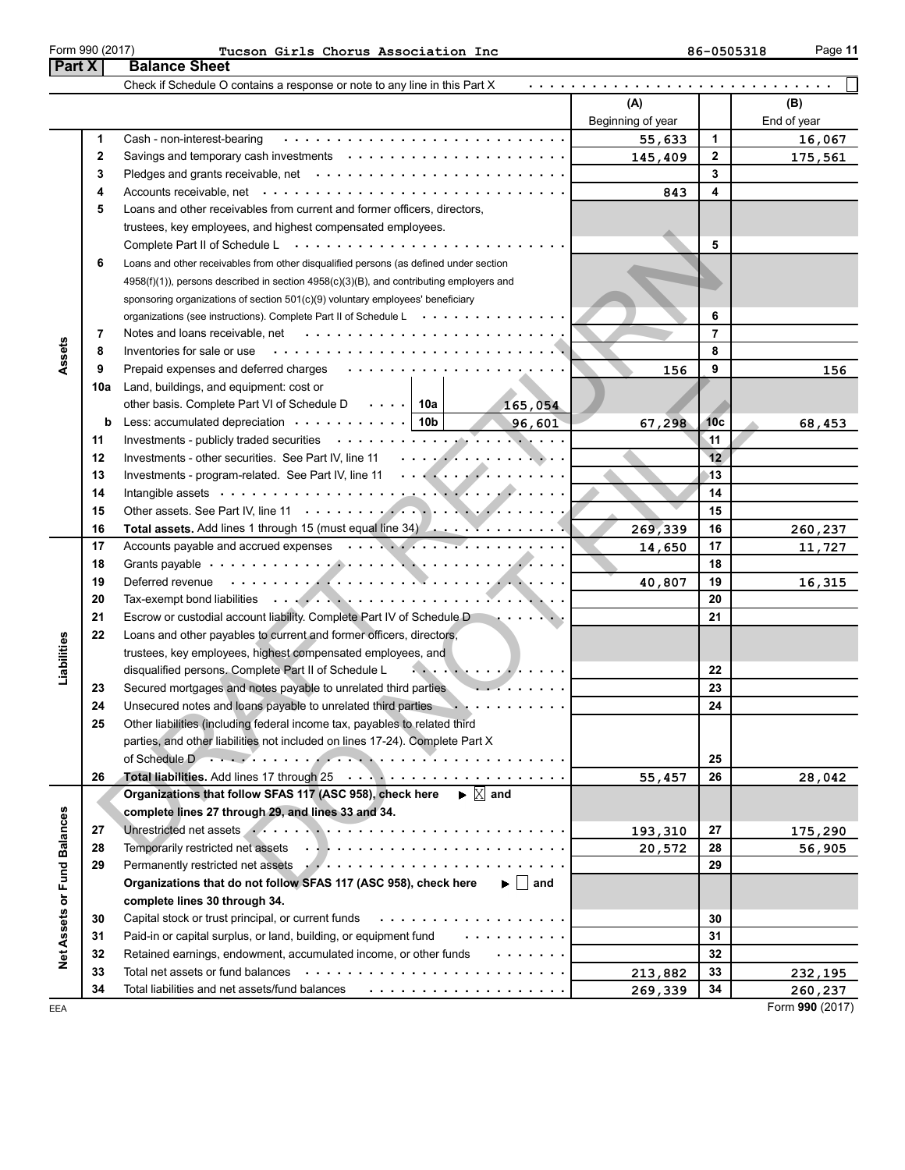| Form 990 (2011 |
|----------------|
|----------------|

| юe |  |  |
|----|--|--|
| н  |  |  |

| ган л                       |          | <b>Dalalice Oliect</b>                                                                                                                                                                                                                                        |                    |                 |                    |
|-----------------------------|----------|---------------------------------------------------------------------------------------------------------------------------------------------------------------------------------------------------------------------------------------------------------------|--------------------|-----------------|--------------------|
|                             |          | Check if Schedule O contains a response or note to any line in this Part X                                                                                                                                                                                    |                    |                 |                    |
|                             |          |                                                                                                                                                                                                                                                               | (A)                |                 | (B)                |
|                             |          |                                                                                                                                                                                                                                                               | Beginning of year  |                 | End of year        |
|                             | 1        | Cash - non-interest-bearing                                                                                                                                                                                                                                   | 55,633             | 1               | 16,067             |
|                             | 2        |                                                                                                                                                                                                                                                               | 145,409            | 2               | 175,561            |
|                             | 3        |                                                                                                                                                                                                                                                               |                    | 3               |                    |
|                             | 4        |                                                                                                                                                                                                                                                               | 843                | 4               |                    |
|                             | 5        | Loans and other receivables from current and former officers, directors,                                                                                                                                                                                      |                    |                 |                    |
|                             |          | trustees, key employees, and highest compensated employees.                                                                                                                                                                                                   |                    |                 |                    |
|                             |          | Complete Part II of Schedule L $\dots \dots \dots \dots \dots \dots \dots \dots \dots \dots \dots$                                                                                                                                                            |                    | 5               |                    |
|                             | 6        | Loans and other receivables from other disqualified persons (as defined under section                                                                                                                                                                         |                    |                 |                    |
|                             |          | $4958(f)(1)$ ), persons described in section $4958(c)(3)(B)$ , and contributing employers and                                                                                                                                                                 |                    |                 |                    |
|                             |          | sponsoring organizations of section 501(c)(9) voluntary employees' beneficiary                                                                                                                                                                                |                    |                 |                    |
|                             |          | organizations (see instructions). Complete Part II of Schedule L                                                                                                                                                                                              |                    | 6               |                    |
|                             | 7        |                                                                                                                                                                                                                                                               |                    | $\overline{7}$  |                    |
| Assets                      | 8        | Inventories for sale or use                                                                                                                                                                                                                                   |                    | 8               |                    |
|                             | 9        |                                                                                                                                                                                                                                                               | 156                | 9               | 156                |
|                             | 10a      | Land, buildings, and equipment: cost or                                                                                                                                                                                                                       |                    |                 |                    |
|                             |          | other basis. Complete Part VI of Schedule D $\cdots$   10a<br>165,054                                                                                                                                                                                         |                    |                 |                    |
|                             | b        | Less: accumulated depreciation $\cdots \cdots \cdots$   10b<br>96,601                                                                                                                                                                                         | 67,298             | 10 <sub>c</sub> | 68,453             |
|                             | 11       |                                                                                                                                                                                                                                                               |                    | $\overline{11}$ |                    |
|                             | 12       |                                                                                                                                                                                                                                                               |                    | 12              |                    |
|                             | 13       | Investments - program-related. See Part IV, line 11                                                                                                                                                                                                           |                    | 13              |                    |
|                             | 14       |                                                                                                                                                                                                                                                               |                    | 14              |                    |
|                             | 15       |                                                                                                                                                                                                                                                               |                    | 15              |                    |
|                             | 16       | <b>Total assets.</b> Add lines 1 through 15 (must equal line 34) $\ldots$ $\ldots$ $\ldots$ .                                                                                                                                                                 | 269,339            | 16              | 260,237            |
|                             | 17       |                                                                                                                                                                                                                                                               | 14,650             | 17              | 11,727             |
|                             | 18       |                                                                                                                                                                                                                                                               |                    | 18              |                    |
|                             | 19       | Deferred revenue enterity and the contract of the contract of the contract of the contract of the contract of the contract of the contract of the contract of the contract of the contract of the contract of the contract of                                 | 40,807             | 19              | 16,315             |
|                             | 20       |                                                                                                                                                                                                                                                               |                    | 20              |                    |
|                             | 21       | Escrow or custodial account liability. Complete Part IV of Schedule D<br>and the second state of the second                                                                                                                                                   |                    | 21              |                    |
|                             | 22       | Loans and other payables to current and former officers, directors,                                                                                                                                                                                           |                    |                 |                    |
|                             |          | trustees, key employees, highest compensated employees, and                                                                                                                                                                                                   |                    |                 |                    |
| Liabilities                 |          | $\mathcal{L}_{\mathbf{a}} = \mathcal{L}_{\mathbf{a}} + \mathcal{L}_{\mathbf{a}} + \mathcal{L}_{\mathbf{a}} + \mathcal{L}_{\mathbf{a}} + \mathcal{L}_{\mathbf{a}} + \mathcal{L}_{\mathbf{a}}$<br>disqualified persons. Complete Part II of Schedule L          |                    | 22              |                    |
|                             | 23       | .<br>Secured mortgages and notes payable to unrelated third parties                                                                                                                                                                                           |                    | 23              |                    |
|                             | 24       | Unsecured notes and loans payable to unrelated third parties<br>.                                                                                                                                                                                             |                    | 24              |                    |
|                             | 25       | Other liabilities (including federal income tax, payables to related third                                                                                                                                                                                    |                    |                 |                    |
|                             |          | parties, and other liabilities not included on lines 17-24). Complete Part X                                                                                                                                                                                  |                    |                 |                    |
|                             |          |                                                                                                                                                                                                                                                               |                    | 25              |                    |
|                             | 26       |                                                                                                                                                                                                                                                               | 55,457             | 26              | 28,042             |
|                             |          | $\blacktriangleright \mathbb{X}$ and<br>Organizations that follow SFAS 117 (ASC 958), check here                                                                                                                                                              |                    |                 |                    |
|                             |          | complete lines 27 through 29, and lines 33 and 34.                                                                                                                                                                                                            |                    |                 |                    |
|                             | 27       |                                                                                                                                                                                                                                                               | 193,310            | 27              | 175,290            |
|                             | 28       |                                                                                                                                                                                                                                                               | 20,572             | 28              | 56,905             |
|                             | 29       | Permanently restricted net assets Arthur Alexander Arthur Arthur Arthur Arthur Arthur Arthur Arthur Arthur Arthur Arthur Arthur Arthur Arthur Arthur Arthur Arthur Arthur Arthur Arthur Arthur Arthur Arthur Arthur Arthur Art<br>$\blacktriangleright$   and |                    | 29              |                    |
|                             |          | Organizations that do not follow SFAS 117 (ASC 958), check here                                                                                                                                                                                               |                    |                 |                    |
|                             |          | complete lines 30 through 34.<br>.                                                                                                                                                                                                                            |                    |                 |                    |
|                             | 30       | Capital stock or trust principal, or current funds                                                                                                                                                                                                            |                    | 30              |                    |
| Net Assets or Fund Balances | 31       | Paid-in or capital surplus, or land, building, or equipment fund<br>.                                                                                                                                                                                         |                    | 31<br>32        |                    |
|                             | 32<br>33 | Retained earnings, endowment, accumulated income, or other funds                                                                                                                                                                                              |                    | 33              |                    |
|                             | 34       | Total liabilities and net assets/fund balances $\cdots \cdots \cdots \cdots \cdots \cdots \cdots$                                                                                                                                                             | 213,882<br>269,339 | 34              | 232,195<br>260,237 |
|                             |          |                                                                                                                                                                                                                                                               |                    |                 |                    |

EEA **Form 990** (2017)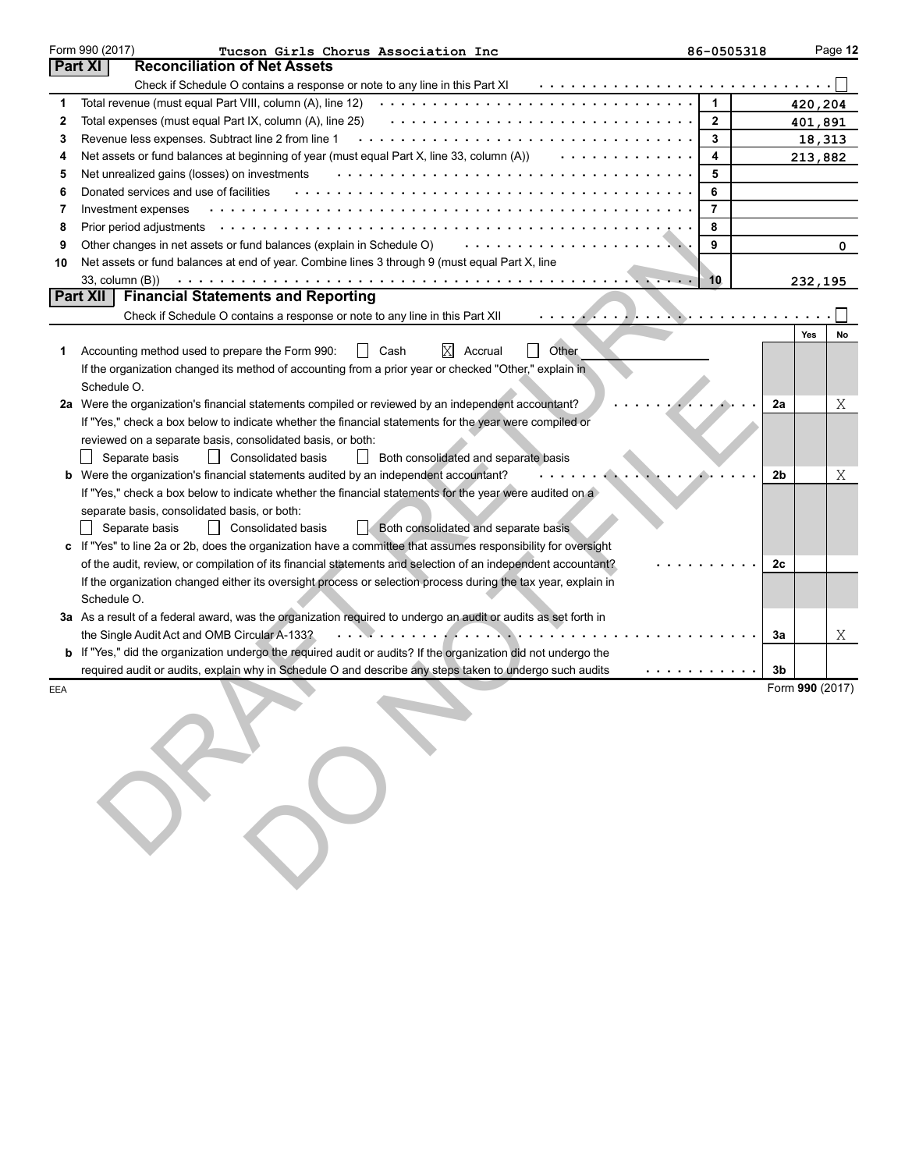|        | Form 990 (2017)<br>Tucson Girls Chorus Association Inc                                                                                                                                                                        | 86-0505318     |    |                   | Page 12 |
|--------|-------------------------------------------------------------------------------------------------------------------------------------------------------------------------------------------------------------------------------|----------------|----|-------------------|---------|
|        | <b>Reconciliation of Net Assets</b><br><b>Part XI</b>                                                                                                                                                                         |                |    |                   |         |
|        | Check if Schedule O contains a response or note to any line in this Part XI                                                                                                                                                   | 1              |    |                   |         |
| 1<br>2 | Total revenue (must equal Part VIII, column (A), line 12)<br>Total expenses (must equal Part IX, column (A), line 25)                                                                                                         | $\mathbf{2}$   |    | 420,204           |         |
| 3      | Revenue less expenses. Subtract line 2 from line 1                                                                                                                                                                            | 3              |    | 401,891           |         |
| 4      | Net assets or fund balances at beginning of year (must equal Part X, line 33, column (A))                                                                                                                                     | 4              |    | 18,313<br>213,882 |         |
| 5      | Net unrealized gains (losses) on investments                                                                                                                                                                                  | 5              |    |                   |         |
| 6      | Donated services and use of facilities                                                                                                                                                                                        | 6              |    |                   |         |
| 7      | Investment expenses                                                                                                                                                                                                           | $\overline{7}$ |    |                   |         |
| 8      |                                                                                                                                                                                                                               | 8              |    |                   |         |
| 9      | Other changes in net assets or fund balances (explain in Schedule O)                                                                                                                                                          | 9              |    |                   | 0       |
| 10     | Net assets or fund balances at end of year. Combine lines 3 through 9 (must equal Part X, line                                                                                                                                |                |    |                   |         |
|        |                                                                                                                                                                                                                               | 10             |    | 232,195           |         |
|        | Part XII<br><b>Financial Statements and Reporting</b>                                                                                                                                                                         |                |    |                   |         |
|        | Check if Schedule O contains a response or note to any line in this Part XII<br>. <i>. .</i>                                                                                                                                  |                |    |                   |         |
|        |                                                                                                                                                                                                                               |                |    | Yes               | No      |
| 1.     | Other<br>Cash<br>X<br>Accounting method used to prepare the Form 990:<br>Accrual<br>$\perp$                                                                                                                                   |                |    |                   |         |
|        | If the organization changed its method of accounting from a prior year or checked "Other," explain in                                                                                                                         |                |    |                   |         |
|        | Schedule O.                                                                                                                                                                                                                   |                |    |                   |         |
|        | 2a Were the organization's financial statements compiled or reviewed by an independent accountant?                                                                                                                            |                | 2a |                   | Χ       |
|        | If "Yes," check a box below to indicate whether the financial statements for the year were compiled or                                                                                                                        |                |    |                   |         |
|        | reviewed on a separate basis, consolidated basis, or both:                                                                                                                                                                    |                |    |                   |         |
|        | Separate basis<br>$\perp$<br>Consolidated basis<br>Both consolidated and separate basis                                                                                                                                       |                |    |                   |         |
|        | b Were the organization's financial statements audited by an independent accountant?                                                                                                                                          |                | 2b |                   | Χ       |
|        | If "Yes," check a box below to indicate whether the financial statements for the year were audited on a                                                                                                                       |                |    |                   |         |
|        | separate basis, consolidated basis, or both:                                                                                                                                                                                  |                |    |                   |         |
|        | Separate basis<br>$\perp$<br><b>Consolidated basis</b><br>Both consolidated and separate basis                                                                                                                                |                |    |                   |         |
|        | If "Yes" to line 2a or 2b, does the organization have a committee that assumes responsibility for oversight                                                                                                                   |                |    |                   |         |
|        | of the audit, review, or compilation of its financial statements and selection of an independent accountant?<br>If the organization changed either its oversight process or selection process during the tax year, explain in |                | 2c |                   |         |
|        | Schedule O.                                                                                                                                                                                                                   |                |    |                   |         |
|        | 3a As a result of a federal award, was the organization required to undergo an audit or audits as set forth in                                                                                                                |                |    |                   |         |
|        | the Single Audit Act and OMB Circular A-133?                                                                                                                                                                                  |                | За |                   | Χ       |
| b      | If "Yes," did the organization undergo the required audit or audits? If the organization did not undergo the                                                                                                                  |                |    |                   |         |
|        | required audit or audits, explain why in Schedule O and describe any steps taken to undergo such audits                                                                                                                       | .              | 3b |                   |         |
| EEA    |                                                                                                                                                                                                                               |                |    | Form 990 (2017)   |         |
|        |                                                                                                                                                                                                                               |                |    |                   |         |
|        |                                                                                                                                                                                                                               |                |    |                   |         |
|        |                                                                                                                                                                                                                               |                |    |                   |         |
|        |                                                                                                                                                                                                                               |                |    |                   |         |
|        |                                                                                                                                                                                                                               |                |    |                   |         |
|        |                                                                                                                                                                                                                               |                |    |                   |         |
|        |                                                                                                                                                                                                                               |                |    |                   |         |
|        |                                                                                                                                                                                                                               |                |    |                   |         |
|        |                                                                                                                                                                                                                               |                |    |                   |         |
|        |                                                                                                                                                                                                                               |                |    |                   |         |
|        |                                                                                                                                                                                                                               |                |    |                   |         |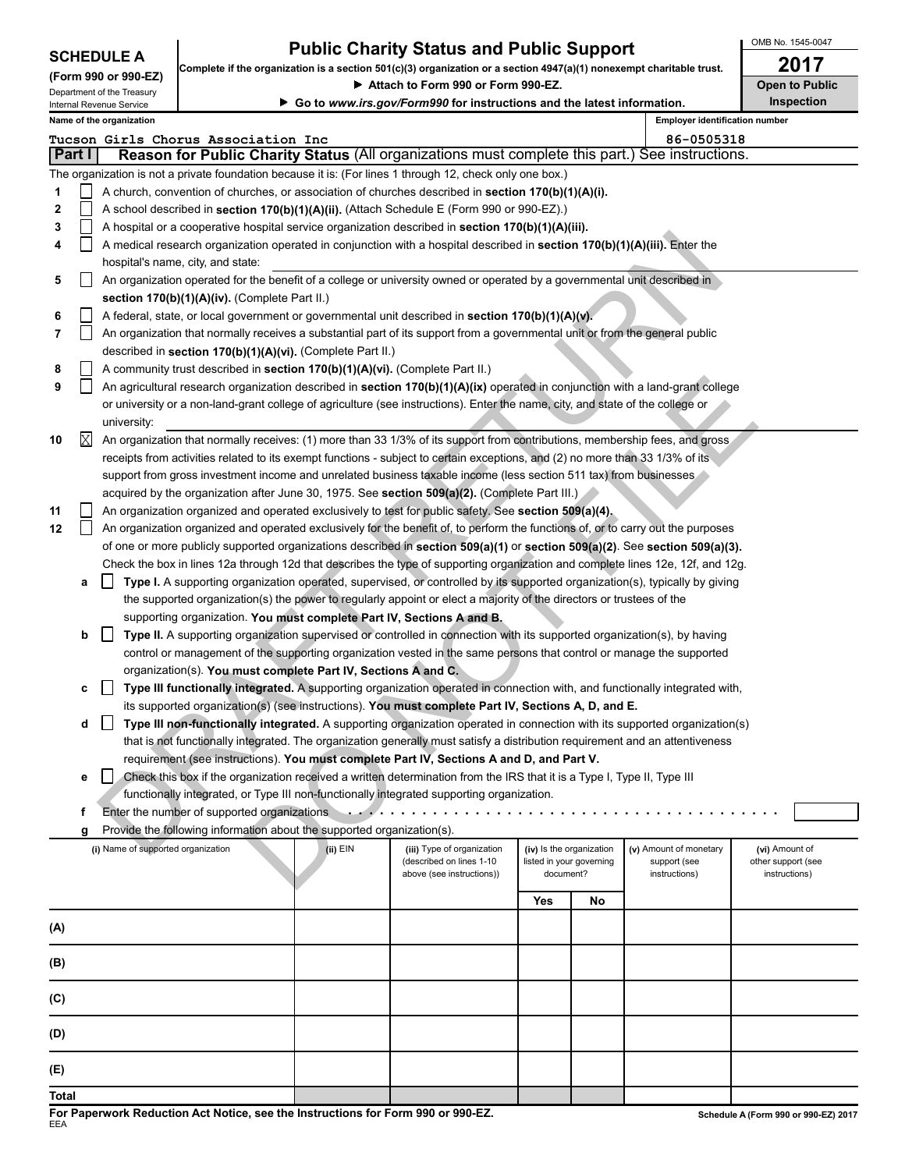| <b>SCHEDULE A</b> |  |
|-------------------|--|
|-------------------|--|

## **Public Charity Status and Public Support**  $\begin{array}{r} \big\vert \text{OMB No. 1545-00} \\ \text{OMB} \text{ No. 1545-00} \end{array}$

OMB No. 1545-0047

| Complete if the organization is a section 501(c)(3) organization or a section 4947(a)(1) nonexempt charitable trust. |        |                                    |                                                                              |                                                                        |                                                                                                                                     |                                                      |    | ZU 17                                  |                                      |
|----------------------------------------------------------------------------------------------------------------------|--------|------------------------------------|------------------------------------------------------------------------------|------------------------------------------------------------------------|-------------------------------------------------------------------------------------------------------------------------------------|------------------------------------------------------|----|----------------------------------------|--------------------------------------|
| (Form 990 or 990-EZ)<br>Department of the Treasury                                                                   |        |                                    |                                                                              | Attach to Form 990 or Form 990-EZ.                                     | <b>Open to Public</b>                                                                                                               |                                                      |    |                                        |                                      |
|                                                                                                                      |        | Internal Revenue Service           |                                                                              | Go to www.irs.gov/Form990 for instructions and the latest information. | Inspection                                                                                                                          |                                                      |    |                                        |                                      |
|                                                                                                                      |        | Name of the organization           |                                                                              |                                                                        |                                                                                                                                     |                                                      |    | <b>Employer identification number</b>  |                                      |
|                                                                                                                      |        |                                    | Tucson Girls Chorus Association Inc                                          |                                                                        |                                                                                                                                     |                                                      |    | 86-0505318                             |                                      |
|                                                                                                                      | Part I |                                    |                                                                              |                                                                        | Reason for Public Charity Status (All organizations must complete this part.) See instructions.                                     |                                                      |    |                                        |                                      |
|                                                                                                                      |        |                                    |                                                                              |                                                                        | The organization is not a private foundation because it is: (For lines 1 through 12, check only one box.)                           |                                                      |    |                                        |                                      |
| 1                                                                                                                    |        |                                    |                                                                              |                                                                        | A church, convention of churches, or association of churches described in section 170(b)(1)(A)(i).                                  |                                                      |    |                                        |                                      |
| 2                                                                                                                    |        |                                    |                                                                              |                                                                        | A school described in section 170(b)(1)(A)(ii). (Attach Schedule E (Form 990 or 990-EZ).)                                           |                                                      |    |                                        |                                      |
|                                                                                                                      |        |                                    |                                                                              |                                                                        |                                                                                                                                     |                                                      |    |                                        |                                      |
| 3                                                                                                                    |        |                                    |                                                                              |                                                                        | A hospital or a cooperative hospital service organization described in section 170(b)(1)(A)(iii).                                   |                                                      |    |                                        |                                      |
| 4                                                                                                                    |        |                                    |                                                                              |                                                                        | A medical research organization operated in conjunction with a hospital described in section 170(b)(1)(A)(iii). Enter the           |                                                      |    |                                        |                                      |
|                                                                                                                      |        |                                    | hospital's name, city, and state:                                            |                                                                        |                                                                                                                                     |                                                      |    |                                        |                                      |
| 5                                                                                                                    |        |                                    |                                                                              |                                                                        | An organization operated for the benefit of a college or university owned or operated by a governmental unit described in           |                                                      |    |                                        |                                      |
|                                                                                                                      |        |                                    | section 170(b)(1)(A)(iv). (Complete Part II.)                                |                                                                        |                                                                                                                                     |                                                      |    |                                        |                                      |
| 6                                                                                                                    |        |                                    |                                                                              |                                                                        | A federal, state, or local government or governmental unit described in section 170(b)(1)(A)(v).                                    |                                                      |    |                                        |                                      |
| 7                                                                                                                    |        |                                    |                                                                              |                                                                        | An organization that normally receives a substantial part of its support from a governmental unit or from the general public        |                                                      |    |                                        |                                      |
|                                                                                                                      |        |                                    | described in section 170(b)(1)(A)(vi). (Complete Part II.)                   |                                                                        |                                                                                                                                     |                                                      |    |                                        |                                      |
| 8                                                                                                                    |        |                                    | A community trust described in section 170(b)(1)(A)(vi). (Complete Part II.) |                                                                        |                                                                                                                                     |                                                      |    |                                        |                                      |
| 9                                                                                                                    |        |                                    |                                                                              |                                                                        | An agricultural research organization described in section $170(b)(1)(A)(ix)$ operated in conjunction with a land-grant college     |                                                      |    |                                        |                                      |
|                                                                                                                      |        |                                    |                                                                              |                                                                        | or university or a non-land-grant college of agriculture (see instructions). Enter the name, city, and state of the college or      |                                                      |    |                                        |                                      |
|                                                                                                                      |        | university:                        |                                                                              |                                                                        |                                                                                                                                     |                                                      |    |                                        |                                      |
| 10                                                                                                                   | Χ      |                                    |                                                                              |                                                                        | An organization that normally receives: (1) more than 33 1/3% of its support from contributions, membership fees, and gross         |                                                      |    |                                        |                                      |
|                                                                                                                      |        |                                    |                                                                              |                                                                        | receipts from activities related to its exempt functions - subject to certain exceptions, and (2) no more than 33 1/3% of its       |                                                      |    |                                        |                                      |
|                                                                                                                      |        |                                    |                                                                              |                                                                        | support from gross investment income and unrelated business taxable income (less section 511 tax) from businesses                   |                                                      |    |                                        |                                      |
|                                                                                                                      |        |                                    |                                                                              |                                                                        | acquired by the organization after June 30, 1975. See section 509(a)(2). (Complete Part III.)                                       |                                                      |    |                                        |                                      |
| 11                                                                                                                   |        |                                    |                                                                              |                                                                        | An organization organized and operated exclusively to test for public safety. See section 509(a)(4).                                |                                                      |    |                                        |                                      |
| 12                                                                                                                   |        |                                    |                                                                              |                                                                        | An organization organized and operated exclusively for the benefit of, to perform the functions of, or to carry out the purposes    |                                                      |    |                                        |                                      |
|                                                                                                                      |        |                                    |                                                                              |                                                                        | of one or more publicly supported organizations described in section $509(a)(1)$ or section $509(a)(2)$ . See section $509(a)(3)$ . |                                                      |    |                                        |                                      |
|                                                                                                                      |        |                                    |                                                                              |                                                                        | Check the box in lines 12a through 12d that describes the type of supporting organization and complete lines 12e, 12f, and 12g.     |                                                      |    |                                        |                                      |
|                                                                                                                      | а      |                                    |                                                                              |                                                                        | Type I. A supporting organization operated, supervised, or controlled by its supported organization(s), typically by giving         |                                                      |    |                                        |                                      |
|                                                                                                                      |        |                                    |                                                                              |                                                                        | the supported organization(s) the power to regularly appoint or elect a majority of the directors or trustees of the                |                                                      |    |                                        |                                      |
|                                                                                                                      |        |                                    | supporting organization. You must complete Part IV, Sections A and B.        |                                                                        |                                                                                                                                     |                                                      |    |                                        |                                      |
|                                                                                                                      | b      |                                    |                                                                              |                                                                        | Type II. A supporting organization supervised or controlled in connection with its supported organization(s), by having             |                                                      |    |                                        |                                      |
|                                                                                                                      |        |                                    |                                                                              |                                                                        | control or management of the supporting organization vested in the same persons that control or manage the supported                |                                                      |    |                                        |                                      |
|                                                                                                                      |        |                                    | organization(s). You must complete Part IV, Sections A and C.                |                                                                        |                                                                                                                                     |                                                      |    |                                        |                                      |
|                                                                                                                      |        |                                    |                                                                              |                                                                        | Type III functionally integrated. A supporting organization operated in connection with, and functionally integrated with,          |                                                      |    |                                        |                                      |
|                                                                                                                      | c      |                                    |                                                                              |                                                                        | its supported organization(s) (see instructions). You must complete Part IV, Sections A, D, and E.                                  |                                                      |    |                                        |                                      |
|                                                                                                                      |        |                                    |                                                                              |                                                                        |                                                                                                                                     |                                                      |    |                                        |                                      |
|                                                                                                                      |        |                                    |                                                                              |                                                                        | Type III non-functionally integrated. A supporting organization operated in connection with its supported organization(s)           |                                                      |    |                                        |                                      |
|                                                                                                                      |        |                                    |                                                                              |                                                                        | that is not functionally integrated. The organization generally must satisfy a distribution requirement and an attentiveness        |                                                      |    |                                        |                                      |
|                                                                                                                      |        |                                    |                                                                              |                                                                        | requirement (see instructions). You must complete Part IV, Sections A and D, and Part V.                                            |                                                      |    |                                        |                                      |
|                                                                                                                      | е      |                                    |                                                                              |                                                                        | Check this box if the organization received a written determination from the IRS that it is a Type I, Type II, Type III             |                                                      |    |                                        |                                      |
|                                                                                                                      |        |                                    |                                                                              |                                                                        | functionally integrated, or Type III non-functionally integrated supporting organization.                                           |                                                      |    |                                        |                                      |
|                                                                                                                      | f      |                                    | Enter the number of supported organizations                                  |                                                                        |                                                                                                                                     |                                                      |    |                                        |                                      |
|                                                                                                                      | g      |                                    | Provide the following information about the supported organization(s).       |                                                                        |                                                                                                                                     |                                                      |    |                                        |                                      |
|                                                                                                                      |        | (i) Name of supported organization |                                                                              | (ii) EIN                                                               | (iii) Type of organization<br>(described on lines 1-10                                                                              | (iv) Is the organization<br>listed in your governing |    | (v) Amount of monetary<br>support (see | (vi) Amount of<br>other support (see |
|                                                                                                                      |        |                                    |                                                                              |                                                                        | above (see instructions))                                                                                                           | document?                                            |    | instructions)                          | instructions)                        |
|                                                                                                                      |        |                                    |                                                                              |                                                                        |                                                                                                                                     |                                                      |    |                                        |                                      |
|                                                                                                                      |        |                                    |                                                                              |                                                                        |                                                                                                                                     | Yes                                                  | No |                                        |                                      |
| (A)                                                                                                                  |        |                                    |                                                                              |                                                                        |                                                                                                                                     |                                                      |    |                                        |                                      |
|                                                                                                                      |        |                                    |                                                                              |                                                                        |                                                                                                                                     |                                                      |    |                                        |                                      |
| (B)                                                                                                                  |        |                                    |                                                                              |                                                                        |                                                                                                                                     |                                                      |    |                                        |                                      |
|                                                                                                                      |        |                                    |                                                                              |                                                                        |                                                                                                                                     |                                                      |    |                                        |                                      |
| (C)                                                                                                                  |        |                                    |                                                                              |                                                                        |                                                                                                                                     |                                                      |    |                                        |                                      |
|                                                                                                                      |        |                                    |                                                                              |                                                                        |                                                                                                                                     |                                                      |    |                                        |                                      |
| (D)                                                                                                                  |        |                                    |                                                                              |                                                                        |                                                                                                                                     |                                                      |    |                                        |                                      |
|                                                                                                                      |        |                                    |                                                                              |                                                                        |                                                                                                                                     |                                                      |    |                                        |                                      |
| (E)                                                                                                                  |        |                                    |                                                                              |                                                                        |                                                                                                                                     |                                                      |    |                                        |                                      |

**For Paperwork Reduction Act Notice, see the Instructions for Form 990 or 990-EZ.** EEA

**Total**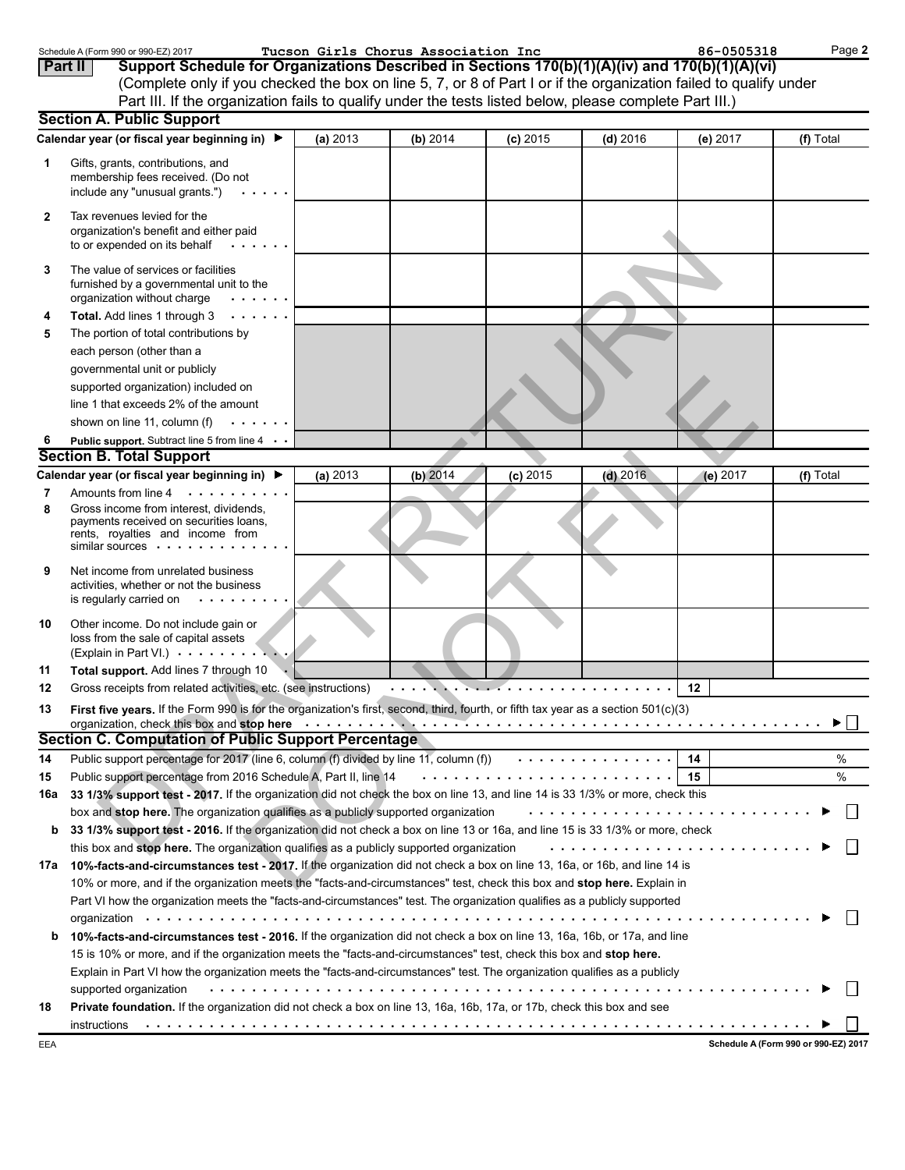|                | Schedule A (Form 990 or 990-EZ) 2017                                                                                                                                                                                           |          | Tucson Girls Chorus Association Inc |            |            | 86-0505318 | Page 2        |
|----------------|--------------------------------------------------------------------------------------------------------------------------------------------------------------------------------------------------------------------------------|----------|-------------------------------------|------------|------------|------------|---------------|
| <b>Part II</b> | Support Schedule for Organizations Described in Sections 170(b)(1)(A)(iv) and 170(b)(1)(A)(vi)                                                                                                                                 |          |                                     |            |            |            |               |
|                | (Complete only if you checked the box on line 5, 7, or 8 of Part I or if the organization failed to qualify under                                                                                                              |          |                                     |            |            |            |               |
|                | Part III. If the organization fails to qualify under the tests listed below, please complete Part III.)                                                                                                                        |          |                                     |            |            |            |               |
|                | <b>Section A. Public Support</b>                                                                                                                                                                                               |          |                                     |            |            |            |               |
|                | Calendar year (or fiscal year beginning in) ▶                                                                                                                                                                                  | (a) 2013 | (b) 2014                            | $(c)$ 2015 | $(d)$ 2016 | (e) 2017   | (f) Total     |
| 1              | Gifts, grants, contributions, and<br>membership fees received. (Do not<br>include any "unusual grants.")                                                                                                                       |          |                                     |            |            |            |               |
| 2              | Tax revenues levied for the<br>organization's benefit and either paid<br>to or expended on its behalf                                                                                                                          |          |                                     |            |            |            |               |
| 3              | The value of services or facilities<br>furnished by a governmental unit to the<br>organization without charge                                                                                                                  |          |                                     |            |            |            |               |
| 4              | Total. Add lines 1 through 3                                                                                                                                                                                                   |          |                                     |            |            |            |               |
| 5              | The portion of total contributions by                                                                                                                                                                                          |          |                                     |            |            |            |               |
|                | each person (other than a                                                                                                                                                                                                      |          |                                     |            |            |            |               |
|                | governmental unit or publicly                                                                                                                                                                                                  |          |                                     |            |            |            |               |
|                | supported organization) included on                                                                                                                                                                                            |          |                                     |            |            |            |               |
|                | line 1 that exceeds 2% of the amount                                                                                                                                                                                           |          |                                     |            |            |            |               |
|                | shown on line 11, column (f)                                                                                                                                                                                                   |          |                                     |            |            |            |               |
|                | Public support. Subtract line 5 from line 4                                                                                                                                                                                    |          |                                     |            |            |            |               |
|                | <b>Section B. Total Support</b>                                                                                                                                                                                                |          |                                     |            |            |            |               |
|                | Calendar year (or fiscal year beginning in) ▶                                                                                                                                                                                  | (a) 2013 | $(b)$ 2014                          | $(c)$ 2015 | $(d)$ 2016 | (e) 2017   | (f) Total     |
| 7              | Amounts from line 4<br>.                                                                                                                                                                                                       |          |                                     |            |            |            |               |
| 8              | Gross income from interest, dividends,<br>payments received on securities loans,<br>rents, royalties and income from<br>similar sources $\cdots$ .                                                                             |          |                                     |            |            |            |               |
| 9              | Net income from unrelated business<br>activities, whether or not the business<br>is regularly carried on<br>$\sim 100$ km s $^{-1}$                                                                                            |          |                                     |            |            |            |               |
| 10             | Other income. Do not include gain or<br>loss from the sale of capital assets<br>(Explain in Part VI.)                                                                                                                          |          |                                     |            |            |            |               |
| 11             | Total support. Add lines 7 through 10                                                                                                                                                                                          |          |                                     |            |            |            |               |
| 12             | Gross receipts from related activities, etc. (see instructions)                                                                                                                                                                |          |                                     |            |            | 12         |               |
| 13             | <b>First five years.</b> If the Form 990 is for the organization's first, second, third, fourth, or fifth tax year as a section 501(c)(3)                                                                                      |          |                                     |            |            |            |               |
|                | organization, check this box and stop here enterpreed and state of the state of the state of the state of the state of the state of the state of the state of the state of the state of the state of the state of the state of |          |                                     |            |            |            | ►             |
|                | Section C. Computation of Public Support Percentage                                                                                                                                                                            |          |                                     |            |            |            |               |
| 14             |                                                                                                                                                                                                                                |          |                                     |            |            |            | %             |
| 15             |                                                                                                                                                                                                                                |          |                                     |            |            | 15         | $\frac{0}{0}$ |
| 16a            | 33 1/3% support test - 2017. If the organization did not check the box on line 13, and line 14 is 33 1/3% or more, check this                                                                                                  |          |                                     |            |            |            |               |
|                | box and stop here. The organization qualifies as a publicly supported organization                                                                                                                                             |          |                                     |            |            |            |               |
| b              | 33 1/3% support test - 2016. If the organization did not check a box on line 13 or 16a, and line 15 is 33 1/3% or more, check                                                                                                  |          |                                     |            |            |            |               |
|                | this box and stop here. The organization qualifies as a publicly supported organization                                                                                                                                        |          |                                     |            |            |            |               |
|                | 17a 10%-facts-and-circumstances test - 2017. If the organization did not check a box on line 13, 16a, or 16b, and line 14 is                                                                                                   |          |                                     |            |            |            |               |
|                | 10% or more, and if the organization meets the "facts-and-circumstances" test, check this box and stop here. Explain in                                                                                                        |          |                                     |            |            |            |               |
|                | Part VI how the organization meets the "facts-and-circumstances" test. The organization qualifies as a publicly supported                                                                                                      |          |                                     |            |            |            |               |
|                |                                                                                                                                                                                                                                |          |                                     |            |            |            |               |
| b              | 10%-facts-and-circumstances test - 2016. If the organization did not check a box on line 13, 16a, 16b, or 17a, and line                                                                                                        |          |                                     |            |            |            |               |
|                | 15 is 10% or more, and if the organization meets the "facts-and-circumstances" test, check this box and stop here.                                                                                                             |          |                                     |            |            |            |               |
|                | Explain in Part VI how the organization meets the "facts-and-circumstances" test. The organization qualifies as a publicly                                                                                                     |          |                                     |            |            |            |               |
| 18             | supported organization<br>Private foundation. If the organization did not check a box on line 13, 16a, 16b, 17a, or 17b, check this box and see                                                                                |          |                                     |            |            |            |               |
|                |                                                                                                                                                                                                                                |          |                                     |            |            |            |               |
|                |                                                                                                                                                                                                                                |          |                                     |            |            |            |               |

**Schedule A (Form 990 or 990-EZ) 2017**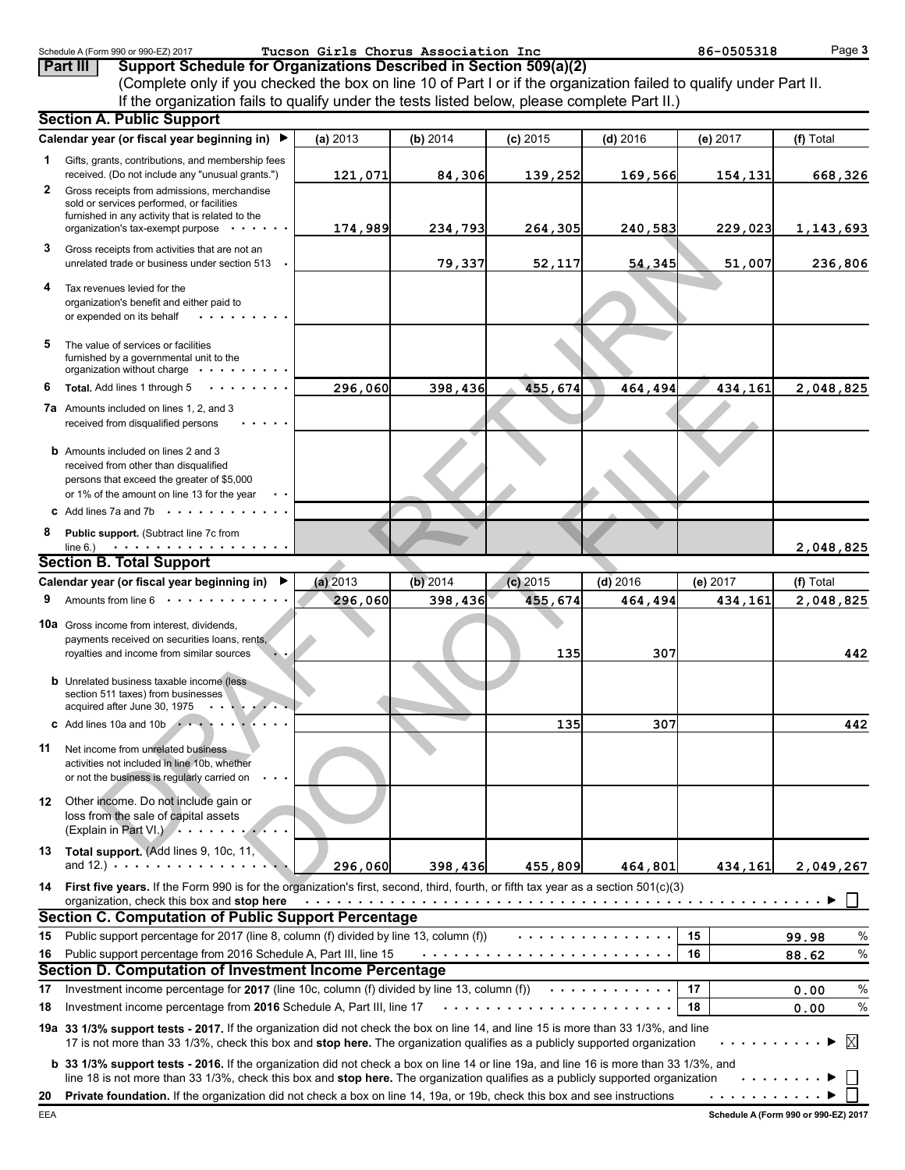|     | Schedule A (Form 990 or 990-EZ) 2017<br>Support Schedule for Organizations Described in Section 509(a)(2)<br>Part III                                                                                                                                                           |            | Tucson Girls Chorus Association Inc |            |            | 86-0505318 | Page 3        |
|-----|---------------------------------------------------------------------------------------------------------------------------------------------------------------------------------------------------------------------------------------------------------------------------------|------------|-------------------------------------|------------|------------|------------|---------------|
|     | (Complete only if you checked the box on line 10 of Part I or if the organization failed to qualify under Part II.                                                                                                                                                              |            |                                     |            |            |            |               |
|     | If the organization fails to qualify under the tests listed below, please complete Part II.)                                                                                                                                                                                    |            |                                     |            |            |            |               |
|     | <b>Section A. Public Support</b>                                                                                                                                                                                                                                                |            |                                     |            |            |            |               |
|     | Calendar year (or fiscal year beginning in) ▶                                                                                                                                                                                                                                   | (a) 2013   | (b) 2014                            | $(c)$ 2015 | $(d)$ 2016 | $(e)$ 2017 | (f) Total     |
| 1.  | Gifts, grants, contributions, and membership fees<br>received. (Do not include any "unusual grants.")                                                                                                                                                                           | 121,071    | 84,306                              | 139,252    | 169,566    | 154,131    | 668,326       |
| 2   | Gross receipts from admissions, merchandise                                                                                                                                                                                                                                     |            |                                     |            |            |            |               |
|     | sold or services performed, or facilities<br>furnished in any activity that is related to the<br>organization's tax-exempt purpose                                                                                                                                              | 174,989    | 234,793                             | 264, 305   | 240,583    | 229,023    | 1,143,693     |
| 3   | Gross receipts from activities that are not an                                                                                                                                                                                                                                  |            |                                     |            |            |            |               |
|     | unrelated trade or business under section 513                                                                                                                                                                                                                                   |            | 79,337                              | 52,117     | 54,345     | 51,007     | 236,806       |
|     | Tax revenues levied for the<br>organization's benefit and either paid to<br>or expended on its behalf                                                                                                                                                                           |            |                                     |            |            |            |               |
| 5   | The value of services or facilities<br>furnished by a governmental unit to the<br>organization without charge                                                                                                                                                                   |            |                                     |            |            |            |               |
| 6   | Total, Add lines 1 through 5                                                                                                                                                                                                                                                    | 296,060    | 398,436                             | 455,674    | 464,494    | 434,161    | 2,048,825     |
|     | <b>7a</b> Amounts included on lines 1, 2, and 3<br>received from disqualified persons                                                                                                                                                                                           |            |                                     |            |            |            |               |
|     | <b>b</b> Amounts included on lines 2 and 3<br>received from other than disqualified                                                                                                                                                                                             |            |                                     |            |            |            |               |
|     | persons that exceed the greater of \$5,000                                                                                                                                                                                                                                      |            |                                     |            |            |            |               |
|     | or 1% of the amount on line 13 for the year<br><b>c</b> Add lines 7a and 7b<br>.                                                                                                                                                                                                |            |                                     |            |            |            |               |
| 8   | Public support. (Subtract line 7c from                                                                                                                                                                                                                                          |            |                                     |            |            |            |               |
|     | line $6.$ )<br>.                                                                                                                                                                                                                                                                |            |                                     |            |            |            | 2,048,825     |
|     | <b>Section B. Total Support</b>                                                                                                                                                                                                                                                 |            |                                     |            |            |            |               |
|     | Calendar year (or fiscal year beginning in)                                                                                                                                                                                                                                     | $(a)$ 2013 | (b) 2014                            | $(c)$ 2015 | $(d)$ 2016 | (e) 2017   | (f) Total     |
| 9   | Amounts from line $6 \cdot \cdot \cdot$                                                                                                                                                                                                                                         | 296,060    | 398,436                             | 455,674    | 464,494    | 434,161    | 2,048,825     |
|     | <b>10a</b> Gross income from interest, dividends,<br>payments received on securities loans, rents,<br>royalties and income from similar sources                                                                                                                                 |            |                                     | 135        | 307        |            | 442           |
|     | <b>b</b> Unrelated business taxable income (less<br>section 511 taxes) from businesses<br>acquired after June 30, 1975                                                                                                                                                          |            |                                     |            |            |            |               |
|     | C Add lines 10a and 10b                                                                                                                                                                                                                                                         |            |                                     | 135        | 307        |            | 442           |
| 11  | Net income from unrelated business<br>activities not included in line 10b, whether<br>or not the business is regularly carried on                                                                                                                                               |            |                                     |            |            |            |               |
| 12. | Other income. Do not include gain or<br>loss from the sale of capital assets<br>(Explain in Part VI.)<br>$\mathbf{r}$ and $\mathbf{r}$ and $\mathbf{r}$                                                                                                                         |            |                                     |            |            |            |               |
| 13. | Total support. (Add lines 9, 10c, 11,<br>and $12.$ ) $\cdots$ $\cdots$ $\cdots$ $\cdots$ $\cdots$                                                                                                                                                                               | 296,060    | 398,436                             | 455,809    | 464,801    | 434,161    | 2,049,267     |
|     | 14 First five years. If the Form 990 is for the organization's first, second, third, fourth, or fifth tax year as a section 501(c)(3)                                                                                                                                           |            |                                     |            |            |            |               |
|     | organization, check this box and stop here<br>Section C. Computation of Public Support Percentage                                                                                                                                                                               |            |                                     |            |            |            |               |
| 15  | Public support percentage for 2017 (line 8, column (f) divided by line 13, column (f))                                                                                                                                                                                          |            |                                     |            | .          | 15         | %<br>99.98    |
| 16  | Public support percentage from 2016 Schedule A, Part III, line 15                                                                                                                                                                                                               |            |                                     |            |            | 16         | $\%$<br>88.62 |
|     | <b>Section D. Computation of Investment Income Percentage</b>                                                                                                                                                                                                                   |            |                                     |            |            |            |               |
| 17  | Investment income percentage for 2017 (line 10c, column (f) divided by line 13, column (f))                                                                                                                                                                                     |            |                                     |            | .          | 17         | $\%$<br>0.00  |
| 18  | Investment income percentage from 2016 Schedule A, Part III, line 17                                                                                                                                                                                                            |            |                                     | .          |            | 18         | $\%$<br>0.00  |
|     | 19a 33 1/3% support tests - 2017. If the organization did not check the box on line 14, and line 15 is more than 33 1/3%, and line<br>17 is not more than 33 1/3%, check this box and stop here. The organization qualifies as a publicly supported organization                |            |                                     |            |            |            |               |
|     | <b>b</b> 33 1/3% support tests - 2016. If the organization did not check a box on line 14 or line 19a, and line 16 is more than 33 1/3%, and<br>line 18 is not more than 33 1/3%, check this box and stop here. The organization qualifies as a publicly supported organization |            |                                     |            |            |            |               |
| 20  | Private foundation. If the organization did not check a box on line 14, 19a, or 19b, check this box and see instructions                                                                                                                                                        |            |                                     |            |            | .          |               |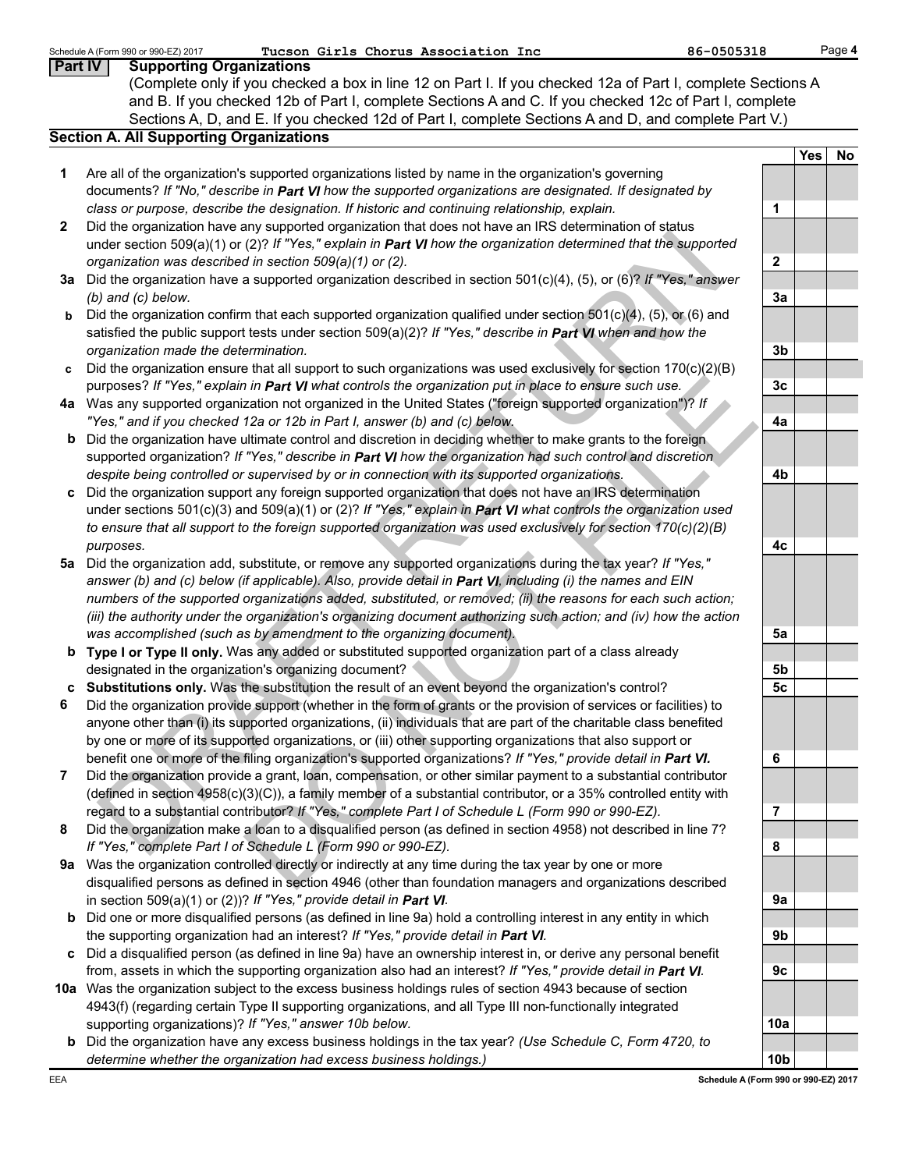|                | Tucson Girls Chorus Association Inc<br>86-0505318<br>Schedule A (Form 990 or 990-EZ) 2017                                                                                                                                |                 |     | Page 4    |
|----------------|--------------------------------------------------------------------------------------------------------------------------------------------------------------------------------------------------------------------------|-----------------|-----|-----------|
| <b>Part IV</b> | <b>Supporting Organizations</b>                                                                                                                                                                                          |                 |     |           |
|                | (Complete only if you checked a box in line 12 on Part I. If you checked 12a of Part I, complete Sections A                                                                                                              |                 |     |           |
|                | and B. If you checked 12b of Part I, complete Sections A and C. If you checked 12c of Part I, complete                                                                                                                   |                 |     |           |
|                | Sections A, D, and E. If you checked 12d of Part I, complete Sections A and D, and complete Part V.)                                                                                                                     |                 |     |           |
|                | <b>Section A. All Supporting Organizations</b>                                                                                                                                                                           |                 |     |           |
|                |                                                                                                                                                                                                                          |                 | Yes | <b>No</b> |
| 1              | Are all of the organization's supported organizations listed by name in the organization's governing                                                                                                                     |                 |     |           |
|                | documents? If "No," describe in Part VI how the supported organizations are designated. If designated by                                                                                                                 |                 |     |           |
|                | class or purpose, describe the designation. If historic and continuing relationship, explain.                                                                                                                            | 1               |     |           |
| 2              | Did the organization have any supported organization that does not have an IRS determination of status                                                                                                                   |                 |     |           |
|                | under section 509(a)(1) or (2)? If "Yes," explain in Part VI how the organization determined that the supported                                                                                                          |                 |     |           |
|                | organization was described in section 509(a)(1) or (2).                                                                                                                                                                  | $\mathbf{2}$    |     |           |
|                | 3a Did the organization have a supported organization described in section 501(c)(4), (5), or (6)? If "Yes," answer                                                                                                      |                 |     |           |
|                | $(b)$ and $(c)$ below.                                                                                                                                                                                                   | 3a              |     |           |
| b              | Did the organization confirm that each supported organization qualified under section $501(c)(4)$ , (5), or (6) and                                                                                                      |                 |     |           |
|                | satisfied the public support tests under section 509(a)(2)? If "Yes," describe in Part VI when and how the                                                                                                               |                 |     |           |
|                | organization made the determination.                                                                                                                                                                                     | 3 <sub>b</sub>  |     |           |
| c              | Did the organization ensure that all support to such organizations was used exclusively for section 170(c)(2)(B)                                                                                                         |                 |     |           |
|                | purposes? If "Yes," explain in Part VI what controls the organization put in place to ensure such use.                                                                                                                   | 3 <sub>c</sub>  |     |           |
|                | 4a Was any supported organization not organized in the United States ("foreign supported organization")? If                                                                                                              |                 |     |           |
|                | "Yes," and if you checked 12a or 12b in Part I, answer (b) and (c) below.                                                                                                                                                | 4a              |     |           |
| b              | Did the organization have ultimate control and discretion in deciding whether to make grants to the foreign                                                                                                              |                 |     |           |
|                | supported organization? If "Yes," describe in Part VI how the organization had such control and discretion                                                                                                               |                 |     |           |
|                | despite being controlled or supervised by or in connection with its supported organizations.                                                                                                                             | 4b              |     |           |
|                | Did the organization support any foreign supported organization that does not have an IRS determination                                                                                                                  |                 |     |           |
|                | under sections 501(c)(3) and 509(a)(1) or (2)? If "Yes," explain in Part VI what controls the organization used                                                                                                          |                 |     |           |
|                |                                                                                                                                                                                                                          |                 |     |           |
|                | to ensure that all support to the foreign supported organization was used exclusively for section $170(c)(2)(B)$                                                                                                         |                 |     |           |
|                | purposes.                                                                                                                                                                                                                | 4c              |     |           |
| 5a             | Did the organization add, substitute, or remove any supported organizations during the tax year? If "Yes,"<br>answer (b) and (c) below (if applicable). Also, provide detail in Part VI, including (i) the names and EIN |                 |     |           |
|                |                                                                                                                                                                                                                          |                 |     |           |
|                | numbers of the supported organizations added, substituted, or removed; (ii) the reasons for each such action;                                                                                                            |                 |     |           |
|                | (iii) the authority under the organization's organizing document authorizing such action; and (iv) how the action                                                                                                        |                 |     |           |
|                | was accomplished (such as by amendment to the organizing document).                                                                                                                                                      | 5a              |     |           |
|                | <b>b</b> Type I or Type II only. Was any added or substituted supported organization part of a class already                                                                                                             |                 |     |           |
|                | designated in the organization's organizing document?                                                                                                                                                                    | 5b              |     |           |
|                | c Substitutions only. Was the substitution the result of an event beyond the organization's control?                                                                                                                     | 5c              |     |           |
| 6              | Did the organization provide support (whether in the form of grants or the provision of services or facilities) to                                                                                                       |                 |     |           |
|                | anyone other than (i) its supported organizations, (ii) individuals that are part of the charitable class benefited                                                                                                      |                 |     |           |
|                | by one or more of its supported organizations, or (iii) other supporting organizations that also support or                                                                                                              |                 |     |           |
|                | benefit one or more of the filing organization's supported organizations? If "Yes," provide detail in Part VI.                                                                                                           | 6               |     |           |
| 7              | Did the organization provide a grant, loan, compensation, or other similar payment to a substantial contributor                                                                                                          |                 |     |           |
|                | (defined in section 4958(c)(3)(C)), a family member of a substantial contributor, or a 35% controlled entity with                                                                                                        |                 |     |           |
|                | regard to a substantial contributor? If "Yes," complete Part I of Schedule L (Form 990 or 990-EZ).                                                                                                                       | 7               |     |           |
| 8              | Did the organization make a loan to a disqualified person (as defined in section 4958) not described in line 7?                                                                                                          |                 |     |           |
|                | If "Yes," complete Part I of Schedule L (Form 990 or 990-EZ).                                                                                                                                                            | 8               |     |           |
| 9а             | Was the organization controlled directly or indirectly at any time during the tax year by one or more                                                                                                                    |                 |     |           |
|                | disqualified persons as defined in section 4946 (other than foundation managers and organizations described                                                                                                              |                 |     |           |
|                | in section 509(a)(1) or (2))? If "Yes," provide detail in Part VI.                                                                                                                                                       | 9a              |     |           |
| b              | Did one or more disqualified persons (as defined in line 9a) hold a controlling interest in any entity in which                                                                                                          |                 |     |           |
|                | the supporting organization had an interest? If "Yes," provide detail in Part VI.                                                                                                                                        | 9b              |     |           |
|                | Did a disqualified person (as defined in line 9a) have an ownership interest in, or derive any personal benefit                                                                                                          |                 |     |           |
|                | from, assets in which the supporting organization also had an interest? If "Yes," provide detail in Part VI.                                                                                                             | 9c              |     |           |
|                | 10a Was the organization subject to the excess business holdings rules of section 4943 because of section                                                                                                                |                 |     |           |
|                | 4943(f) (regarding certain Type II supporting organizations, and all Type III non-functionally integrated                                                                                                                |                 |     |           |
|                | supporting organizations)? If "Yes," answer 10b below.                                                                                                                                                                   | 10a             |     |           |
|                | <b>b</b> Did the organization have any excess business holdings in the tax year? (Use Schedule C, Form 4720, to                                                                                                          |                 |     |           |
|                | determine whether the organization had excess business holdings.)                                                                                                                                                        | 10 <sub>b</sub> |     |           |
| EEA            | Schedule A (Form 990 or 990-EZ) 2017                                                                                                                                                                                     |                 |     |           |
|                |                                                                                                                                                                                                                          |                 |     |           |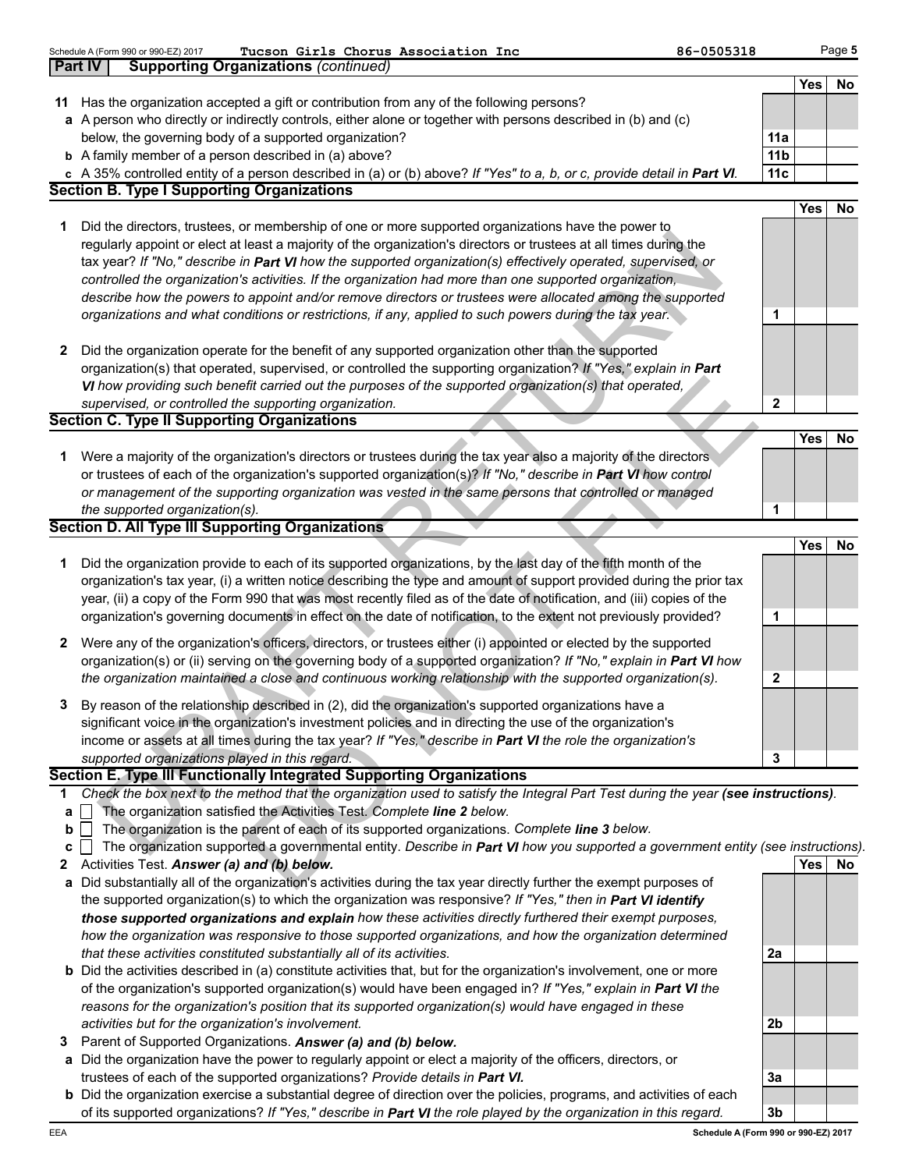|              | 86-0505318<br>Tucson Girls Chorus Association Inc<br>Schedule A (Form 990 or 990-EZ) 2017                                         |                 |            | Page 5    |
|--------------|-----------------------------------------------------------------------------------------------------------------------------------|-----------------|------------|-----------|
|              | <b>Part IV</b><br><b>Supporting Organizations (continued)</b>                                                                     |                 |            |           |
|              | 11 Has the organization accepted a gift or contribution from any of the following persons?                                        |                 | <b>Yes</b> | No        |
|              | a A person who directly or indirectly controls, either alone or together with persons described in (b) and (c)                    |                 |            |           |
|              | below, the governing body of a supported organization?                                                                            | 11a             |            |           |
|              | <b>b</b> A family member of a person described in (a) above?                                                                      | 11 <sub>b</sub> |            |           |
|              | c A 35% controlled entity of a person described in (a) or (b) above? If "Yes" to a, b, or c, provide detail in Part VI.           | 11c             |            |           |
|              | <b>Section B. Type I Supporting Organizations</b>                                                                                 |                 |            |           |
|              |                                                                                                                                   |                 | <b>Yes</b> | No        |
| 1            | Did the directors, trustees, or membership of one or more supported organizations have the power to                               |                 |            |           |
|              | regularly appoint or elect at least a majority of the organization's directors or trustees at all times during the                |                 |            |           |
|              | tax year? If "No," describe in Part VI how the supported organization(s) effectively operated, supervised, or                     |                 |            |           |
|              | controlled the organization's activities. If the organization had more than one supported organization,                           |                 |            |           |
|              | describe how the powers to appoint and/or remove directors or trustees were allocated among the supported                         |                 |            |           |
|              | organizations and what conditions or restrictions, if any, applied to such powers during the tax year.                            | 1               |            |           |
|              |                                                                                                                                   |                 |            |           |
| 2            | Did the organization operate for the benefit of any supported organization other than the supported                               |                 |            |           |
|              | organization(s) that operated, supervised, or controlled the supporting organization? If "Yes," explain in Part                   |                 |            |           |
|              | VI how providing such benefit carried out the purposes of the supported organization(s) that operated,                            |                 |            |           |
|              | supervised, or controlled the supporting organization.                                                                            | $\mathbf{2}$    |            |           |
|              | <b>Section C. Type II Supporting Organizations</b>                                                                                |                 |            |           |
|              |                                                                                                                                   |                 | <b>Yes</b> | No        |
| 1            | Were a majority of the organization's directors or trustees during the tax year also a majority of the directors                  |                 |            |           |
|              | or trustees of each of the organization's supported organization(s)? If "No," describe in Part VI how control                     |                 |            |           |
|              | or management of the supporting organization was vested in the same persons that controlled or managed                            |                 |            |           |
|              | the supported organization(s).<br><b>Section D. All Type III Supporting Organizations</b>                                         | 1               |            |           |
|              |                                                                                                                                   |                 | <b>Yes</b> | No        |
| 1            | Did the organization provide to each of its supported organizations, by the last day of the fifth month of the                    |                 |            |           |
|              | organization's tax year, (i) a written notice describing the type and amount of support provided during the prior tax             |                 |            |           |
|              | year, (ii) a copy of the Form 990 that was most recently filed as of the date of notification, and (iii) copies of the            |                 |            |           |
|              | organization's governing documents in effect on the date of notification, to the extent not previously provided?                  | 1               |            |           |
|              |                                                                                                                                   |                 |            |           |
| 2            | Were any of the organization's officers, directors, or trustees either (i) appointed or elected by the supported                  |                 |            |           |
|              | organization(s) or (ii) serving on the governing body of a supported organization? If "No," explain in Part VI how                |                 |            |           |
|              | the organization maintained a close and continuous working relationship with the supported organization(s).                       | 2               |            |           |
|              | By reason of the relationship described in (2), did the organization's supported organizations have a                             |                 |            |           |
|              | significant voice in the organization's investment policies and in directing the use of the organization's                        |                 |            |           |
|              | income or assets at all times during the tax year? If "Yes," describe in Part VI the role the organization's                      |                 |            |           |
|              | supported organizations played in this regard.                                                                                    | 3               |            |           |
|              | Section E. Type III Functionally Integrated Supporting Organizations                                                              |                 |            |           |
| 1            | Check the box next to the method that the organization used to satisfy the Integral Part Test during the year (see instructions). |                 |            |           |
| а            | The organization satisfied the Activities Test. Complete line 2 below.                                                            |                 |            |           |
| b            | The organization is the parent of each of its supported organizations. Complete line 3 below.                                     |                 |            |           |
| c            | The organization supported a governmental entity. Describe in Part VI how you supported a government entity (see instructions).   |                 |            |           |
| $\mathbf{z}$ | Activities Test. Answer (a) and (b) below.                                                                                        |                 | Yes        | <b>No</b> |
|              | a Did substantially all of the organization's activities during the tax year directly further the exempt purposes of              |                 |            |           |
|              | the supported organization(s) to which the organization was responsive? If "Yes," then in Part VI identify                        |                 |            |           |
|              | those supported organizations and explain how these activities directly furthered their exempt purposes,                          |                 |            |           |
|              | how the organization was responsive to those supported organizations, and how the organization determined                         |                 |            |           |
|              | that these activities constituted substantially all of its activities.                                                            | 2a              |            |           |
|              | <b>b</b> Did the activities described in (a) constitute activities that, but for the organization's involvement, one or more      |                 |            |           |
|              | of the organization's supported organization(s) would have been engaged in? If "Yes," explain in Part VI the                      |                 |            |           |
|              | reasons for the organization's position that its supported organization(s) would have engaged in these                            |                 |            |           |
|              | activities but for the organization's involvement.<br>Parent of Supported Organizations. Answer (a) and (b) below.                | 2 <sub>b</sub>  |            |           |
| 3            | a Did the organization have the power to regularly appoint or elect a majority of the officers, directors, or                     |                 |            |           |
|              |                                                                                                                                   |                 |            |           |

**a** Did the organization have the power to regularly appoint or elect a majority of the officers, directors, or trustees of each of the supported organizations? *Provide details in Part VI.*

**b** Did the organization exercise a substantial degree of direction over the policies, programs, and activities of each of its supported organizations? *If "Yes," describe in Part VI the role played by the organization in this regard.*

**3a**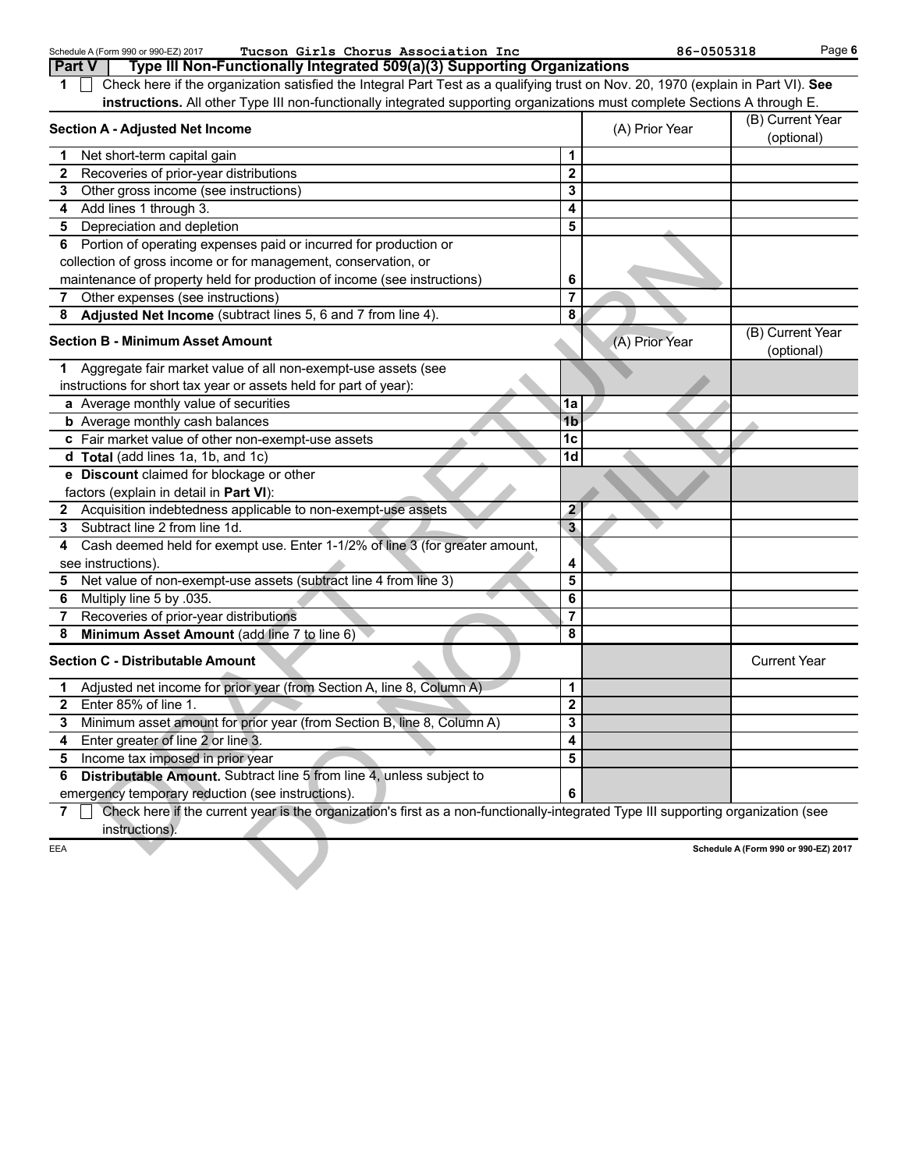| Tucson Girls Chorus Association Inc<br>Schedule A (Form 990 or 990-EZ) 2017<br><b>Part V</b>                                                             |                                                                                                                           | 86-0505318     |                                      | Page 6 |  |  |  |  |
|----------------------------------------------------------------------------------------------------------------------------------------------------------|---------------------------------------------------------------------------------------------------------------------------|----------------|--------------------------------------|--------|--|--|--|--|
| Type III Non-Functionally Integrated 509(a)(3) Supporting Organizations                                                                                  |                                                                                                                           |                |                                      |        |  |  |  |  |
| Check here if the organization satisfied the Integral Part Test as a qualifying trust on Nov. 20, 1970 (explain in Part VI). See<br>1                    |                                                                                                                           |                |                                      |        |  |  |  |  |
|                                                                                                                                                          | instructions. All other Type III non-functionally integrated supporting organizations must complete Sections A through E. |                |                                      |        |  |  |  |  |
| <b>Section A - Adjusted Net Income</b>                                                                                                                   |                                                                                                                           | (A) Prior Year | (B) Current Year<br>(optional)       |        |  |  |  |  |
| Net short-term capital gain<br>1                                                                                                                         | 1                                                                                                                         |                |                                      |        |  |  |  |  |
| Recoveries of prior-year distributions<br>2                                                                                                              | $\overline{2}$                                                                                                            |                |                                      |        |  |  |  |  |
| Other gross income (see instructions)<br>3                                                                                                               | 3                                                                                                                         |                |                                      |        |  |  |  |  |
| Add lines 1 through 3.<br>4                                                                                                                              | 4                                                                                                                         |                |                                      |        |  |  |  |  |
| Depreciation and depletion<br>5                                                                                                                          | 5                                                                                                                         |                |                                      |        |  |  |  |  |
| Portion of operating expenses paid or incurred for production or<br>6                                                                                    |                                                                                                                           |                |                                      |        |  |  |  |  |
| collection of gross income or for management, conservation, or                                                                                           |                                                                                                                           |                |                                      |        |  |  |  |  |
| maintenance of property held for production of income (see instructions)                                                                                 | 6                                                                                                                         |                |                                      |        |  |  |  |  |
| Other expenses (see instructions)<br>7                                                                                                                   | $\overline{7}$                                                                                                            |                |                                      |        |  |  |  |  |
| Adjusted Net Income (subtract lines 5, 6 and 7 from line 4).<br>8                                                                                        | 8                                                                                                                         |                |                                      |        |  |  |  |  |
| <b>Section B - Minimum Asset Amount</b>                                                                                                                  |                                                                                                                           | (A) Prior Year | (B) Current Year<br>(optional)       |        |  |  |  |  |
| Aggregate fair market value of all non-exempt-use assets (see<br>1                                                                                       |                                                                                                                           |                |                                      |        |  |  |  |  |
| instructions for short tax year or assets held for part of year):                                                                                        |                                                                                                                           |                |                                      |        |  |  |  |  |
| a Average monthly value of securities                                                                                                                    | 1a                                                                                                                        |                |                                      |        |  |  |  |  |
| <b>b</b> Average monthly cash balances                                                                                                                   | 1b                                                                                                                        |                |                                      |        |  |  |  |  |
| c Fair market value of other non-exempt-use assets                                                                                                       | 1c                                                                                                                        |                |                                      |        |  |  |  |  |
| d Total (add lines 1a, 1b, and 1c)                                                                                                                       | 1d                                                                                                                        |                |                                      |        |  |  |  |  |
| e Discount claimed for blockage or other                                                                                                                 |                                                                                                                           |                |                                      |        |  |  |  |  |
| factors (explain in detail in Part VI):                                                                                                                  |                                                                                                                           |                |                                      |        |  |  |  |  |
| 2 Acquisition indebtedness applicable to non-exempt-use assets                                                                                           | $\mathbf{2}$                                                                                                              |                |                                      |        |  |  |  |  |
| Subtract line 2 from line 1d.<br>3                                                                                                                       | $\mathbf{3}$                                                                                                              |                |                                      |        |  |  |  |  |
| Cash deemed held for exempt use. Enter 1-1/2% of line 3 (for greater amount,<br>4                                                                        |                                                                                                                           |                |                                      |        |  |  |  |  |
| see instructions).                                                                                                                                       | 4                                                                                                                         |                |                                      |        |  |  |  |  |
| Net value of non-exempt-use assets (subtract line 4 from line 3)<br>5                                                                                    | 5                                                                                                                         |                |                                      |        |  |  |  |  |
| Multiply line 5 by .035.<br>6                                                                                                                            | 6                                                                                                                         |                |                                      |        |  |  |  |  |
| Recoveries of prior-year distributions<br>7                                                                                                              | 7                                                                                                                         |                |                                      |        |  |  |  |  |
| Minimum Asset Amount (add line 7 to line 6)<br>8                                                                                                         | 8                                                                                                                         |                |                                      |        |  |  |  |  |
| <b>Section C - Distributable Amount</b>                                                                                                                  |                                                                                                                           |                | <b>Current Year</b>                  |        |  |  |  |  |
| Adjusted net income for prior year (from Section A, line 8, Column A)<br>1                                                                               | 1                                                                                                                         |                |                                      |        |  |  |  |  |
| 2 Enter 85% of line 1.                                                                                                                                   | $\overline{\mathbf{c}}$                                                                                                   |                |                                      |        |  |  |  |  |
| Minimum asset amount for prior year (from Section B, line 8, Column A)<br>3                                                                              | 3                                                                                                                         |                |                                      |        |  |  |  |  |
| Enter greater of line 2 or line 3.<br>4                                                                                                                  | 4                                                                                                                         |                |                                      |        |  |  |  |  |
| Income tax imposed in prior year<br>5                                                                                                                    | 5                                                                                                                         |                |                                      |        |  |  |  |  |
| Distributable Amount. Subtract line 5 from line 4, unless subject to<br>6                                                                                |                                                                                                                           |                |                                      |        |  |  |  |  |
|                                                                                                                                                          |                                                                                                                           |                |                                      |        |  |  |  |  |
| emergency temporary reduction (see instructions).                                                                                                        | 6                                                                                                                         |                |                                      |        |  |  |  |  |
| Check here if the current year is the organization's first as a non-functionally-integrated Type III supporting organization (see<br>7<br>instructions). |                                                                                                                           |                |                                      |        |  |  |  |  |
| EEA                                                                                                                                                      |                                                                                                                           |                | Schedule A (Form 990 or 990-EZ) 2017 |        |  |  |  |  |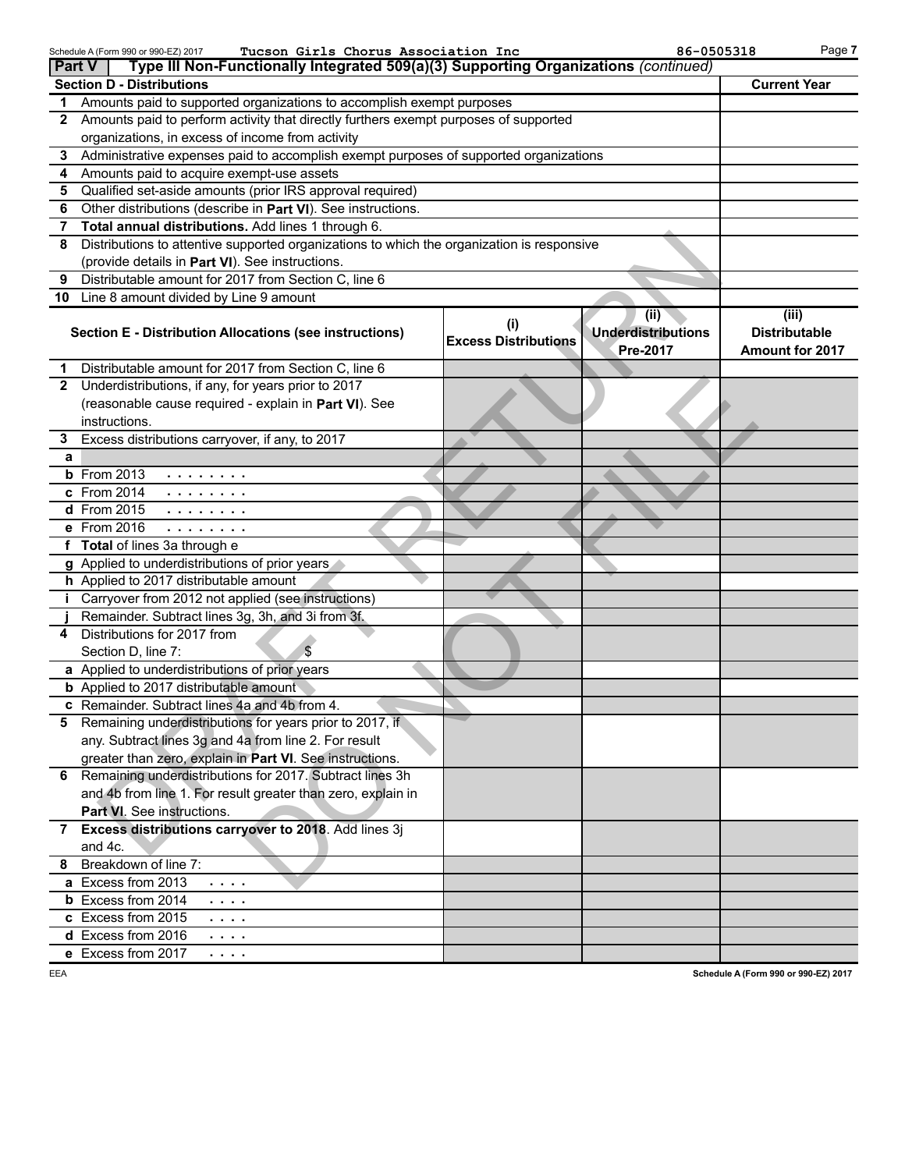| <b>Part V</b> | Tucson Girls Chorus Association Inc<br>Schedule A (Form 990 or 990-EZ) 2017<br>Type III Non-Functionally Integrated 509(a)(3) Supporting Organizations (continued) |                                    | 86-0505318                                    | Page 7                                           |
|---------------|--------------------------------------------------------------------------------------------------------------------------------------------------------------------|------------------------------------|-----------------------------------------------|--------------------------------------------------|
|               | <b>Section D - Distributions</b>                                                                                                                                   |                                    |                                               | <b>Current Year</b>                              |
|               | 1 Amounts paid to supported organizations to accomplish exempt purposes                                                                                            |                                    |                                               |                                                  |
| $\mathbf{2}$  | Amounts paid to perform activity that directly furthers exempt purposes of supported                                                                               |                                    |                                               |                                                  |
|               | organizations, in excess of income from activity                                                                                                                   |                                    |                                               |                                                  |
| 3             | Administrative expenses paid to accomplish exempt purposes of supported organizations                                                                              |                                    |                                               |                                                  |
| 4             | Amounts paid to acquire exempt-use assets                                                                                                                          |                                    |                                               |                                                  |
| 5             | Qualified set-aside amounts (prior IRS approval required)                                                                                                          |                                    |                                               |                                                  |
| 6             | Other distributions (describe in Part VI). See instructions.                                                                                                       |                                    |                                               |                                                  |
| 7             | Total annual distributions. Add lines 1 through 6.                                                                                                                 |                                    |                                               |                                                  |
| 8             | Distributions to attentive supported organizations to which the organization is responsive                                                                         |                                    |                                               |                                                  |
|               | (provide details in Part VI). See instructions.                                                                                                                    |                                    |                                               |                                                  |
| 9             | Distributable amount for 2017 from Section C, line 6                                                                                                               |                                    |                                               |                                                  |
|               | 10 Line 8 amount divided by Line 9 amount                                                                                                                          |                                    |                                               |                                                  |
|               | <b>Section E - Distribution Allocations (see instructions)</b>                                                                                                     | (i)<br><b>Excess Distributions</b> | (ii)<br><b>Underdistributions</b><br>Pre-2017 | (iii)<br><b>Distributable</b><br>Amount for 2017 |
| 1             | Distributable amount for 2017 from Section C, line 6                                                                                                               |                                    |                                               |                                                  |
| $\mathbf{2}$  | Underdistributions, if any, for years prior to 2017                                                                                                                |                                    |                                               |                                                  |
|               | (reasonable cause required - explain in Part VI). See                                                                                                              |                                    |                                               |                                                  |
|               | instructions.                                                                                                                                                      |                                    |                                               |                                                  |
| 3             | Excess distributions carryover, if any, to 2017                                                                                                                    |                                    |                                               |                                                  |
| a             |                                                                                                                                                                    |                                    |                                               |                                                  |
|               | <b>b</b> From 2013<br>.                                                                                                                                            |                                    |                                               |                                                  |
|               | c From 2014<br>$\sim$ 100 km s $\sim$ 100 km s $^{-1}$                                                                                                             |                                    |                                               |                                                  |
|               | d From 2015<br>.                                                                                                                                                   |                                    |                                               |                                                  |
|               | e From 2016                                                                                                                                                        |                                    |                                               |                                                  |
|               | f Total of lines 3a through e                                                                                                                                      |                                    |                                               |                                                  |
|               | g Applied to underdistributions of prior years                                                                                                                     |                                    |                                               |                                                  |
|               | h Applied to 2017 distributable amount                                                                                                                             |                                    |                                               |                                                  |
|               | Carryover from 2012 not applied (see instructions)                                                                                                                 |                                    |                                               |                                                  |
|               | Remainder. Subtract lines 3g, 3h, and 3i from 3f.                                                                                                                  |                                    |                                               |                                                  |
| 4             | Distributions for 2017 from<br>Section D, line 7:<br>\$                                                                                                            |                                    |                                               |                                                  |
|               | a Applied to underdistributions of prior years                                                                                                                     |                                    |                                               |                                                  |
|               | <b>b</b> Applied to 2017 distributable amount                                                                                                                      |                                    |                                               |                                                  |
|               | c Remainder. Subtract lines 4a and 4b from 4.                                                                                                                      |                                    |                                               |                                                  |
|               | 5 Remaining underdistributions for years prior to 2017, if                                                                                                         |                                    |                                               |                                                  |
|               | any. Subtract lines 3g and 4a from line 2. For result                                                                                                              |                                    |                                               |                                                  |
|               | greater than zero, explain in Part VI. See instructions.                                                                                                           |                                    |                                               |                                                  |
|               | 6 Remaining underdistributions for 2017. Subtract lines 3h                                                                                                         |                                    |                                               |                                                  |
|               | and 4b from line 1. For result greater than zero, explain in                                                                                                       |                                    |                                               |                                                  |
|               | Part VI. See instructions.                                                                                                                                         |                                    |                                               |                                                  |
|               | 7 Excess distributions carryover to 2018. Add lines 3j                                                                                                             |                                    |                                               |                                                  |
|               | and 4c.                                                                                                                                                            |                                    |                                               |                                                  |
| 8             | Breakdown of line 7:                                                                                                                                               |                                    |                                               |                                                  |
|               | a Excess from 2013<br>.                                                                                                                                            |                                    |                                               |                                                  |
|               | <b>b</b> Excess from 2014<br>.                                                                                                                                     |                                    |                                               |                                                  |
|               | c Excess from 2015<br>$\sim$ 100 $\sim$ 100 $\sim$                                                                                                                 |                                    |                                               |                                                  |
|               | d Excess from 2016<br>.                                                                                                                                            |                                    |                                               |                                                  |
|               | e Excess from 2017<br>$\sim$ $\sim$ $\sim$ $\sim$                                                                                                                  |                                    |                                               |                                                  |
|               |                                                                                                                                                                    |                                    |                                               |                                                  |

EEA

**Schedule A (Form 990 or 990-EZ) 2017**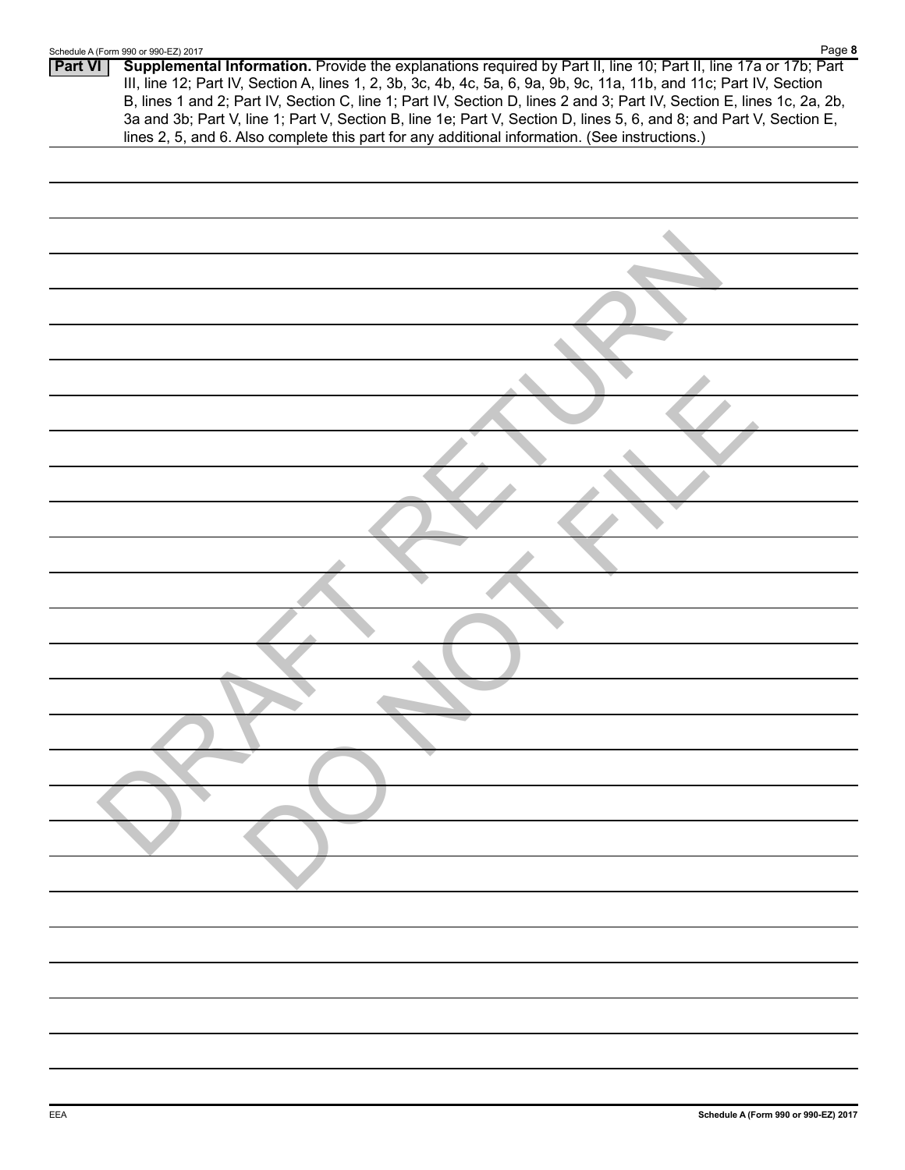# **Part VI Supplemental Information.** Provide the explanations required by Part II, line 10; Part II, line 17a or 17b; Part III, line 12; Part IV, Section A, lines 1, 2, 3b, 3c, 4b, 4c, 5a, 6, 9a, 9b, 9c, 11a, 11b, and 11c; Part IV, Section B, lines 1 and 2; Part IV, Section C, line 1; Part IV, Section D, lines 2 and 3; Part IV, Section E, lines 1c, 2a, 2b, 3a and 3b; Part V, line 1; Part V, Section B, line 1e; Part V, Section D, lines 5, 6, and 8; and Part V, Section E, lines 2, 5, and 6. Also complete this part for any additional information. (See instructions.) Page **8** Schedule A (Form 990 or 990-EZ) 2017 RAFT RETURN DO NOT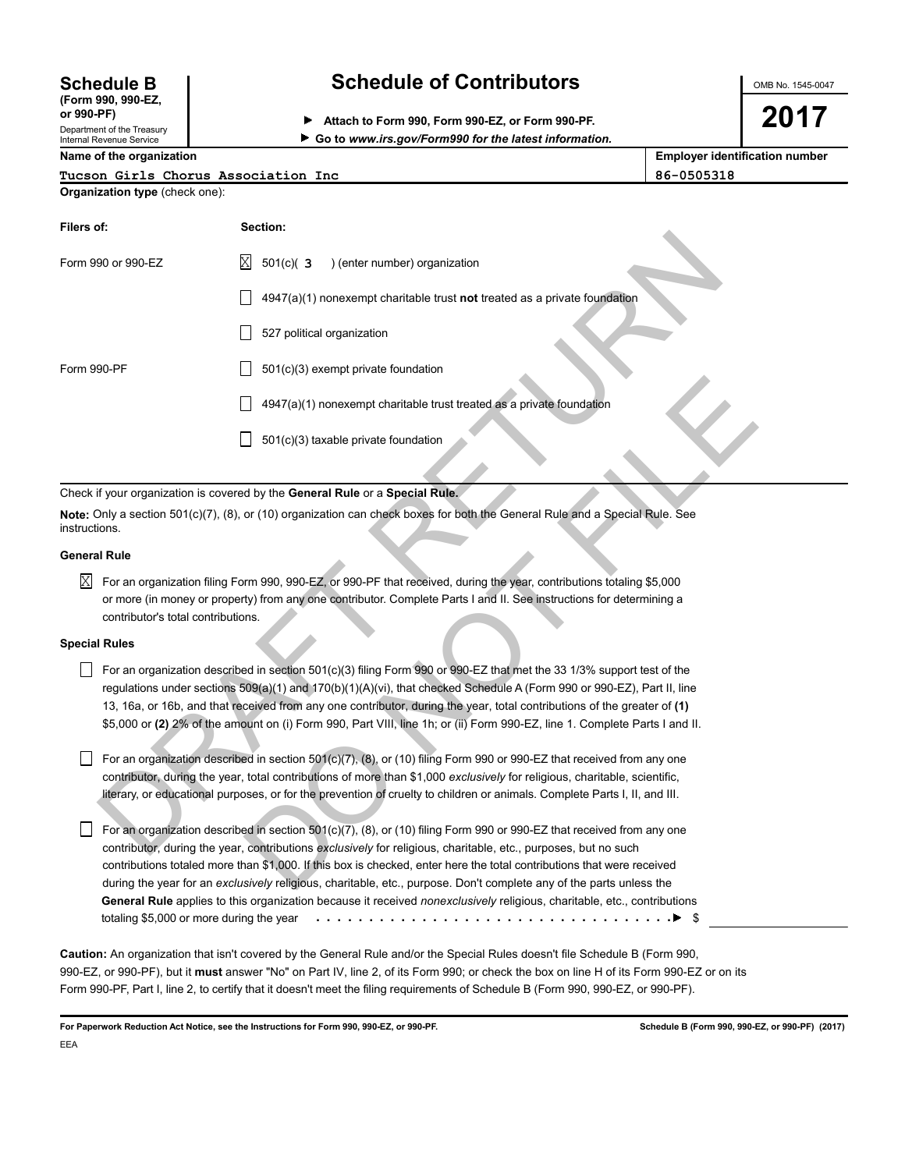# **(Form 990, 990-EZ,**

Department of the Treasury Internal Revenue Service

### **Schedule B Schedule of Contributors**

**or 990-PF) Attach to Form 990, Form 990-EZ, or Form 990-PF. Go to** *www.irs.gov/Form990 for the latest information.* OMB No. 1545-0047

**2017**

**Name of the organization Employer identification number**

**Organization type** (check one):

| Tucson Girls Chorus Association Inc | 86-0505318 |
|-------------------------------------|------------|
|                                     |            |

| Organization type (Greck Orie). |                                                                                                                                                                                                                                                                                                                                                                                                                                                                                                          |
|---------------------------------|----------------------------------------------------------------------------------------------------------------------------------------------------------------------------------------------------------------------------------------------------------------------------------------------------------------------------------------------------------------------------------------------------------------------------------------------------------------------------------------------------------|
| Filers of:                      | Section:                                                                                                                                                                                                                                                                                                                                                                                                                                                                                                 |
| Form 990 or 990-EZ              | Χ<br>$501(c)$ (3<br>) (enter number) organization                                                                                                                                                                                                                                                                                                                                                                                                                                                        |
|                                 | $4947(a)(1)$ nonexempt charitable trust not treated as a private foundation                                                                                                                                                                                                                                                                                                                                                                                                                              |
|                                 | 527 political organization                                                                                                                                                                                                                                                                                                                                                                                                                                                                               |
| Form 990-PF                     | 501(c)(3) exempt private foundation                                                                                                                                                                                                                                                                                                                                                                                                                                                                      |
|                                 | 4947(a)(1) nonexempt charitable trust treated as a private foundation                                                                                                                                                                                                                                                                                                                                                                                                                                    |
|                                 | 501(c)(3) taxable private foundation                                                                                                                                                                                                                                                                                                                                                                                                                                                                     |
|                                 | Check if your organization is covered by the General Rule or a Special Rule.                                                                                                                                                                                                                                                                                                                                                                                                                             |
| instructions.                   | Note: Only a section 501(c)(7), (8), or (10) organization can check boxes for both the General Rule and a Special Rule. See                                                                                                                                                                                                                                                                                                                                                                              |
| <b>General Rule</b>             |                                                                                                                                                                                                                                                                                                                                                                                                                                                                                                          |
| X                               | For an organization filing Form 990, 990-EZ, or 990-PF that received, during the year, contributions totaling \$5,000                                                                                                                                                                                                                                                                                                                                                                                    |
|                                 | or more (in money or property) from any one contributor. Complete Parts I and II. See instructions for determining a<br>contributor's total contributions.                                                                                                                                                                                                                                                                                                                                               |
| <b>Special Rules</b>            |                                                                                                                                                                                                                                                                                                                                                                                                                                                                                                          |
|                                 | For an organization described in section 501(c)(3) filing Form 990 or 990-EZ that met the 33 1/3% support test of the<br>regulations under sections 509(a)(1) and 170(b)(1)(A)(vi), that checked Schedule A (Form 990 or 990-EZ), Part II, line<br>13, 16a, or 16b, and that received from any one contributor, during the year, total contributions of the greater of (1)<br>\$5,000 or (2) 2% of the amount on (i) Form 990, Part VIII, line 1h; or (ii) Form 990-EZ, line 1. Complete Parts I and II. |
|                                 | For an organization described in section 501(c)(7), (8), or (10) filing Form 990 or 990-EZ that received from any one                                                                                                                                                                                                                                                                                                                                                                                    |
|                                 | contributor, during the year, total contributions of more than \$1,000 exclusively for religious, charitable, scientific,                                                                                                                                                                                                                                                                                                                                                                                |
|                                 | literary, or educational purposes, or for the prevention of cruelty to children or animals. Complete Parts I, II, and III.                                                                                                                                                                                                                                                                                                                                                                               |
|                                 | For an organization described in section 501(c)(7), (8), or (10) filing Form 990 or 990-EZ that received from any one                                                                                                                                                                                                                                                                                                                                                                                    |
|                                 | contributor, during the year, contributions exclusively for religious, charitable, etc., purposes, but no such                                                                                                                                                                                                                                                                                                                                                                                           |
|                                 | contributions totaled more than \$1,000. If this box is checked, enter here the total contributions that were received                                                                                                                                                                                                                                                                                                                                                                                   |
|                                 | during the year for an exclusively religious, charitable, etc., purpose. Don't complete any of the parts unless the                                                                                                                                                                                                                                                                                                                                                                                      |

#### **General Rule**

#### **Special Rules**

For an organization described in section  $501(c)(7)$ ,  $(8)$ , or  $(10)$  filing Form 990 or 990-EZ that received from any one contributor, during the year, contributions *exclusively* for religious, charitable, etc., purposes, but no such contributions totaled more than \$1,000. If this box is checked, enter here the total contributions that were received during the year for an *exclusively* religious, charitable, etc., purpose. Don't complete any of the parts unless the **General Rule** applies to this organization because it received *nonexclusively* religious, charitable, etc., contributions totaling \$5,000 or more during the year \$ . . . . . . . . . . . . . . . . . . . . . . . . . . . . . . . . . .

**Caution:** An organization that isn't covered by the General Rule and/or the Special Rules doesn't file Schedule B (Form 990, 990-EZ, or 990-PF), but it **must** answer "No" on Part IV, line 2, of its Form 990; or check the box on line H of its Form 990-EZ or on its Form 990-PF, Part I, line 2, to certify that it doesn't meet the filing requirements of Schedule B (Form 990, 990-EZ, or 990-PF).

For Paperwork Reduction Act Notice, see the Instructions for Form 990, 990-EZ, or 990-PF. **Schedule B (Form 990, 990-EZ, or 990-PF)** (2017) EEA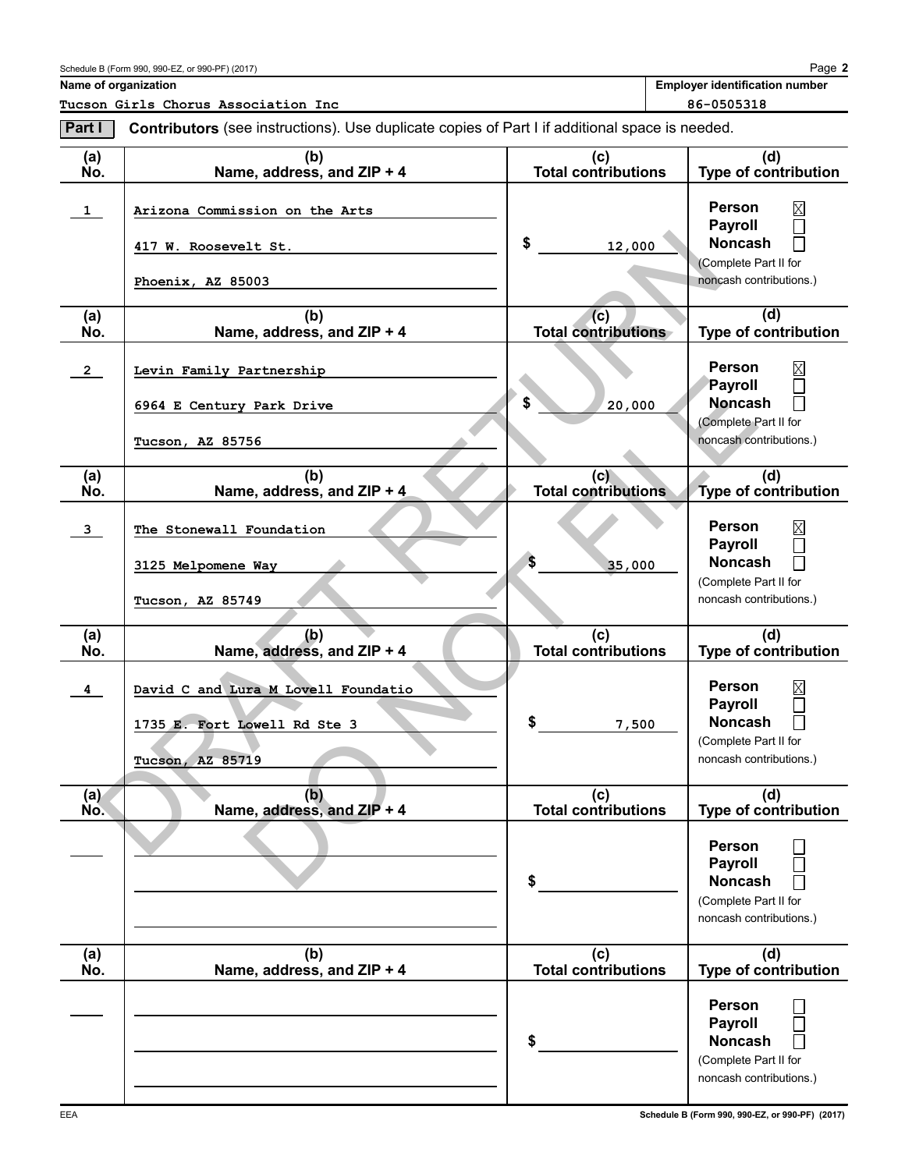**Name of organization Employer identification number Employer identification number** 

**Tucson Girls Chorus Association Inc 86-0505318**

| Part I                  | Contributors (see instructions). Use duplicate copies of Part I if additional space is needed. |                                   |                                                                                                       |  |  |  |
|-------------------------|------------------------------------------------------------------------------------------------|-----------------------------------|-------------------------------------------------------------------------------------------------------|--|--|--|
| (a)<br>No.              | (b)<br>Name, address, and ZIP + 4                                                              | (c)<br>Total contributions        | (d)<br><b>Type of contribution</b>                                                                    |  |  |  |
| $\mathbf{1}$            | Arizona Commission on the Arts<br>417 W. Roosevelt St.<br>Phoenix, AZ 85003                    | \$<br>12,000                      | <b>Person</b><br>Payroll<br><b>Noncash</b><br>(Complete Part II for<br>noncash contributions.)        |  |  |  |
| (a)<br>No.              | (b)<br>Name, address, and ZIP + 4                                                              | (c)<br><b>Total contributions</b> | (d)<br>Type of contribution                                                                           |  |  |  |
| $\overline{2}$          | Levin Family Partnership<br>6964 E Century Park Drive<br>Tucson, AZ 85756                      | \$<br>20,000                      | <b>Person</b><br>Payroll<br><b>Noncash</b><br>(Complete Part II for<br>noncash contributions.)        |  |  |  |
| (a)<br>No.              | (b)<br>Name, address, and ZIP + 4                                                              | (c)<br><b>Total contributions</b> | (d)<br>Type of contribution                                                                           |  |  |  |
| $\overline{3}$          | The Stonewall Foundation<br>3125 Melpomene Way<br>Tucson, AZ 85749                             | S<br>35,000                       | <b>Person</b><br><b>Payroll</b><br><b>Noncash</b><br>(Complete Part II for<br>noncash contributions.) |  |  |  |
| (a)<br>No.              | (b)<br>Name, address, and ZIP + 4                                                              | (c)<br><b>Total contributions</b> | (d)<br>Type of contribution                                                                           |  |  |  |
| $\overline{\mathbf{4}}$ | David C and Lura M Lovell Foundatio<br>1735 E. Fort Lowell Rd Ste 3<br>AZ 85719<br>Tucson,     | \$<br>7,500                       | <b>Person</b><br><b>Payroll</b><br><b>Noncash</b><br>(Complete Part II for<br>noncash contributions.) |  |  |  |
| (a)<br>No.              | (b)<br>Name, address, and ZIP + 4                                                              | (c)<br>Total contributions        | (d)<br><b>Type of contribution</b>                                                                    |  |  |  |
|                         |                                                                                                | \$                                | <b>Person</b><br><b>Payroll</b><br><b>Noncash</b><br>(Complete Part II for<br>noncash contributions.) |  |  |  |
| (a)<br>No.              | (b)<br>Name, address, and ZIP + 4                                                              | (c)<br>Total contributions        | (d)<br><b>Type of contribution</b>                                                                    |  |  |  |
|                         |                                                                                                | \$                                | Person<br><b>Payroll</b><br><b>Noncash</b><br>(Complete Part II for<br>noncash contributions.)        |  |  |  |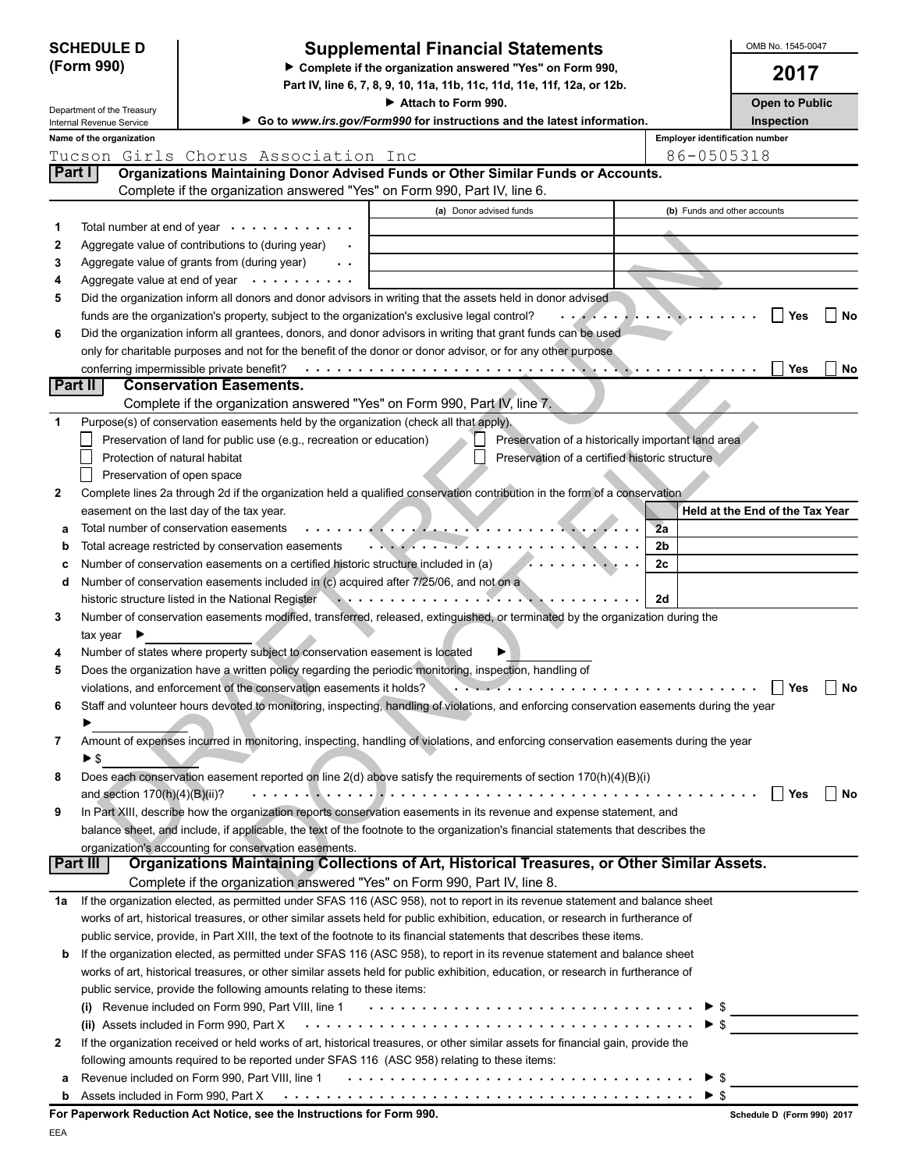| <b>SCHEDULE D</b><br>(Form 990)                        |                                | <b>Supplemental Financial Statements</b><br>Complete if the organization answered "Yes" on Form 990, | OMB No. 1545-0047<br>2017                                                                                                                                                                                                                                   |                                |                                 |
|--------------------------------------------------------|--------------------------------|------------------------------------------------------------------------------------------------------|-------------------------------------------------------------------------------------------------------------------------------------------------------------------------------------------------------------------------------------------------------------|--------------------------------|---------------------------------|
|                                                        |                                |                                                                                                      | Part IV, line 6, 7, 8, 9, 10, 11a, 11b, 11c, 11d, 11e, 11f, 12a, or 12b.<br>Attach to Form 990.                                                                                                                                                             |                                | <b>Open to Public</b>           |
| Department of the Treasury<br>Internal Revenue Service |                                |                                                                                                      | Go to www.irs.gov/Form990 for instructions and the latest information.                                                                                                                                                                                      |                                | Inspection                      |
|                                                        | Name of the organization       |                                                                                                      |                                                                                                                                                                                                                                                             | Employer identification number |                                 |
|                                                        |                                | Tucson Girls Chorus Association Inc                                                                  |                                                                                                                                                                                                                                                             | 86-0505318                     |                                 |
| Part I                                                 |                                |                                                                                                      | Organizations Maintaining Donor Advised Funds or Other Similar Funds or Accounts.                                                                                                                                                                           |                                |                                 |
|                                                        |                                | Complete if the organization answered "Yes" on Form 990, Part IV, line 6.                            |                                                                                                                                                                                                                                                             |                                |                                 |
|                                                        |                                |                                                                                                      | (a) Donor advised funds                                                                                                                                                                                                                                     | (b) Funds and other accounts   |                                 |
| 1                                                      |                                | Total number at end of year $\cdots$                                                                 |                                                                                                                                                                                                                                                             |                                |                                 |
| 2                                                      |                                | Aggregate value of contributions to (during year)                                                    |                                                                                                                                                                                                                                                             |                                |                                 |
| 3<br>4                                                 | Aggregate value at end of year | Aggregate value of grants from (during year)<br>$\sim$ $\sim$                                        |                                                                                                                                                                                                                                                             |                                |                                 |
| 5                                                      |                                |                                                                                                      | Did the organization inform all donors and donor advisors in writing that the assets held in donor advised                                                                                                                                                  |                                |                                 |
|                                                        |                                | funds are the organization's property, subject to the organization's exclusive legal control?        |                                                                                                                                                                                                                                                             |                                | <b>No</b><br>Yes                |
| 6                                                      |                                |                                                                                                      | Did the organization inform all grantees, donors, and donor advisors in writing that grant funds can be used                                                                                                                                                |                                |                                 |
|                                                        |                                |                                                                                                      | only for charitable purposes and not for the benefit of the donor or donor advisor, or for any other purpose                                                                                                                                                |                                |                                 |
|                                                        |                                | conferring impermissible private benefit?                                                            |                                                                                                                                                                                                                                                             |                                | Yes<br>No                       |
|                                                        | Part II                        | <b>Conservation Easements.</b>                                                                       |                                                                                                                                                                                                                                                             |                                |                                 |
|                                                        |                                | Complete if the organization answered "Yes" on Form 990, Part IV, line 7.                            |                                                                                                                                                                                                                                                             |                                |                                 |
| 1                                                      |                                | Purpose(s) of conservation easements held by the organization (check all that apply).                |                                                                                                                                                                                                                                                             |                                |                                 |
|                                                        |                                | Preservation of land for public use (e.g., recreation or education)                                  | Preservation of a historically important land area                                                                                                                                                                                                          |                                |                                 |
|                                                        | Protection of natural habitat  |                                                                                                      | Preservation of a certified historic structure                                                                                                                                                                                                              |                                |                                 |
|                                                        | Preservation of open space     |                                                                                                      |                                                                                                                                                                                                                                                             |                                |                                 |
| $\mathbf{2}$                                           |                                |                                                                                                      | Complete lines 2a through 2d if the organization held a qualified conservation contribution in the form of a conservation                                                                                                                                   |                                |                                 |
|                                                        |                                | easement on the last day of the tax year.                                                            |                                                                                                                                                                                                                                                             |                                | Held at the End of the Tax Year |
| а                                                      |                                | Total number of conservation easements                                                               |                                                                                                                                                                                                                                                             | 2a                             |                                 |
| b                                                      |                                | Total acreage restricted by conservation easements                                                   |                                                                                                                                                                                                                                                             | 2 <sub>b</sub>                 |                                 |
|                                                        |                                | Number of conservation easements on a certified historic structure included in (a)                   |                                                                                                                                                                                                                                                             | 2c                             |                                 |
| d                                                      |                                | Number of conservation easements included in (c) acquired after 7/25/06, and not on a                |                                                                                                                                                                                                                                                             |                                |                                 |
|                                                        |                                | historic structure listed in the National Register                                                   | .                                                                                                                                                                                                                                                           | 2d                             |                                 |
| 3                                                      | $tax$ year $\blacksquare$      |                                                                                                      | Number of conservation easements modified, transferred, released, extinguished, or terminated by the organization during the                                                                                                                                |                                |                                 |
| 4                                                      |                                | Number of states where property subject to conservation easement is located                          |                                                                                                                                                                                                                                                             |                                |                                 |
| 5                                                      |                                |                                                                                                      | Does the organization have a written policy regarding the periodic monitoring, inspection, handling of                                                                                                                                                      |                                |                                 |
|                                                        |                                | violations, and enforcement of the conservation easements it holds?                                  |                                                                                                                                                                                                                                                             |                                | <b>Yes</b><br>No                |
| 6                                                      |                                |                                                                                                      | Staff and volunteer hours devoted to monitoring, inspecting, handling of violations, and enforcing conservation easements during the year                                                                                                                   |                                |                                 |
|                                                        |                                |                                                                                                      |                                                                                                                                                                                                                                                             |                                |                                 |
| 7                                                      |                                |                                                                                                      | Amount of expenses incurred in monitoring, inspecting, handling of violations, and enforcing conservation easements during the year                                                                                                                         |                                |                                 |
|                                                        | ► \$                           |                                                                                                      |                                                                                                                                                                                                                                                             |                                |                                 |
| 8                                                      |                                |                                                                                                      | Does each conservation easement reported on line 2(d) above satisfy the requirements of section 170(h)(4)(B)(i)                                                                                                                                             |                                |                                 |
|                                                        | and section 170(h)(4)(B)(ii)?  |                                                                                                      |                                                                                                                                                                                                                                                             |                                | l Yes<br>l No                   |
| 9                                                      |                                |                                                                                                      | In Part XIII, describe how the organization reports conservation easements in its revenue and expense statement, and                                                                                                                                        |                                |                                 |
|                                                        |                                |                                                                                                      | balance sheet, and include, if applicable, the text of the footnote to the organization's financial statements that describes the                                                                                                                           |                                |                                 |
|                                                        |                                | organization's accounting for conservation easements.                                                |                                                                                                                                                                                                                                                             |                                |                                 |
|                                                        | Part III                       |                                                                                                      | Organizations Maintaining Collections of Art, Historical Treasures, or Other Similar Assets.                                                                                                                                                                |                                |                                 |
|                                                        |                                | Complete if the organization answered "Yes" on Form 990, Part IV, line 8.                            |                                                                                                                                                                                                                                                             |                                |                                 |
| 1a                                                     |                                |                                                                                                      | If the organization elected, as permitted under SFAS 116 (ASC 958), not to report in its revenue statement and balance sheet                                                                                                                                |                                |                                 |
|                                                        |                                |                                                                                                      | works of art, historical treasures, or other similar assets held for public exhibition, education, or research in furtherance of<br>public service, provide, in Part XIII, the text of the footnote to its financial statements that describes these items. |                                |                                 |
| b                                                      |                                |                                                                                                      | If the organization elected, as permitted under SFAS 116 (ASC 958), to report in its revenue statement and balance sheet                                                                                                                                    |                                |                                 |
|                                                        |                                |                                                                                                      | works of art, historical treasures, or other similar assets held for public exhibition, education, or research in furtherance of                                                                                                                            |                                |                                 |
|                                                        |                                | public service, provide the following amounts relating to these items:                               |                                                                                                                                                                                                                                                             |                                |                                 |
|                                                        |                                |                                                                                                      |                                                                                                                                                                                                                                                             |                                |                                 |
|                                                        |                                | (ii) Assets included in Form 990, Part X                                                             |                                                                                                                                                                                                                                                             |                                | $\blacktriangleright$ \$        |
| 2                                                      |                                |                                                                                                      | If the organization received or held works of art, historical treasures, or other similar assets for financial gain, provide the                                                                                                                            |                                |                                 |
|                                                        |                                | following amounts required to be reported under SFAS 116 (ASC 958) relating to these items:          |                                                                                                                                                                                                                                                             |                                |                                 |
| а                                                      |                                |                                                                                                      |                                                                                                                                                                                                                                                             | ► \$                           |                                 |
|                                                        |                                |                                                                                                      |                                                                                                                                                                                                                                                             | $\blacktriangleright$ s        |                                 |
|                                                        |                                |                                                                                                      |                                                                                                                                                                                                                                                             |                                |                                 |

| For Paperwork Reduction Act Notice, see the Instructions for Form 990. |  |  |
|------------------------------------------------------------------------|--|--|
|------------------------------------------------------------------------|--|--|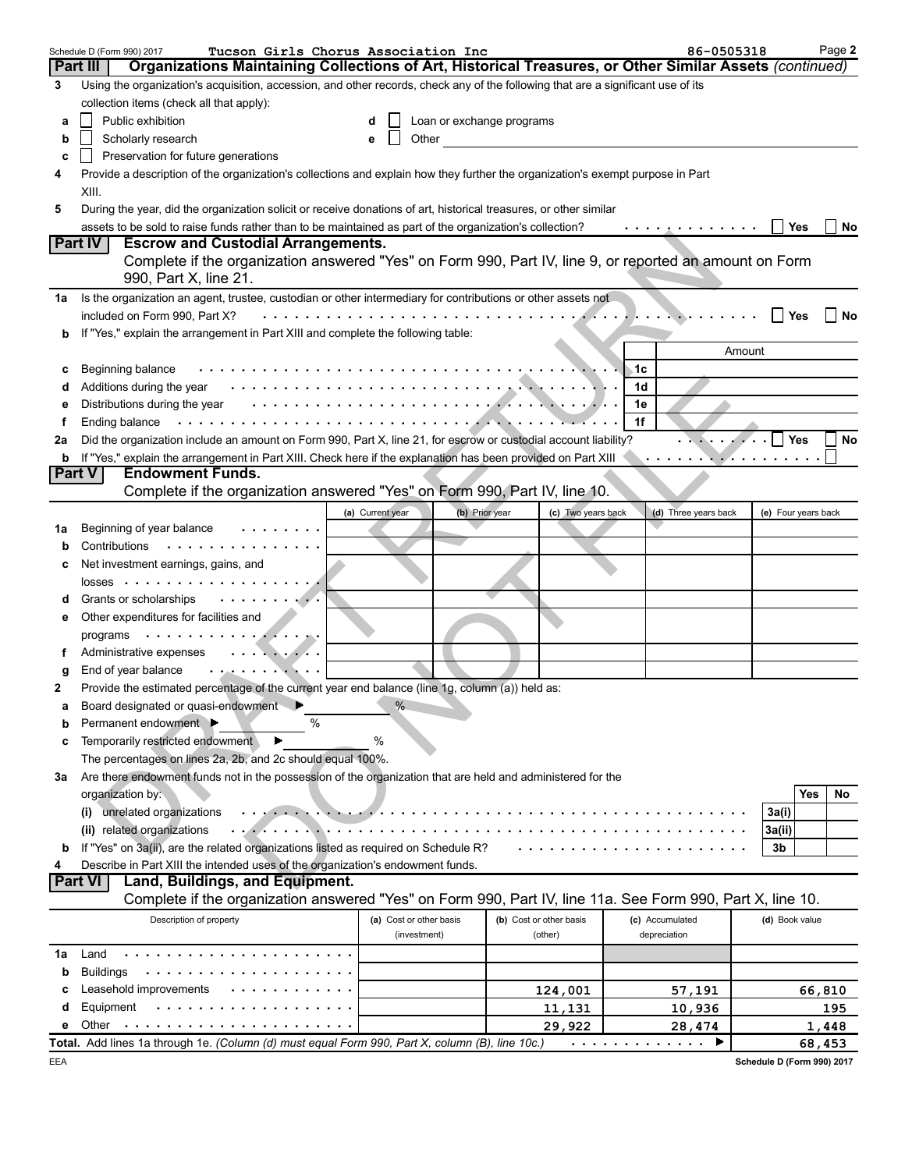|    | Tucson Girls Chorus Association Inc<br>Schedule D (Form 990) 2017                                                                |                         |                           |                         |     | 86-0505318              |                | Page 2              |
|----|----------------------------------------------------------------------------------------------------------------------------------|-------------------------|---------------------------|-------------------------|-----|-------------------------|----------------|---------------------|
|    | Organizations Maintaining Collections of Art, Historical Treasures, or Other Similar Assets (continued)<br><b>Part III</b>       |                         |                           |                         |     |                         |                |                     |
| 3  | Using the organization's acquisition, accession, and other records, check any of the following that are a significant use of its |                         |                           |                         |     |                         |                |                     |
|    | collection items (check all that apply):                                                                                         |                         |                           |                         |     |                         |                |                     |
| a  | Public exhibition                                                                                                                | d                       | Loan or exchange programs |                         |     |                         |                |                     |
| b  | Scholarly research                                                                                                               | Other<br>e              |                           |                         |     |                         |                |                     |
| c  | Preservation for future generations                                                                                              |                         |                           |                         |     |                         |                |                     |
| 4  | Provide a description of the organization's collections and explain how they further the organization's exempt purpose in Part   |                         |                           |                         |     |                         |                |                     |
|    | XIII.                                                                                                                            |                         |                           |                         |     |                         |                |                     |
| 5  | During the year, did the organization solicit or receive donations of art, historical treasures, or other similar                |                         |                           |                         |     |                         |                |                     |
|    | assets to be sold to raise funds rather than to be maintained as part of the organization's collection?                          |                         |                           |                         |     | . <u>.</u>              |                | Yes<br>No           |
|    | <b>Part IV</b><br><b>Escrow and Custodial Arrangements.</b>                                                                      |                         |                           |                         |     |                         |                |                     |
|    | Complete if the organization answered "Yes" on Form 990, Part IV, line 9, or reported an amount on Form                          |                         |                           |                         |     |                         |                |                     |
|    | 990, Part X, line 21.                                                                                                            |                         |                           |                         |     |                         |                |                     |
| 1a | Is the organization an agent, trustee, custodian or other intermediary for contributions or other assets not                     |                         |                           |                         |     |                         |                |                     |
|    | included on Form 990, Part X?                                                                                                    |                         |                           |                         |     |                         |                | Yes<br>No           |
| b  | If "Yes," explain the arrangement in Part XIII and complete the following table:                                                 |                         |                           |                         |     |                         |                |                     |
|    |                                                                                                                                  |                         |                           |                         |     |                         | Amount         |                     |
| с  | Beginning balance                                                                                                                |                         |                           |                         | ⊾1c |                         |                |                     |
| d  | Additions during the year                                                                                                        |                         |                           |                         | 1d  |                         |                |                     |
|    | Distributions during the year                                                                                                    |                         |                           |                         | 1e  |                         |                |                     |
| е  | Ending balance                                                                                                                   |                         |                           |                         | 1f  |                         |                |                     |
| f  | Did the organization include an amount on Form 990, Part X, line 21, for escrow or custodial account liability?                  |                         |                           |                         |     |                         |                | Yes<br>No           |
| 2a | If "Yes," explain the arrangement in Part XIII. Check here if the explanation has been provided on Part XIII                     |                         |                           |                         |     |                         |                |                     |
| b  | <b>Endowment Funds.</b><br><b>Part V</b>                                                                                         |                         |                           |                         |     | . <b>.</b> . <i>. .</i> |                |                     |
|    | Complete if the organization answered "Yes" on Form 990, Part IV, line 10.                                                       |                         |                           |                         |     |                         |                |                     |
|    |                                                                                                                                  |                         |                           |                         |     |                         |                |                     |
|    |                                                                                                                                  | (a) Current year        | (b) Prior year            | (c) Two years back      |     | (d) Three years back    |                | (e) Four years back |
| 1a | Beginning of year balance                                                                                                        |                         |                           |                         |     |                         |                |                     |
| b  | .<br>Contributions                                                                                                               |                         |                           |                         |     |                         |                |                     |
| с  | Net investment earnings, gains, and                                                                                              |                         |                           |                         |     |                         |                |                     |
|    | $losses$                                                                                                                         |                         |                           |                         |     |                         |                |                     |
| d  | Grants or scholarships<br>$\mathbf{r}$ , and $\mathbf{r}$ , and $\mathbf{r}$ , and $\mathbf{r}$                                  |                         |                           |                         |     |                         |                |                     |
| е  | Other expenditures for facilities and                                                                                            |                         |                           |                         |     |                         |                |                     |
|    | programs $\cdots$ , $\cdots$                                                                                                     |                         |                           |                         |     |                         |                |                     |
| f  | Administrative expenses<br>. <del>.</del> .                                                                                      |                         |                           |                         |     |                         |                |                     |
| g  | End of year balance<br>a mas a complete solution                                                                                 |                         |                           |                         |     |                         |                |                     |
| 2  | Provide the estimated percentage of the current year end balance (line 1g, column (a)) held as:                                  |                         |                           |                         |     |                         |                |                     |
|    | Board designated or quasi-endowment                                                                                              | $\%$                    |                           |                         |     |                         |                |                     |
| b  | %<br>Permanent endowment ▶                                                                                                       |                         |                           |                         |     |                         |                |                     |
| c  | Temporarily restricted endowment                                                                                                 | %                       |                           |                         |     |                         |                |                     |
|    | The percentages on lines 2a, 2b, and 2c should equal 100%.                                                                       |                         |                           |                         |     |                         |                |                     |
| За | Are there endowment funds not in the possession of the organization that are held and administered for the                       |                         |                           |                         |     |                         |                |                     |
|    | organization by:                                                                                                                 |                         |                           |                         |     |                         |                | Yes<br>No           |
|    | unrelated organizations<br>(i)                                                                                                   |                         |                           |                         |     |                         | 3a(i)          |                     |
|    | (ii) related organizations                                                                                                       |                         |                           |                         |     |                         | 3a(ii)         |                     |
| b  | If "Yes" on 3a(ii), are the related organizations listed as required on Schedule R?                                              |                         |                           |                         |     |                         | 3b             |                     |
|    | Describe in Part XIII the intended uses of the organization's endowment funds.                                                   |                         |                           |                         |     |                         |                |                     |
|    | <b>Part VI</b><br>Land, Buildings, and Equipment.                                                                                |                         |                           |                         |     |                         |                |                     |
|    | Complete if the organization answered "Yes" on Form 990, Part IV, line 11a. See Form 990, Part X, line 10.                       |                         |                           |                         |     |                         |                |                     |
|    | Description of property                                                                                                          | (a) Cost or other basis |                           | (b) Cost or other basis |     | (c) Accumulated         | (d) Book value |                     |
|    |                                                                                                                                  | (investment)            |                           | (other)                 |     | depreciation            |                |                     |
| 1a | Land                                                                                                                             |                         |                           |                         |     |                         |                |                     |
| b  | <b>Buildings</b>                                                                                                                 |                         |                           |                         |     |                         |                |                     |
| c  | Leasehold improvements                                                                                                           |                         |                           | 124,001                 |     | 57,191                  |                | 66,810              |
| d  | Equipment                                                                                                                        |                         |                           | 11,131                  |     | 10,936                  |                | 195                 |
| е  | Other                                                                                                                            |                         |                           | 29,922                  |     | 28,474                  |                | 1,448               |
|    | Total. Add lines 1a through 1e. (Column (d) must equal Form 990, Part X, column (B), line 10c.)                                  |                         |                           |                         |     | .<br>▶                  |                | 68,453              |
|    |                                                                                                                                  |                         |                           |                         |     |                         |                |                     |

**Schedule D (Form 990) 2017**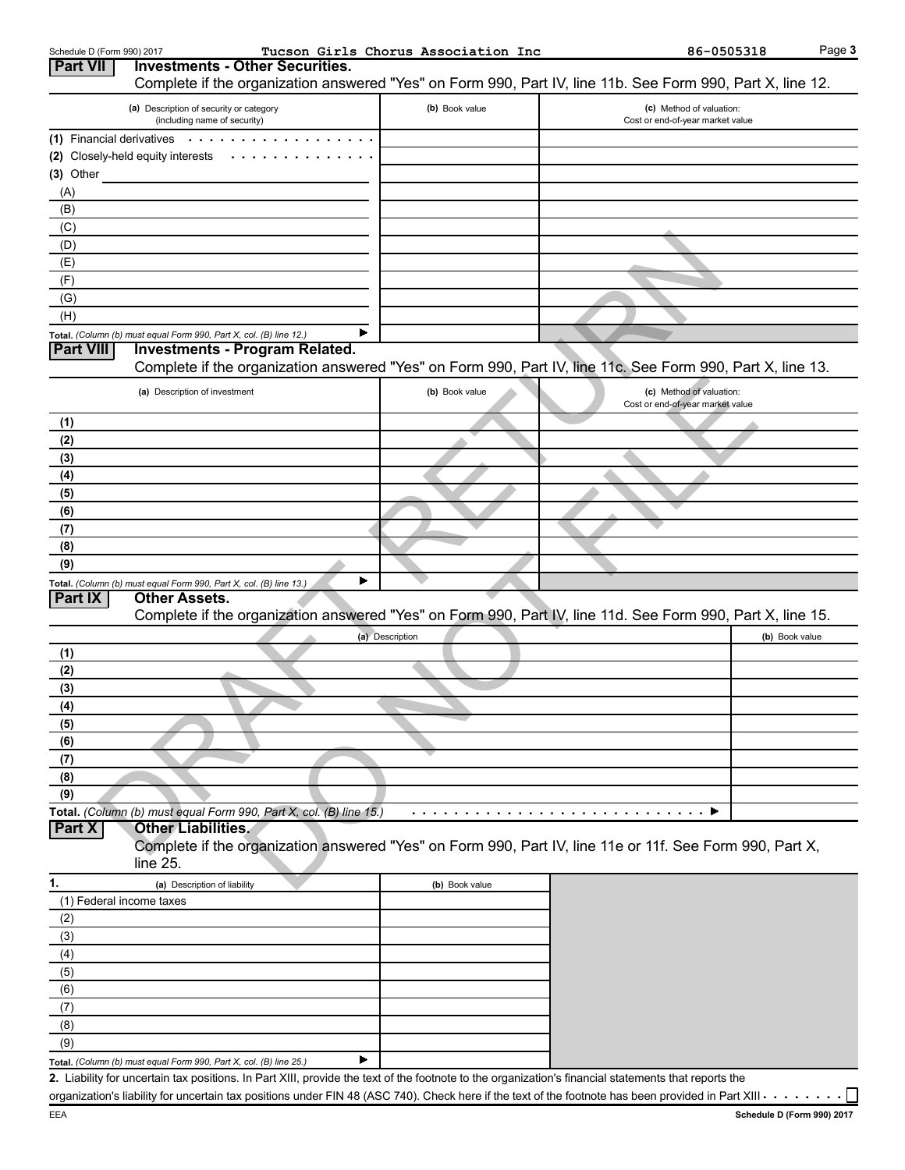| Schedule D (Form 990) 2017 |                                                                                                                                                      | Tucson Girls Chorus Association Inc | 86-0505318                                                                                                                                                         | Page 3 |
|----------------------------|------------------------------------------------------------------------------------------------------------------------------------------------------|-------------------------------------|--------------------------------------------------------------------------------------------------------------------------------------------------------------------|--------|
| <b>Part VII</b>            | <b>Investments - Other Securities.</b>                                                                                                               |                                     | Complete if the organization answered "Yes" on Form 990, Part IV, line 11b. See Form 990, Part X, line 12.                                                         |        |
|                            | (a) Description of security or category                                                                                                              | (b) Book value                      | (c) Method of valuation:                                                                                                                                           |        |
|                            | (including name of security)                                                                                                                         |                                     | Cost or end-of-year market value                                                                                                                                   |        |
|                            | (1) Financial derivatives $\cdots$ .                                                                                                                 |                                     |                                                                                                                                                                    |        |
|                            | (2) Closely-held equity interests<br>$\sim$ $\sim$ $\sim$                                                                                            |                                     |                                                                                                                                                                    |        |
| $(3)$ Other                |                                                                                                                                                      |                                     |                                                                                                                                                                    |        |
| (A)                        |                                                                                                                                                      |                                     |                                                                                                                                                                    |        |
| (B)                        |                                                                                                                                                      |                                     |                                                                                                                                                                    |        |
| (C)                        |                                                                                                                                                      |                                     |                                                                                                                                                                    |        |
| (D)                        |                                                                                                                                                      |                                     |                                                                                                                                                                    |        |
| (E)                        |                                                                                                                                                      |                                     |                                                                                                                                                                    |        |
| (F)                        |                                                                                                                                                      |                                     |                                                                                                                                                                    |        |
| (G)                        |                                                                                                                                                      |                                     |                                                                                                                                                                    |        |
| (H)                        |                                                                                                                                                      |                                     |                                                                                                                                                                    |        |
|                            | Total. (Column (b) must equal Form 990, Part X, col. (B) line 12.)                                                                                   |                                     |                                                                                                                                                                    |        |
| <b>Part VIII</b>           | <b>Investments - Program Related.</b>                                                                                                                |                                     | Complete if the organization answered "Yes" on Form 990, Part IV, line 11c. See Form 990, Part X, line 13.                                                         |        |
|                            | (a) Description of investment                                                                                                                        | (b) Book value                      | (c) Method of valuation:                                                                                                                                           |        |
|                            |                                                                                                                                                      |                                     | Cost or end-of-year market value                                                                                                                                   |        |
| (1)<br>(2)                 |                                                                                                                                                      |                                     |                                                                                                                                                                    |        |
| (3)                        |                                                                                                                                                      |                                     |                                                                                                                                                                    |        |
| (4)                        |                                                                                                                                                      |                                     |                                                                                                                                                                    |        |
| (5)                        |                                                                                                                                                      |                                     |                                                                                                                                                                    |        |
| (6)                        |                                                                                                                                                      |                                     |                                                                                                                                                                    |        |
| (7)                        |                                                                                                                                                      |                                     |                                                                                                                                                                    |        |
| (8)                        |                                                                                                                                                      |                                     |                                                                                                                                                                    |        |
| (9)                        |                                                                                                                                                      |                                     |                                                                                                                                                                    |        |
|                            | Total. (Column (b) must equal Form 990, Part X, col. (B) line 13.)                                                                                   |                                     |                                                                                                                                                                    |        |
| <b>Part IX</b>             | <b>Other Assets.</b>                                                                                                                                 |                                     |                                                                                                                                                                    |        |
|                            |                                                                                                                                                      |                                     | Complete if the organization answered "Yes" on Form 990, Part IV, line 11d. See Form 990, Part X, line 15.                                                         |        |
|                            |                                                                                                                                                      | (a) Description                     | (b) Book value                                                                                                                                                     |        |
| (1)                        |                                                                                                                                                      |                                     |                                                                                                                                                                    |        |
| (2)                        |                                                                                                                                                      |                                     |                                                                                                                                                                    |        |
| (3)                        |                                                                                                                                                      |                                     |                                                                                                                                                                    |        |
| (4)                        |                                                                                                                                                      |                                     |                                                                                                                                                                    |        |
| (5)                        |                                                                                                                                                      |                                     |                                                                                                                                                                    |        |
| (6)                        |                                                                                                                                                      |                                     |                                                                                                                                                                    |        |
| (7)                        |                                                                                                                                                      |                                     |                                                                                                                                                                    |        |
| (8)                        |                                                                                                                                                      |                                     |                                                                                                                                                                    |        |
| (9)                        |                                                                                                                                                      |                                     |                                                                                                                                                                    |        |
|                            | Total. (Column (b) must equal Form 990, Part X, col. (B) line 15.)                                                                                   |                                     |                                                                                                                                                                    |        |
| Part X                     | <b>Other Liabilities.</b>                                                                                                                            |                                     |                                                                                                                                                                    |        |
|                            |                                                                                                                                                      |                                     | Complete if the organization answered "Yes" on Form 990, Part IV, line 11e or 11f. See Form 990, Part X,                                                           |        |
|                            | $line 25$ .                                                                                                                                          |                                     |                                                                                                                                                                    |        |
| 1.                         | (a) Description of liability                                                                                                                         | (b) Book value                      |                                                                                                                                                                    |        |
|                            | (1) Federal income taxes                                                                                                                             |                                     |                                                                                                                                                                    |        |
| (2)                        |                                                                                                                                                      |                                     |                                                                                                                                                                    |        |
| (3)                        |                                                                                                                                                      |                                     |                                                                                                                                                                    |        |
| (4)                        |                                                                                                                                                      |                                     |                                                                                                                                                                    |        |
| (5)                        |                                                                                                                                                      |                                     |                                                                                                                                                                    |        |
| (6)                        |                                                                                                                                                      |                                     |                                                                                                                                                                    |        |
| (7)                        |                                                                                                                                                      |                                     |                                                                                                                                                                    |        |
| (8)                        |                                                                                                                                                      |                                     |                                                                                                                                                                    |        |
| (9)                        |                                                                                                                                                      |                                     |                                                                                                                                                                    |        |
|                            | Total. (Column (b) must equal Form 990, Part X, col. (B) line 25.)                                                                                   |                                     |                                                                                                                                                                    |        |
|                            | 2. Liability for uncertain tax positions. In Part XIII, provide the text of the footnote to the organization's financial statements that reports the |                                     |                                                                                                                                                                    |        |
|                            |                                                                                                                                                      |                                     | organization's liability for uncertain tax positions under FIN 48 (ASC 740). Check here if the text of the footnote has been provided in Part XIII $\cdots \cdots$ |        |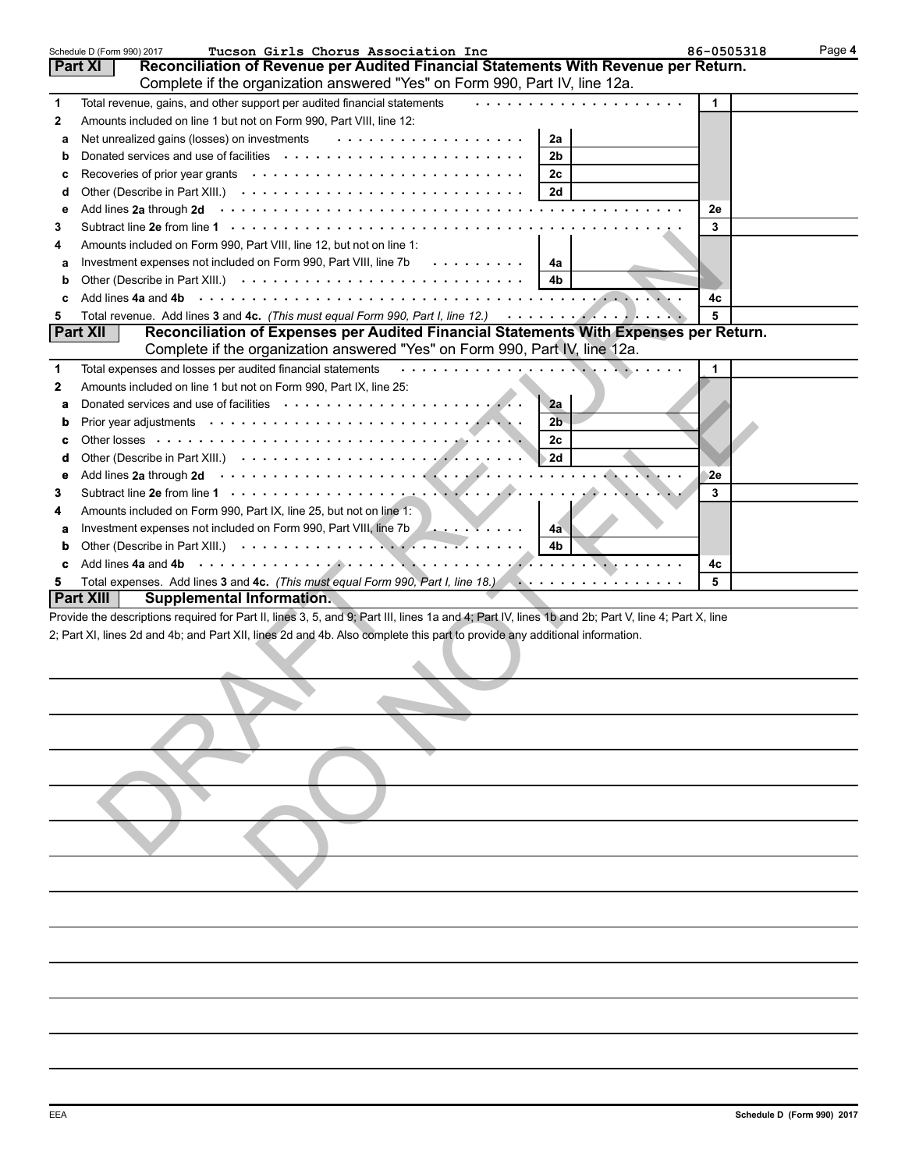|             | Tucson Girls Chorus Association Inc<br>Schedule D (Form 990) 2017                                                                                  | 86-0505318 | Page 4 |  |  |  |  |
|-------------|----------------------------------------------------------------------------------------------------------------------------------------------------|------------|--------|--|--|--|--|
|             | Reconciliation of Revenue per Audited Financial Statements With Revenue per Return.<br>Part XI                                                     |            |        |  |  |  |  |
|             | Complete if the organization answered "Yes" on Form 990, Part IV, line 12a.                                                                        |            |        |  |  |  |  |
| 1           | Total revenue, gains, and other support per audited financial statements                                                                           | 1          |        |  |  |  |  |
| 2           | Amounts included on line 1 but not on Form 990, Part VIII, line 12:                                                                                |            |        |  |  |  |  |
| a           | .<br>Net unrealized gains (losses) on investments<br>2a                                                                                            |            |        |  |  |  |  |
| b           | 2 <sub>b</sub>                                                                                                                                     |            |        |  |  |  |  |
| c           | 2c                                                                                                                                                 |            |        |  |  |  |  |
| d           | 2d                                                                                                                                                 |            |        |  |  |  |  |
| e           |                                                                                                                                                    | 2e         |        |  |  |  |  |
| 3           |                                                                                                                                                    | 3          |        |  |  |  |  |
|             | Amounts included on Form 990, Part VIII, line 12, but not on line 1:                                                                               |            |        |  |  |  |  |
| 4           |                                                                                                                                                    |            |        |  |  |  |  |
| a           | Investment expenses not included on Form 990, Part VIII, line 7b<br>4a                                                                             |            |        |  |  |  |  |
| b           | 4b                                                                                                                                                 |            |        |  |  |  |  |
| c           | Add lines 4a and 4b                                                                                                                                | 4c         |        |  |  |  |  |
| 5           | Total revenue. Add lines 3 and 4c. (This must equal Form 990, Part I, line 12.)                                                                    | 5          |        |  |  |  |  |
|             | Reconciliation of Expenses per Audited Financial Statements With Expenses per Return.<br><b>Part XII</b>                                           |            |        |  |  |  |  |
|             | Complete if the organization answered "Yes" on Form 990, Part IV, line 12a.                                                                        |            |        |  |  |  |  |
| 1           | Total expenses and losses per audited financial statements<br>.                                                                                    | 1          |        |  |  |  |  |
| 2           | Amounts included on line 1 but not on Form 990, Part IX, line 25:                                                                                  |            |        |  |  |  |  |
| a           | 2a                                                                                                                                                 |            |        |  |  |  |  |
| $\mathbf b$ | 2 <sub>b</sub>                                                                                                                                     |            |        |  |  |  |  |
| c           | 2c                                                                                                                                                 |            |        |  |  |  |  |
| d           | 2d                                                                                                                                                 |            |        |  |  |  |  |
| е           | Add lines 2a through 2d <i>www.www.www.www.www.www.www.www.www.</i> ww.                                                                            | 2е         |        |  |  |  |  |
| 3           |                                                                                                                                                    | 3          |        |  |  |  |  |
| 4           | Amounts included on Form 990, Part IX, line 25, but not on line 1:                                                                                 |            |        |  |  |  |  |
| a           | Investment expenses not included on Form 990, Part VIII, line 7b<br>4a                                                                             |            |        |  |  |  |  |
| b           | 4 <sub>b</sub>                                                                                                                                     |            |        |  |  |  |  |
| c           | Add lines 4a and 4b                                                                                                                                | 4c         |        |  |  |  |  |
| 5           | Total expenses. Add lines 3 and 4c. (This must equal Form 990, Part I, line 18.)                                                                   | 5          |        |  |  |  |  |
|             | <b>Part XIII</b><br>Supplemental Information.                                                                                                      |            |        |  |  |  |  |
|             | Provide the descriptions required for Part II, lines 3, 5, and 9; Part III, lines 1a and 4; Part IV, lines 1b and 2b; Part V, line 4; Part X, line |            |        |  |  |  |  |
|             | 2; Part XI, lines 2d and 4b; and Part XII, lines 2d and 4b. Also complete this part to provide any additional information.                         |            |        |  |  |  |  |
|             |                                                                                                                                                    |            |        |  |  |  |  |
|             |                                                                                                                                                    |            |        |  |  |  |  |
|             |                                                                                                                                                    |            |        |  |  |  |  |
|             |                                                                                                                                                    |            |        |  |  |  |  |
|             |                                                                                                                                                    |            |        |  |  |  |  |
|             |                                                                                                                                                    |            |        |  |  |  |  |
|             |                                                                                                                                                    |            |        |  |  |  |  |
|             |                                                                                                                                                    |            |        |  |  |  |  |
|             |                                                                                                                                                    |            |        |  |  |  |  |
|             |                                                                                                                                                    |            |        |  |  |  |  |
|             |                                                                                                                                                    |            |        |  |  |  |  |
|             |                                                                                                                                                    |            |        |  |  |  |  |
|             |                                                                                                                                                    |            |        |  |  |  |  |
|             |                                                                                                                                                    |            |        |  |  |  |  |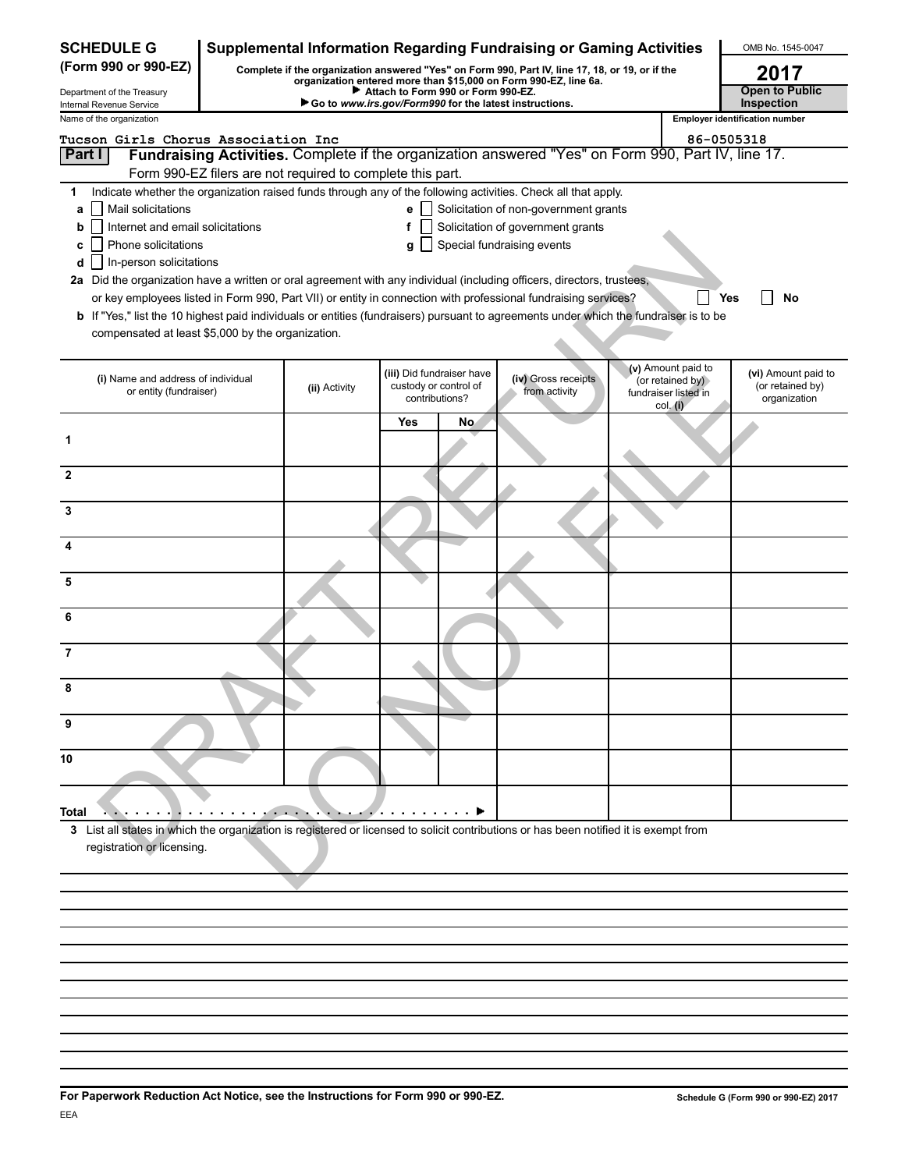| <b>SCHEDULE G</b>                                                                                                                     | Supplemental Information Regarding Fundraising or Gaming Activities                                                                                              |                                                            |            |                           | OMB No. 1545-0047                                                                                              |            |                                          |                                       |
|---------------------------------------------------------------------------------------------------------------------------------------|------------------------------------------------------------------------------------------------------------------------------------------------------------------|------------------------------------------------------------|------------|---------------------------|----------------------------------------------------------------------------------------------------------------|------------|------------------------------------------|---------------------------------------|
| (Form 990 or 990-EZ)<br>Complete if the organization answered "Yes" on Form 990, Part IV, line 17, 18, or 19, or if the               |                                                                                                                                                                  |                                                            |            |                           |                                                                                                                | 2017       |                                          |                                       |
| Department of the Treasury                                                                                                            | organization entered more than \$15,000 on Form 990-EZ, line 6a.<br>Attach to Form 990 or Form 990-EZ.<br>Go to www.irs.gov/Form990 for the latest instructions. |                                                            |            |                           |                                                                                                                |            |                                          | <b>Open to Public</b><br>Inspection   |
| Internal Revenue Service<br>Name of the organization                                                                                  |                                                                                                                                                                  |                                                            |            |                           |                                                                                                                |            |                                          | <b>Employer identification number</b> |
| Tucson Girls Chorus Association Inc                                                                                                   |                                                                                                                                                                  |                                                            |            |                           |                                                                                                                | 86-0505318 |                                          |                                       |
| <b>Part I</b>                                                                                                                         |                                                                                                                                                                  |                                                            |            |                           | Fundraising Activities. Complete if the organization answered "Yes" on Form 990, Part IV, line 17.             |            |                                          |                                       |
|                                                                                                                                       |                                                                                                                                                                  | Form 990-EZ filers are not required to complete this part. |            |                           |                                                                                                                |            |                                          |                                       |
| 1                                                                                                                                     |                                                                                                                                                                  |                                                            |            |                           | Indicate whether the organization raised funds through any of the following activities. Check all that apply.  |            |                                          |                                       |
| Mail solicitations<br>a<br>Internet and email solicitations                                                                           |                                                                                                                                                                  |                                                            | е<br>f     |                           | Solicitation of non-government grants<br>Solicitation of government grants                                     |            |                                          |                                       |
| b<br>Phone solicitations<br>c                                                                                                         |                                                                                                                                                                  |                                                            | g          |                           | Special fundraising events                                                                                     |            |                                          |                                       |
| In-person solicitations<br>d                                                                                                          |                                                                                                                                                                  |                                                            |            |                           |                                                                                                                |            |                                          |                                       |
| 2a Did the organization have a written or oral agreement with any individual (including officers, directors, trustees,                |                                                                                                                                                                  |                                                            |            |                           |                                                                                                                |            |                                          |                                       |
|                                                                                                                                       |                                                                                                                                                                  |                                                            |            |                           | or key employees listed in Form 990, Part VII) or entity in connection with professional fundraising services? |            |                                          | Yes<br>No                             |
| b If "Yes," list the 10 highest paid individuals or entities (fundraisers) pursuant to agreements under which the fundraiser is to be |                                                                                                                                                                  |                                                            |            |                           |                                                                                                                |            |                                          |                                       |
| compensated at least \$5,000 by the organization.                                                                                     |                                                                                                                                                                  |                                                            |            |                           |                                                                                                                |            |                                          |                                       |
|                                                                                                                                       |                                                                                                                                                                  |                                                            |            | (iii) Did fundraiser have |                                                                                                                |            | (v) Amount paid to                       | (vi) Amount paid to                   |
| (i) Name and address of individual<br>or entity (fundraiser)                                                                          |                                                                                                                                                                  | (ii) Activity                                              |            | custody or control of     | (iv) Gross receipts<br>from activity                                                                           |            | (or retained by)<br>fundraiser listed in | (or retained by)                      |
|                                                                                                                                       |                                                                                                                                                                  |                                                            |            | contributions?            |                                                                                                                |            | col. (i)                                 | organization                          |
|                                                                                                                                       |                                                                                                                                                                  |                                                            | <b>Yes</b> | No                        |                                                                                                                |            |                                          |                                       |
| 1                                                                                                                                     |                                                                                                                                                                  |                                                            |            |                           |                                                                                                                |            |                                          |                                       |
| $\mathbf{2}$                                                                                                                          |                                                                                                                                                                  |                                                            |            |                           |                                                                                                                |            |                                          |                                       |
| 3                                                                                                                                     |                                                                                                                                                                  |                                                            |            |                           |                                                                                                                |            |                                          |                                       |
| 4                                                                                                                                     |                                                                                                                                                                  |                                                            |            |                           |                                                                                                                |            |                                          |                                       |
| 5                                                                                                                                     |                                                                                                                                                                  |                                                            |            |                           |                                                                                                                |            |                                          |                                       |
| 6                                                                                                                                     |                                                                                                                                                                  |                                                            |            |                           |                                                                                                                |            |                                          |                                       |
| 7                                                                                                                                     |                                                                                                                                                                  |                                                            |            |                           |                                                                                                                |            |                                          |                                       |
| 8                                                                                                                                     |                                                                                                                                                                  |                                                            |            |                           |                                                                                                                |            |                                          |                                       |
| 9                                                                                                                                     |                                                                                                                                                                  |                                                            |            |                           |                                                                                                                |            |                                          |                                       |
|                                                                                                                                       |                                                                                                                                                                  |                                                            |            |                           |                                                                                                                |            |                                          |                                       |
| 10                                                                                                                                    |                                                                                                                                                                  |                                                            |            |                           |                                                                                                                |            |                                          |                                       |
| Total                                                                                                                                 |                                                                                                                                                                  |                                                            |            |                           |                                                                                                                |            |                                          |                                       |
| 3 List all states in which the organization is registered or licensed to solicit contributions or has been notified it is exempt from |                                                                                                                                                                  |                                                            |            |                           |                                                                                                                |            |                                          |                                       |
| registration or licensing.                                                                                                            |                                                                                                                                                                  |                                                            |            |                           |                                                                                                                |            |                                          |                                       |
|                                                                                                                                       |                                                                                                                                                                  |                                                            |            |                           |                                                                                                                |            |                                          |                                       |
|                                                                                                                                       |                                                                                                                                                                  |                                                            |            |                           |                                                                                                                |            |                                          |                                       |
|                                                                                                                                       |                                                                                                                                                                  |                                                            |            |                           |                                                                                                                |            |                                          |                                       |
|                                                                                                                                       |                                                                                                                                                                  |                                                            |            |                           |                                                                                                                |            |                                          |                                       |
|                                                                                                                                       |                                                                                                                                                                  |                                                            |            |                           |                                                                                                                |            |                                          |                                       |
|                                                                                                                                       |                                                                                                                                                                  |                                                            |            |                           |                                                                                                                |            |                                          |                                       |
|                                                                                                                                       |                                                                                                                                                                  |                                                            |            |                           |                                                                                                                |            |                                          |                                       |
|                                                                                                                                       |                                                                                                                                                                  |                                                            |            |                           |                                                                                                                |            |                                          |                                       |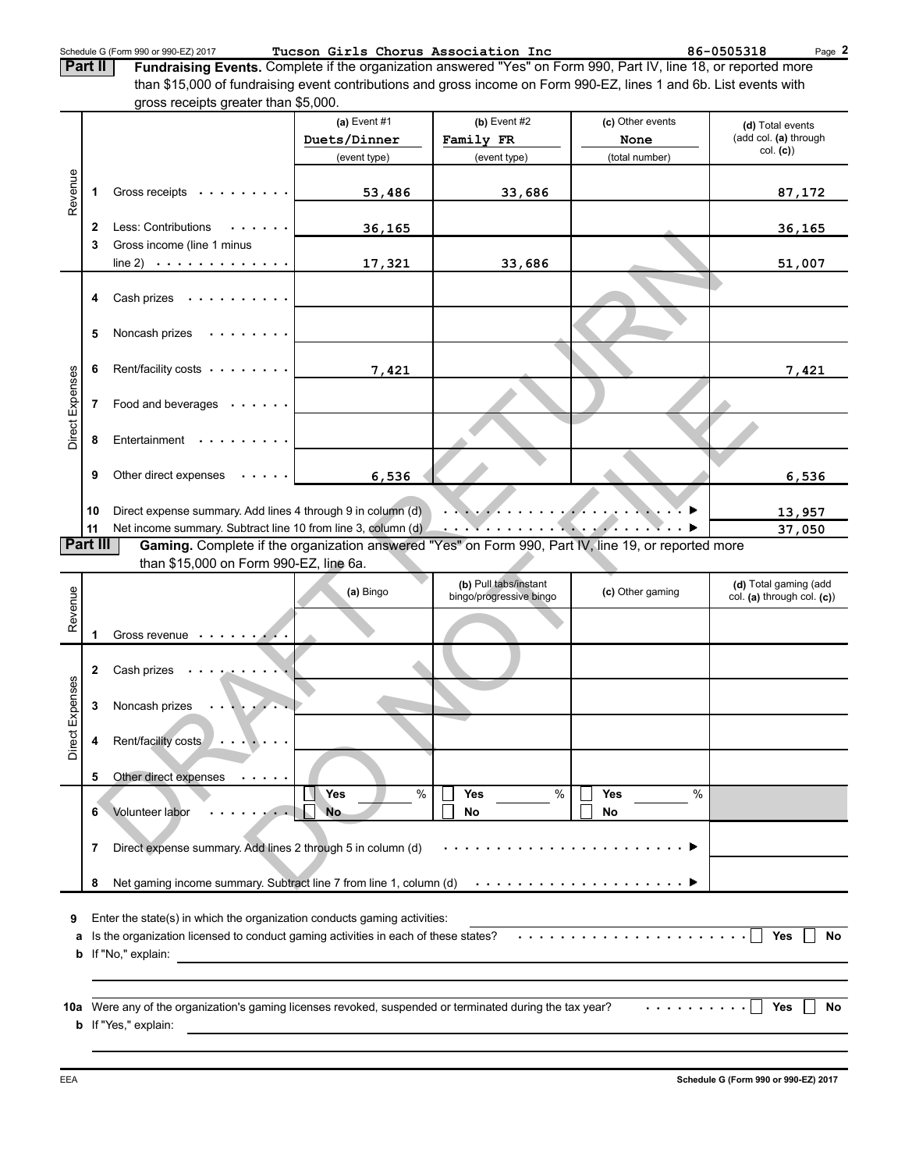Schedule G (Form 990 or 990-EZ) 2017 **Tucson Girls Chorus Association Inc** 86-0505318 Page

**2**

**Fundraising Events.** Complete if the organization answered "Yes" on Form 990, Part IV, line 18, or reported more than \$15,000 of fundraising event contributions and gross income on Form 990-EZ, lines 1 and 6b. List events with gross receipts greater than \$5,000. **Part II**

|                                                                               |              | $\frac{1}{2}$                                                                                                              |                  |                         |                  |                                   |  |  |
|-------------------------------------------------------------------------------|--------------|----------------------------------------------------------------------------------------------------------------------------|------------------|-------------------------|------------------|-----------------------------------|--|--|
|                                                                               |              |                                                                                                                            | (a) Event $#1$   | (b) Event $#2$          | (c) Other events | (d) Total events                  |  |  |
|                                                                               |              |                                                                                                                            | Duets/Dinner     | Family FR               | None             | (add col. (a) through<br>col. (c) |  |  |
|                                                                               |              |                                                                                                                            | (event type)     | (event type)            | (total number)   |                                   |  |  |
|                                                                               |              |                                                                                                                            |                  |                         |                  |                                   |  |  |
| Revenue                                                                       | 1            | Gross receipts                                                                                                             | 53,486           | 33,686                  |                  | 87,172                            |  |  |
|                                                                               |              |                                                                                                                            |                  |                         |                  |                                   |  |  |
|                                                                               | $\mathbf{2}$ | Less: Contributions<br>$\mathcal{A}$ , and $\mathcal{A}$ , and $\mathcal{A}$                                               | 36,165           |                         |                  | 36,165                            |  |  |
|                                                                               | 3            | Gross income (line 1 minus                                                                                                 |                  |                         |                  |                                   |  |  |
|                                                                               |              | line 2) $\cdots$ $\cdots$ $\cdots$ $\cdots$                                                                                | 17,321           | 33,686                  |                  | 51,007                            |  |  |
|                                                                               |              |                                                                                                                            |                  |                         |                  |                                   |  |  |
|                                                                               | 4            | Cash prizes $\dots \dots \dots$                                                                                            |                  |                         |                  |                                   |  |  |
|                                                                               |              |                                                                                                                            |                  |                         |                  |                                   |  |  |
|                                                                               | 5            | Noncash prizes $\dots \dots$                                                                                               |                  |                         |                  |                                   |  |  |
|                                                                               |              |                                                                                                                            |                  |                         |                  |                                   |  |  |
|                                                                               | 6            | Rent/facility costs                                                                                                        | 7,421            |                         |                  | 7,421                             |  |  |
|                                                                               |              |                                                                                                                            |                  |                         |                  |                                   |  |  |
|                                                                               | 7            | Food and beverages                                                                                                         |                  |                         |                  |                                   |  |  |
| Direct Expenses                                                               |              |                                                                                                                            |                  |                         |                  |                                   |  |  |
|                                                                               | 8            | Entertainment                                                                                                              |                  |                         |                  |                                   |  |  |
|                                                                               |              |                                                                                                                            |                  |                         |                  |                                   |  |  |
|                                                                               | 9            | Other direct expenses $\cdots$                                                                                             | 6,536            |                         |                  | 6,536                             |  |  |
|                                                                               |              |                                                                                                                            |                  |                         |                  |                                   |  |  |
|                                                                               | 10           | Direct expense summary. Add lines 4 through 9 in column (d)                                                                |                  |                         |                  | 13,957                            |  |  |
|                                                                               | 11           | Net income summary. Subtract line 10 from line 3, column (d)                                                               |                  |                         |                  | 37,050                            |  |  |
|                                                                               | Part III     | Gaming. Complete if the organization answered "Yes" on Form 990, Part IV, line 19, or reported more                        |                  |                         |                  |                                   |  |  |
|                                                                               |              | than \$15,000 on Form 990-EZ, line 6a.                                                                                     |                  |                         |                  |                                   |  |  |
|                                                                               |              |                                                                                                                            | (a) Bingo        | (b) Pull tabs/instant   | (c) Other gaming | (d) Total gaming (add             |  |  |
|                                                                               |              |                                                                                                                            |                  | bingo/progressive bingo |                  | col. (a) through col. (c))        |  |  |
| Revenue                                                                       |              |                                                                                                                            |                  |                         |                  |                                   |  |  |
|                                                                               | 1            | Gross revenue                                                                                                              |                  |                         |                  |                                   |  |  |
|                                                                               |              |                                                                                                                            |                  |                         |                  |                                   |  |  |
|                                                                               | $\mathbf{2}$ | Cash prizes<br>the contract of the con-                                                                                    |                  |                         |                  |                                   |  |  |
| Direct Expenses                                                               |              |                                                                                                                            |                  |                         |                  |                                   |  |  |
|                                                                               | 3            | Noncash prizes                                                                                                             |                  |                         |                  |                                   |  |  |
|                                                                               |              |                                                                                                                            |                  |                         |                  |                                   |  |  |
|                                                                               | 4            | Rent/facility costs<br>المنتقل والمتعاونة                                                                                  |                  |                         |                  |                                   |  |  |
|                                                                               |              |                                                                                                                            |                  |                         |                  |                                   |  |  |
|                                                                               | 5            | Other direct expenses<br>$\sim$ 100 $\sim$ 100 $\sim$                                                                      | $\%$             | %                       | $\frac{0}{0}$    |                                   |  |  |
|                                                                               | 6            | Volunteer labor                                                                                                            | Yes<br><b>No</b> | <b>Yes</b><br>No        | Yes<br>No        |                                   |  |  |
|                                                                               |              |                                                                                                                            |                  |                         |                  |                                   |  |  |
| Direct expense summary. Add lines 2 through 5 in column (d)<br>7              |              |                                                                                                                            |                  |                         |                  |                                   |  |  |
|                                                                               |              |                                                                                                                            |                  |                         |                  |                                   |  |  |
|                                                                               | 8            | Net gaming income summary. Subtract line 7 from line 1, column $(d)$ $\cdots$ $\cdots$ $\cdots$ $\cdots$ $\cdots$ $\cdots$ |                  |                         |                  |                                   |  |  |
|                                                                               |              |                                                                                                                            |                  |                         |                  |                                   |  |  |
| Enter the state(s) in which the organization conducts gaming activities:<br>9 |              |                                                                                                                            |                  |                         |                  |                                   |  |  |
| a                                                                             |              | Is the organization licensed to conduct gaming activities in each of these states?                                         |                  |                         | .                | <b>Yes</b><br>No                  |  |  |
| b                                                                             |              | If "No," explain:                                                                                                          |                  |                         |                  |                                   |  |  |
|                                                                               |              |                                                                                                                            |                  |                         |                  |                                   |  |  |
|                                                                               |              |                                                                                                                            |                  |                         |                  |                                   |  |  |
| 10a                                                                           |              | Were any of the organization's gaming licenses revoked, suspended or terminated during the tax year?                       |                  |                         |                  | <b>Yes</b><br>No                  |  |  |
|                                                                               |              | <b>b</b> If "Yes," explain:                                                                                                |                  |                         |                  |                                   |  |  |
|                                                                               |              |                                                                                                                            |                  |                         |                  |                                   |  |  |
|                                                                               |              |                                                                                                                            |                  |                         |                  |                                   |  |  |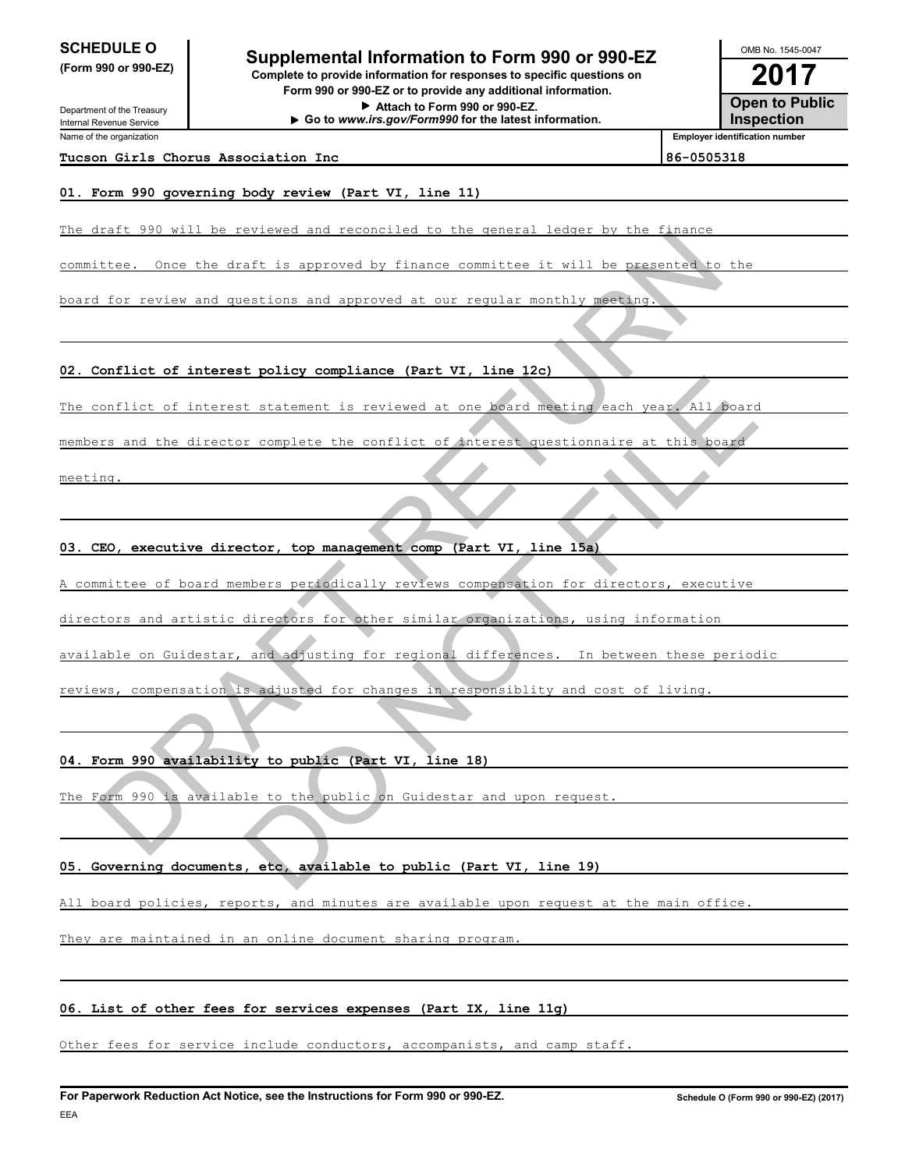Department of the Treasury Internal Revenue Service Name of the organization

# **2017 2017 2017 2017 2017 2017 2017 2017 2017 2017 2017 2017 2017 2017 2017 2017 2017 2017 2017 2017 2017 2017 2017 2017 2017 2017 2017 2017 2017 2017 2017 2017**

**(Form 990 or 990-EZ) Complete to provide information for responses to specific questions on Form 990 or 990-EZ or to provide any additional information. Attach to Form 990 or 990-EZ. Go to** *www.irs.gov/Form990* **for the latest information.**

**Open to Public Inspection Employer identification number** OMB No. 1545-0047

**Tucson Girls Chorus Association Inc 86-0505318**

#### **01. Form 990 governing body review (Part VI, line 11)**

The draft 990 will be reviewed and reconciled to the general ledger by the finance

committee. Once the draft is approved by finance committee it will be presented to

board for review and questions and approved at our regular monthly meeting.

**02. Conflict of interest policy compliance (Part VI, line 12c)**

The conflict of interest statement is reviewed at one board meeting each year. All board

members and the director complete the conflict of interest questionnaire at this

meeting.

**03. CEO, executive director, top management comp (Part VI, line 15a)**

A committee of board members periodically reviews compensation for directors, executive etten. Onder the draft is supremed by finance committee it will be presented to the<br>for review and questions and approved by finance committee it will be presented to the<br>conflict of interest statement is reviewed at our m It statement is reviewed at one hoard meating each year. All board<br>
r complete the conflict of therest questionnaire at this board<br>
ctor, top management comp (Part VI, line 15a)<br>
mbers periodically reviews compensation for

directors and artistic directors for other similar organizations, using information

available on Guidestar, and adjusting for regional differences. In between these periodic

reviews, compensation is adjusted for changes in responsiblity and cost of living.

**04. Form 990 availability to public (Part VI, line 18)**

The Form 990 is available to the public on Guidestar and upon request

#### **05. Governing documents, etc, available to public (Part VI, line 19)**

All board policies, reports, and minutes are available upon request at the main office.

They are maintained in an online document sharing program.

#### **06. List of other fees for services expenses (Part IX, line 11g)**

Other fees for service include conductors, accompanists, and camp staff.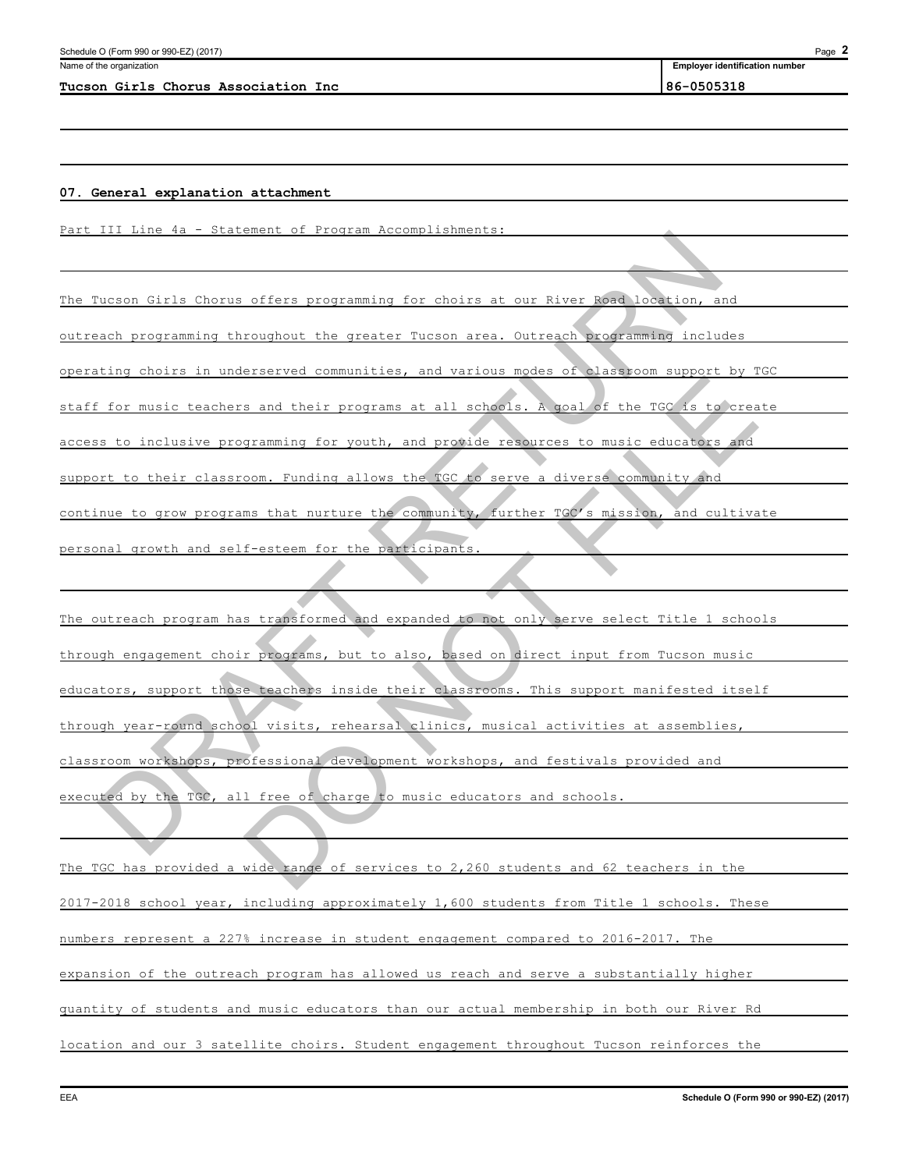#### **Tucson Girls Chorus Association Inc 86-0505318**

**Employer identification number**

#### **07. General explanation attachment**

Part III Line 4a - Statement of Program Accomplishments:

The Tucson Girls Chorus offers programming for choirs at our River Road location, and

outreach programming throughout the greater Tucson area. Outreach programming includes

operating choirs in underserved communities, and various modes of classroom support by TGC

staff for music teachers and their programs at all schools. A goal of the TGC is to create

access to inclusive programming for youth, and provide resources to music educators

support to their classroom. Funding allows the TGC to serve a diverse community and

continue to grow programs that nurture the community, further TGC's mission, and cultivate

personal growth and self-esteem for the participant

The outreach program has transformed and expanded to not only serve select Title 1 schools through engagement choir programs, but to also, based on direct input from Tucson music educators, support those teachers inside their classrooms. This support manifested itself through year-round school visits, rehearsal clinics, musical activities at assemblies, classroom workshops, professional development workshops, and festivals provided and executed by the TGC, all free of charge to music educators and schools. Notion Circle Chorus offers programming for choirs at our Kiver Move November, and<br>and programming throughout the creater Tucson area. Dutresch programming includes<br>ting choirs in underserved communities, and various areas Solution and their programs at all schools. A goal of the TGC is to creater<br>aramming for vouth, and provide resources to music educators and<br>com. Funding allows the TGC to serve a diverse community and<br>mas that nurture the

The TGC has provided a wide range of services to 2,260 students and 62 teachers in the 2017-2018 school year, including approximately 1,600 students from Title 1 schools. These numbers represent a 227% increase in student engagement compared to 2016-2017. The expansion of the outreach program has allowed us reach and serve a substantially higher quantity of students and music educators than our actual membership in both our River Rd location and our 3 satellite choirs. Student engagement throughout Tucson reinforces the